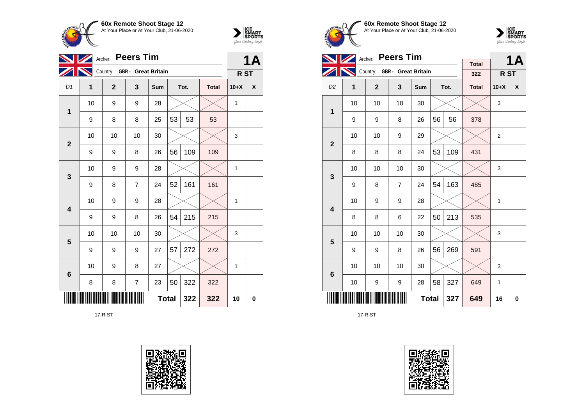



|                |                | <b>Peers Tim</b><br>Archer:  |                          |              |    |      |              |              |   |  |  |
|----------------|----------------|------------------------------|--------------------------|--------------|----|------|--------------|--------------|---|--|--|
|                |                | Country: GBR - Great Britain |                          |              |    |      |              | R ST         |   |  |  |
| D <sub>1</sub> | $\overline{1}$ | $\mathbf{2}$                 | 3                        | Sum          |    | Tot. | <b>Total</b> | $10+X$       | X |  |  |
| 1              | 10             | 9                            | 9                        | 28           |    |      |              | 1            |   |  |  |
|                | 9              | 8                            | 8                        | 25           | 53 | 53   | 53           |              |   |  |  |
| $\mathbf{2}$   | 10             | 10                           | 10                       | 30           |    |      |              | 3            |   |  |  |
|                | 9              | 9                            | 8                        | 26           | 56 | 109  | 109          |              |   |  |  |
| 3              | 10             | 9                            | 9                        | 28           |    |      |              | 1            |   |  |  |
|                | 9              | 8                            | $\overline{7}$           | 24           | 52 | 161  | 161          |              |   |  |  |
| 4              | 10             | 9                            | 9                        | 28           |    |      |              | $\mathbf{1}$ |   |  |  |
|                | 9              | 9                            | 8                        | 26           | 54 | 215  | 215          |              |   |  |  |
| 5              | 10             | 10                           | 10                       | 30           |    |      |              | 3            |   |  |  |
|                | 9              | 9                            | 9                        | 27           | 57 | 272  | 272          |              |   |  |  |
| 6              | 10             | 9                            | 8                        | 27           |    |      |              | 1            |   |  |  |
|                | 8              | 8                            | $\overline{\mathcal{I}}$ | 23           | 50 | 322  | 322          |              |   |  |  |
|                |                |                              |                          | <b>Total</b> |    | 322  | 322          | 10           | 0 |  |  |

17-R-ST









|                         |    | <b>Peers Tim</b><br>Archer:  |                |     |    | <b>1A</b> |                     |                 |   |
|-------------------------|----|------------------------------|----------------|-----|----|-----------|---------------------|-----------------|---|
|                         |    | Country: GBR - Great Britain |                |     |    |           | <b>Total</b><br>322 | R <sub>ST</sub> |   |
| D <sub>2</sub>          | 1  | $\overline{2}$               | 3              | Sum |    | Tot.      | <b>Total</b>        | $10+X$          | X |
| $\mathbf 1$             | 10 | 10                           | 10             | 30  |    |           |                     | 3               |   |
|                         | 9  | 9                            | 8              | 26  | 56 | 56        | 378                 |                 |   |
| $\overline{2}$          | 10 | 10                           | 9              | 29  |    |           |                     | $\overline{2}$  |   |
|                         | 8  | 8                            | 8              | 24  | 53 | 109       | 431                 |                 |   |
| 3                       | 10 | 10                           | 10             | 30  |    |           |                     | 3               |   |
|                         | 9  | 8                            | $\overline{7}$ | 24  | 54 | 163       | 485                 |                 |   |
| $\overline{\mathbf{4}}$ | 10 | 9                            | 9              | 28  |    |           |                     | 1               |   |
|                         | 8  | 8                            | 6              | 22  | 50 | 213       | 535                 |                 |   |
| 5                       | 10 | 10                           | 10             | 30  |    |           |                     | 3               |   |
|                         | 9  | 9                            | 8              | 26  | 56 | 269       | 591                 |                 |   |
| 6                       | 10 | 10                           | 10             | 30  |    |           |                     | 3               |   |
|                         | 10 | 9                            | 327            | 649 | 1  |           |                     |                 |   |
|                         |    |                              | 649            | 16  | 0  |           |                     |                 |   |

17-R-ST

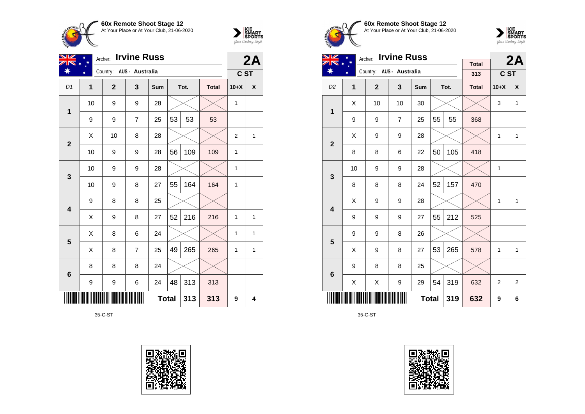



| VZ              |              | <b>Irvine Russ</b><br>Archer: |                         |              |    |      |              |                |              |  |  |
|-----------------|--------------|-------------------------------|-------------------------|--------------|----|------|--------------|----------------|--------------|--|--|
|                 | ¥            | Country: AUS - Australia      |                         |              |    |      |              | C ST           | 2A           |  |  |
| D <sub>1</sub>  | $\mathbf{1}$ | $\overline{2}$                | $\overline{\mathbf{3}}$ | Sum          |    | Tot. | <b>Total</b> | $10+X$         | X            |  |  |
| 1               | 10           | 9                             | 9                       | 28           |    |      |              | $\mathbf{1}$   |              |  |  |
|                 | 9            | 9                             | $\overline{7}$          | 25           | 53 | 53   | 53           |                |              |  |  |
| $\overline{2}$  | X            | 10                            | 8                       | 28           |    |      |              | $\overline{2}$ | $\mathbf{1}$ |  |  |
|                 | 10           | 9                             | 9                       | 28           | 56 | 109  | 109          | 1              |              |  |  |
| $\mathbf{3}$    | 10           | 9                             | 9                       | 28           |    |      |              | $\mathbf{1}$   |              |  |  |
|                 | 10           | 9                             | 8                       | 27           | 55 | 164  | 164          | $\mathbf{1}$   |              |  |  |
| 4               | 9            | 8                             | 8                       | 25           |    |      |              |                |              |  |  |
|                 | X            | 9                             | 8                       | 27           | 52 | 216  | 216          | 1              | 1            |  |  |
| 5               | X            | 8                             | 6                       | 24           |    |      |              | 1              | 1            |  |  |
|                 | X            | 8                             | $\overline{7}$          | 25           | 49 | 265  | 265          | $\mathbf{1}$   | 1            |  |  |
| $6\phantom{1}6$ | 8            | 8                             | 8                       | 24           |    |      |              |                |              |  |  |
|                 | 9            | 9                             | 6                       | 24           | 48 | 313  | 313          |                |              |  |  |
|                 |              |                               |                         | <b>Total</b> |    | 313  | 313          | 9              | 4            |  |  |

35-C-ST









| NZ                      |        | <b>Irvine Russ</b><br>Archer: |                |              |    | 2A   |              |              |              |
|-------------------------|--------|-------------------------------|----------------|--------------|----|------|--------------|--------------|--------------|
| ☀                       | $\ast$ | Country: AUS - Australia      |                |              |    |      | <b>Total</b> |              |              |
|                         |        |                               |                |              |    |      | 313          | C ST         |              |
| D <sub>2</sub>          | 1      | $\overline{2}$                | 3              | Sum          |    | Tot. | <b>Total</b> | $10+X$       | X            |
| $\mathbf{1}$            | X      | 10                            | 10             | 30           |    |      |              | 3            | $\mathbf{1}$ |
|                         | 9      | 9                             | $\overline{7}$ | 25           | 55 | 55   | 368          |              |              |
| $\overline{2}$          | X      | 9                             | 9              | 28           |    |      |              | 1            | $\mathbf{1}$ |
|                         | 8      | 8                             | 6              | 22           | 50 | 105  | 418          |              |              |
| 3                       | 10     | 9                             | 9              | 28           |    |      |              | 1            |              |
|                         | 8      | 8                             | 8              | 24           | 52 | 157  | 470          |              |              |
| $\overline{\mathbf{4}}$ | Χ      | 9                             | 9              | 28           |    |      |              | $\mathbf{1}$ | 1            |
|                         | 9      | 9                             | 9              | 27           | 55 | 212  | 525          |              |              |
| 5                       | 9      | 9                             | 8              | 26           |    |      |              |              |              |
|                         | X      | 9                             | 8              | 27           | 53 | 265  | 578          | $\mathbf{1}$ | $\mathbf{1}$ |
| $6\phantom{1}6$         | 9      | 8                             | 8              | 25           |    |      |              |              |              |
|                         | X      | Χ                             | 9              | 29           | 54 | 319  | 632          | 2            | 2            |
|                         |        |                               |                | <b>Total</b> |    | 319  | 632          | 9            | 6            |

35-C-ST

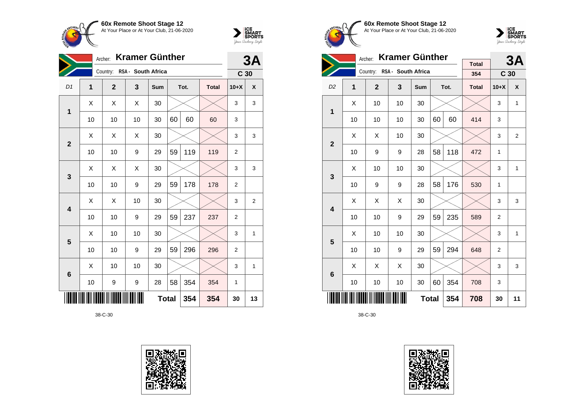



|                 | Archer: |                             |    | 3A  |              |      |              |                 |    |
|-----------------|---------|-----------------------------|----|-----|--------------|------|--------------|-----------------|----|
|                 |         | Country: RSA - South Africa |    |     |              |      |              | C <sub>30</sub> |    |
| D <sub>1</sub>  | 1       | $\overline{2}$              | 3  | Sum |              | Tot. | <b>Total</b> | $10+X$          | χ  |
| 1               | Χ       | Χ                           | X  | 30  |              |      |              | 3               | 3  |
|                 | 10      | 10                          | 10 | 30  | 60           | 60   | 60           | 3               |    |
| $\overline{2}$  | X       | X                           | Χ  | 30  |              |      |              | 3               | 3  |
|                 | 10      | 10                          | 9  | 29  | 59           | 119  | 119          | $\overline{2}$  |    |
| 3               | X       | X                           | X  | 30  |              |      |              | 3               | 3  |
|                 | 10      | 10                          | 9  | 29  | 59           | 178  | 178          | $\overline{2}$  |    |
| 4               | X       | Χ                           | 10 | 30  |              |      |              | 3               | 2  |
|                 | 10      | 10                          | 9  | 29  | 59           | 237  | 237          | $\overline{2}$  |    |
| 5               | X       | 10                          | 10 | 30  |              |      |              | 3               | 1  |
|                 | 10      | 10                          | 9  | 29  | 59           | 296  | 296          | $\overline{2}$  |    |
| $6\phantom{1}6$ | X       | 10                          | 10 | 30  |              |      |              | 3               | 1  |
|                 | 10      | 9                           | 9  | 28  | 58           | 354  | 354          | $\mathbf{1}$    |    |
|                 |         |                             |    |     | <b>Total</b> | 354  | 354          | 30              | 13 |









|                         |                     | <b>Kramer Günther</b><br>Archer: |                    |     |    | 3A   |                     |                 |              |
|-------------------------|---------------------|----------------------------------|--------------------|-----|----|------|---------------------|-----------------|--------------|
|                         |                     | Country:                         | RSA - South Africa |     |    |      | <b>Total</b><br>354 | C <sub>30</sub> |              |
| D <sub>2</sub>          | 1                   | $\mathbf{2}$                     | $\mathbf{3}$       | Sum |    | Tot. | <b>Total</b>        | $10+X$          | X            |
|                         |                     |                                  |                    |     |    |      |                     |                 |              |
| $\mathbf 1$             | X                   | 10                               | 10                 | 30  |    |      |                     | 3               | $\mathbf{1}$ |
|                         | 10                  | 10                               | 10                 | 30  | 60 | 60   | 414                 | 3               |              |
| $\overline{2}$          | X                   | X                                | 10                 | 30  |    |      |                     | 3               | 2            |
|                         | 10                  | 9                                | 9                  | 28  | 58 | 118  | 472                 | 1               |              |
|                         | X                   | 10                               | 10                 | 30  |    |      |                     | 3               | 1            |
| 3                       | 10                  | 9                                | 9                  | 28  | 58 | 176  | 530                 | 1               |              |
| $\overline{\mathbf{4}}$ | X                   | X                                | X                  | 30  |    |      |                     | 3               | 3            |
|                         | 10                  | 10                               | 9                  | 29  | 59 | 235  | 589                 | $\overline{2}$  |              |
| 5                       | X                   | 10                               | 10                 | 30  |    |      |                     | 3               | 1            |
|                         | 10                  | 10                               | 9                  | 29  | 59 | 294  | 648                 | $\overline{2}$  |              |
| 6                       | X                   | X                                | X                  | 30  |    |      |                     | 3               | 3            |
|                         | 10                  | 10                               | 10                 | 30  | 60 | 354  | 708                 | 3               |              |
|                         | <b>Total</b><br>354 |                                  |                    |     |    |      |                     | 30              | 11           |

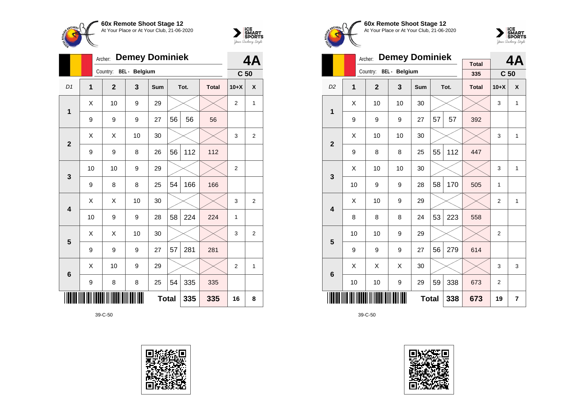



|                 |    | <b>Demey Dominiek</b><br>Archer: |    |            |              |      |              |                 |                |  |
|-----------------|----|----------------------------------|----|------------|--------------|------|--------------|-----------------|----------------|--|
|                 |    | Country: BEL - Belgium           |    |            |              |      |              | C <sub>50</sub> |                |  |
| D1              | 1  | $\mathbf{2}$                     | 3  | <b>Sum</b> |              | Tot. | <b>Total</b> | $10+X$          | X              |  |
| 1               | X  | 10                               | 9  | 29         |              |      |              | $\overline{2}$  | 1              |  |
|                 | 9  | 9                                | 9  | 27         | 56           | 56   | 56           |                 |                |  |
| $\overline{2}$  | X  | X                                | 10 | 30         |              |      |              | 3               | $\overline{2}$ |  |
|                 | 9  | 9                                | 8  | 26         | 56           | 112  | 112          |                 |                |  |
| 3               | 10 | 10                               | 9  | 29         |              |      |              | $\overline{2}$  |                |  |
|                 | 9  | 8                                | 8  | 25         | 54           | 166  | 166          |                 |                |  |
| 4               | X  | X                                | 10 | 30         |              |      |              | 3               | $\overline{2}$ |  |
|                 | 10 | 9                                | 9  | 28         | 58           | 224  | 224          | $\mathbf{1}$    |                |  |
| 5               | X  | X                                | 10 | 30         |              |      |              | 3               | $\overline{c}$ |  |
|                 | 9  | 9                                | 9  | 27         | 57           | 281  | 281          |                 |                |  |
| $6\phantom{1}6$ | X  | 10                               | 9  | 29         |              |      |              | $\overline{2}$  | 1              |  |
|                 | 9  | 8                                | 8  | 25         | 54           | 335  | 335          |                 |                |  |
|                 |    |                                  |    |            | <b>Total</b> | 335  | 335          | 16              | 8              |  |









|                |                | <b>Demey Dominiek</b><br>Archer: |                         |            |    | 4A   |                     |                 |   |
|----------------|----------------|----------------------------------|-------------------------|------------|----|------|---------------------|-----------------|---|
|                |                | Country:                         | <b>BEL</b> - Belgium    |            |    |      | <b>Total</b><br>335 | C <sub>50</sub> |   |
| D <sub>2</sub> | $\overline{1}$ | $\overline{2}$                   | $\overline{\mathbf{3}}$ | <b>Sum</b> |    | Tot. | <b>Total</b>        | $10+X$          | X |
| 1              | X              | 10                               | 10                      | 30         |    |      |                     | 3               | 1 |
|                | 9              | 9                                | 9                       | 27         | 57 | 57   | 392                 |                 |   |
| $\overline{2}$ | X              | 10                               |                         | 3          | 1  |      |                     |                 |   |
|                | 9              | 8                                | 8                       | 447        |    |      |                     |                 |   |
| 3              | X              | 10                               | 10                      | 30         |    |      |                     | 3               | 1 |
|                | 10             | 9                                | 9                       | 28         | 58 | 170  | 505                 | 1               |   |
| 4              | X              | 10                               | 9                       | 29         |    |      |                     | $\overline{2}$  | 1 |
|                | 8              | 8                                | 8                       | 24         | 53 | 223  | 558                 |                 |   |
| 5              | 10             | 10                               | 9                       | 29         |    |      |                     | $\overline{2}$  |   |
|                | 9              | 9                                | 9                       | 27         | 56 | 279  | 614                 |                 |   |
| 6              | X              | X                                | X                       | 30         |    |      |                     | 3               | 3 |
|                | 10             | 10                               | 9                       | 29         | 59 | 338  | 673                 | $\overline{2}$  |   |
|                |                |                                  | 338                     | 673        | 19 | 7    |                     |                 |   |

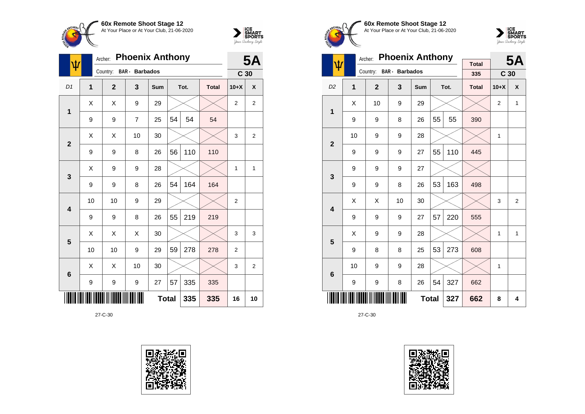



| ψ                       |    | <b>Phoenix Anthony</b><br>Archer: |                       |     |              |      |              |                 |                |  |
|-------------------------|----|-----------------------------------|-----------------------|-----|--------------|------|--------------|-----------------|----------------|--|
|                         |    | Country:                          | <b>BAR</b> - Barbados |     |              |      |              | C <sub>30</sub> |                |  |
| D1                      | 1  | $\mathbf{2}$                      | 3                     | Sum |              | Tot. | <b>Total</b> | $10+X$          | X              |  |
| 1                       | X  | X                                 | 9                     | 29  |              |      |              | $\overline{2}$  | $\overline{2}$ |  |
|                         | 9  | 9                                 | $\overline{7}$        | 25  | 54           | 54   | 54           |                 |                |  |
| $\overline{2}$          | X  | Χ                                 | 10                    | 30  |              |      |              | 3               | $\overline{2}$ |  |
|                         | 9  | 9                                 | 8                     | 26  | 56           | 110  | 110          |                 |                |  |
| $\mathbf{3}$            | X  | 9                                 | 9                     | 28  |              |      |              | 1               | 1              |  |
|                         | 9  | 9                                 | 8                     | 26  | 54           | 164  | 164          |                 |                |  |
| $\overline{\mathbf{4}}$ | 10 | 10                                | 9                     | 29  |              |      |              | 2               |                |  |
|                         | 9  | 9                                 | 8                     | 26  | 55           | 219  | 219          |                 |                |  |
| 5                       | X  | X                                 | X                     | 30  |              |      |              | 3               | 3              |  |
|                         | 10 | 10                                | 9                     | 29  | 59           | 278  | 278          | $\overline{2}$  |                |  |
| 6                       | X  | X                                 | 10                    | 30  |              |      |              | 3               | 2              |  |
|                         | 9  | 9                                 | 9                     | 27  | 57           | 335  | 335          |                 |                |  |
|                         |    |                                   |                       |     | <b>Total</b> | 335  | 335          | 16              | 10             |  |









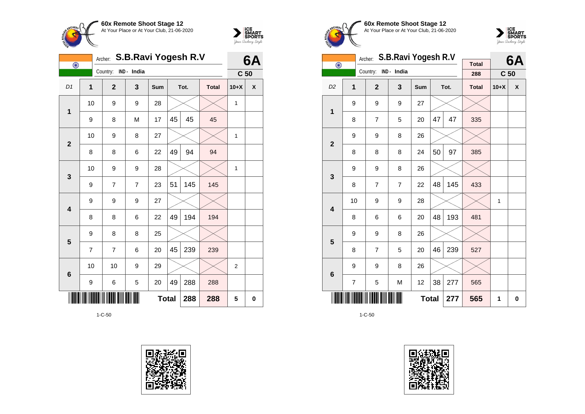



| $\overline{\odot}$ | Archer:        | S.B.Ravi Yogesh R.V  |   | 6A           |    |      |              |                 |   |
|--------------------|----------------|----------------------|---|--------------|----|------|--------------|-----------------|---|
|                    |                | Country: IND - India |   |              |    |      |              | C <sub>50</sub> |   |
| D1                 | 1              | $\mathbf{2}$         | 3 | Sum          |    | Tot. | <b>Total</b> | $10+X$          | χ |
| $\mathbf{1}$       | 10             | 9                    | 9 | 28           |    |      |              | $\mathbf{1}$    |   |
|                    | 9              | 8                    | M | 17           | 45 | 45   | 45           |                 |   |
| $\mathbf{2}$       | 10             | 9                    | 8 | 27           |    |      |              | 1               |   |
|                    | 8              | 8                    | 6 | 22           | 49 | 94   | 94           |                 |   |
| 3                  | 10             | 9                    | 9 | 28           |    |      |              | 1               |   |
|                    | 9              | 7                    | 7 | 23           | 51 | 145  | 145          |                 |   |
| 4                  | 9              | 9                    | 9 | 27           |    |      |              |                 |   |
|                    | 8              | 8                    | 6 | 22           | 49 | 194  | 194          |                 |   |
| 5                  | 9              | 8                    | 8 | 25           |    |      |              |                 |   |
|                    | $\overline{7}$ | $\overline{7}$       | 6 | 20           | 45 | 239  | 239          |                 |   |
| $6\phantom{1}6$    | 10             | 10                   | 9 | 29           |    |      |              | $\overline{2}$  |   |
|                    | 9              | 6                    | 5 | 20           | 49 | 288  | 288          |                 |   |
|                    |                |                      |   | <b>Total</b> |    | 288  | 288          | 5               | 0 |









|                         |                     | Archer:        | S.B.Ravi Yogesh R.V |     |    | 6A   |              |                 |                    |
|-------------------------|---------------------|----------------|---------------------|-----|----|------|--------------|-----------------|--------------------|
| $\bigodot$              |                     | Country:       | IND - India         |     |    |      | <b>Total</b> |                 |                    |
|                         |                     |                |                     |     |    |      | 288          | C <sub>50</sub> |                    |
| D <sub>2</sub>          | 1                   | $\overline{2}$ | $\mathbf{3}$        | Sum |    | Tot. | <b>Total</b> | $10+X$          | $\pmb{\mathsf{X}}$ |
| $\mathbf 1$             | 9                   | 9              | 9                   | 27  |    |      |              |                 |                    |
|                         | 8                   | $\overline{7}$ | 5                   | 20  | 47 | 47   | 335          |                 |                    |
| $\overline{\mathbf{2}}$ | 9                   | 9              | 8                   | 26  |    |      |              |                 |                    |
|                         | 8                   | 8              | 8                   | 24  | 50 | 97   | 385          |                 |                    |
| 3                       | 9                   | 9              | 8                   | 26  |    |      |              |                 |                    |
|                         | 8                   | $\overline{7}$ | $\overline{7}$      | 22  | 48 | 145  | 433          |                 |                    |
| $\overline{\mathbf{4}}$ | 10                  | 9              | 9                   | 28  |    |      |              | 1               |                    |
|                         | 8                   | 6              | 6                   | 20  | 48 | 193  | 481          |                 |                    |
| 5                       | 9                   | 9              | 8                   | 26  |    |      |              |                 |                    |
|                         | 8                   | $\overline{7}$ | 5                   | 20  | 46 | 239  | 527          |                 |                    |
| $\bf 6$                 | 9                   | 9              | 8                   | 26  |    |      |              |                 |                    |
|                         | $\overline{7}$      | 5              | M                   | 12  | 38 | 277  | 565          |                 |                    |
|                         | <b>Total</b><br>277 |                |                     |     |    |      |              | 1               | 0                  |

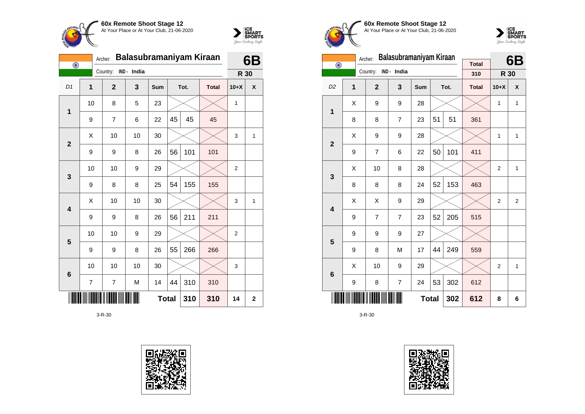



| $\overline{\odot}$ |    | Archer:        | Balasubramaniyam Kiraan |     |              |      |              |                | 6B          |
|--------------------|----|----------------|-------------------------|-----|--------------|------|--------------|----------------|-------------|
|                    |    | Country:       | IND - India             |     |              |      |              | R 30           |             |
| D1                 | 1  | $\overline{2}$ | 3                       | Sum |              | Tot. | <b>Total</b> | $10+X$         | X           |
| $\mathbf{1}$       | 10 | 8              | 5                       | 23  |              |      |              | 1              |             |
|                    | 9  | 7              | 6                       | 22  | 45           | 45   | 45           |                |             |
| $\overline{2}$     | X  | 10             | 10                      | 30  |              |      |              | 3              | 1           |
|                    | 9  | 9              | 8                       | 26  | 56           | 101  | 101          |                |             |
| 3                  | 10 | 10             | 9                       | 29  |              |      |              | $\overline{2}$ |             |
|                    | 9  | 8              | 8                       | 25  | 54           | 155  | 155          |                |             |
| 4                  | Χ  | 10             | 10                      | 30  |              |      |              | 3              | 1           |
|                    | 9  | 9              | 8                       | 26  | 56           | 211  | 211          |                |             |
| 5                  | 10 | 10             | 9                       | 29  |              |      |              | $\overline{2}$ |             |
|                    | 9  | 9              | 8                       | 26  | 55           | 266  | 266          |                |             |
| $6\phantom{1}6$    | 10 | 10             | 10                      | 30  |              |      |              | 3              |             |
|                    | 7  | 7              | M                       | 14  | 44           | 310  | 310          |                |             |
|                    |    |                |                         |     | <b>Total</b> | 310  | 310          | 14             | $\mathbf 2$ |





**60x Remote Shoot Stage 12** At Your Place or At Your Club, 21-06-2020



|                         |                                | Archer:              | Balasubramaniyam Kiraan |     |    | 6B   |                     |        |              |
|-------------------------|--------------------------------|----------------------|-------------------------|-----|----|------|---------------------|--------|--------------|
| $\bigodot$              |                                | Country: IND - India |                         |     |    |      | <b>Total</b><br>310 | R 30   |              |
| D <sub>2</sub>          | $\overline{1}$                 | $\overline{2}$       | 3                       | Sum |    | Tot. | <b>Total</b>        | $10+X$ | X            |
| 1                       | X                              | 9                    | 9                       | 28  |    |      |                     | 1      | $\mathbf{1}$ |
|                         | 8                              | 8                    | $\overline{7}$          | 23  | 51 | 51   | 361                 |        |              |
| $\overline{2}$          | X                              | 9                    | 9                       | 28  |    |      |                     | 1      | 1            |
|                         | 50<br>101<br>9<br>7<br>6<br>22 |                      |                         |     |    |      |                     |        |              |
| 3                       | X                              | 10                   | 8                       | 28  |    |      |                     | 2      | 1            |
|                         | 8                              | 8                    | 8                       | 24  | 52 | 153  | 463                 |        |              |
| $\overline{\mathbf{4}}$ | X                              | X                    | 9                       | 29  |    |      |                     | 2      | 2            |
|                         | 9                              | $\overline{7}$       | $\overline{7}$          | 23  | 52 | 205  | 515                 |        |              |
| 5                       | 9                              | 9                    | 9                       | 27  |    |      |                     |        |              |
|                         | 9                              | 8                    | M                       | 17  | 44 | 249  | 559                 |        |              |
| $6\phantom{1}$          | X                              | 10                   | 9                       | 29  |    |      |                     | 2      | $\mathbf{1}$ |
|                         | 9                              | 8                    | $\overline{7}$          | 24  | 53 | 302  | 612                 |        |              |
|                         | <b>Total</b><br>302            |                      |                         |     |    |      |                     | 8      | 6            |

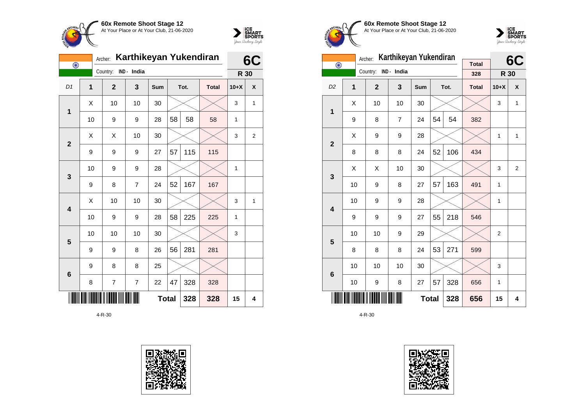



| $\bigodot$      |                | Karthikeyan Yukendiran<br>Archer: |                |     |              |      |              |        |              |  |
|-----------------|----------------|-----------------------------------|----------------|-----|--------------|------|--------------|--------|--------------|--|
|                 |                | Country:                          | IND - India    |     |              |      |              | R 30   |              |  |
| D1              | $\overline{1}$ | $\mathbf{2}$                      | 3              | Sum |              | Tot. | <b>Total</b> | $10+X$ | X            |  |
| 1               | X              | 10                                | 10             | 30  |              |      |              | 3      | $\mathbf{1}$ |  |
|                 | 10             | 9                                 | 9              | 28  | 58           | 58   | 58           | 1      |              |  |
| $\overline{2}$  | X              | X                                 | 10             | 30  |              |      |              | 3      | 2            |  |
|                 | 9              | 9                                 | 9              | 27  | 57           | 115  | 115          |        |              |  |
| 3               | 10             | 9                                 | 9              | 28  |              |      |              | 1      |              |  |
|                 | 9              | 8                                 | 7              | 24  | 52           | 167  | 167          |        |              |  |
| 4               | X              | 10                                | 10             | 30  |              |      |              | 3      | 1            |  |
|                 | 10             | 9                                 | 9              | 28  | 58           | 225  | 225          | 1      |              |  |
| 5               | 10             | 10                                | 10             | 30  |              |      |              | 3      |              |  |
|                 | 9              | 9                                 | 8              | 26  | 56           | 281  | 281          |        |              |  |
| $6\phantom{1}6$ | 9              | 8                                 | 8              | 25  |              |      |              |        |              |  |
|                 | 8              | 7                                 | $\overline{7}$ | 22  | 47           | 328  | 328          |        |              |  |
|                 |                |                                   |                |     | <b>Total</b> | 328  | 328          | 15     | 4            |  |





**60x Remote Shoot Stage 12** At Your Place or At Your Club, 21-06-2020



|                         | Karthikeyan Yukendiran<br>Archer:                  |                |                     |     |     |      |                     |                | 6C             |
|-------------------------|----------------------------------------------------|----------------|---------------------|-----|-----|------|---------------------|----------------|----------------|
| $\bigodot$              |                                                    | Country:       | IND - India         |     |     |      | <b>Total</b><br>328 | R 30           |                |
| D <sub>2</sub>          | $\overline{1}$                                     | $\overline{2}$ | 3                   | Sum |     | Tot. | <b>Total</b>        | $10+X$         | X              |
|                         | Χ                                                  | 10             | 10                  | 30  |     |      |                     | 3              | 1              |
| 1                       | 9                                                  | 8              | 7                   | 24  | 54  | 54   | 382                 |                |                |
|                         | X                                                  | 9              | 9                   | 28  |     |      |                     | 1              | 1              |
|                         | $\overline{\mathbf{2}}$<br>52<br>8<br>8<br>24<br>8 |                |                     |     |     | 106  | 434                 |                |                |
| 3                       | Χ                                                  | X              | 10                  | 30  |     |      |                     | 3              | $\overline{2}$ |
|                         | 10                                                 | 9              | 8                   | 27  | 57  | 163  | 491                 | 1              |                |
| $\overline{\mathbf{4}}$ | 10                                                 | 9              | 9                   | 28  |     |      |                     | 1              |                |
|                         | 9                                                  | 9              | 9                   | 27  | 55  | 218  | 546                 |                |                |
| 5                       | 10                                                 | 10             | 9                   | 29  |     |      |                     | $\overline{2}$ |                |
|                         | 8                                                  | 8              | 8                   | 24  | 53  | 271  | 599                 |                |                |
| 6                       | 10                                                 | 10             | 10                  | 30  |     |      |                     | 3              |                |
|                         | 10                                                 | 8              | 27                  | 57  | 328 | 656  | 1                   |                |                |
|                         |                                                    |                | <b>Total</b><br>328 |     |     | 656  | 15                  | 4              |                |

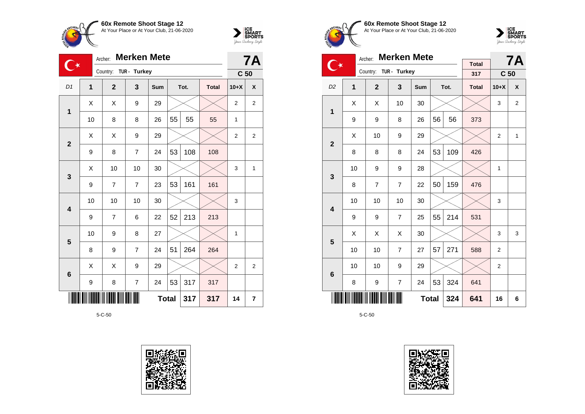



| <b>Merken Mete</b><br>Archer: |                |                |                |            |              |      |              |                 | <b>7A</b>        |
|-------------------------------|----------------|----------------|----------------|------------|--------------|------|--------------|-----------------|------------------|
|                               |                | Country:       | TUR - Turkey   |            |              |      |              | C <sub>50</sub> |                  |
| D <sub>1</sub>                | $\overline{1}$ | $\mathbf{2}$   | 3              | <b>Sum</b> |              | Tot. | <b>Total</b> | $10+X$          | X                |
| 1                             | X              | Χ              | 9              | 29         |              |      |              | $\overline{2}$  | $\boldsymbol{2}$ |
|                               | 10             | 8              | 8              | 26         | 55           | 55   | 55           | $\mathbf{1}$    |                  |
| $\overline{2}$                | X              | X              | 9              | 29         |              |      |              | $\overline{2}$  | $\overline{2}$   |
|                               | 9              | 8              | $\overline{7}$ | 24         | 53           | 108  | 108          |                 |                  |
| 3                             | X              | 10             | 10             | 30         |              |      |              | 3               | $\mathbf{1}$     |
|                               | 9              | 7              | $\overline{7}$ | 23         | 53           | 161  | 161          |                 |                  |
| 4                             | 10             | 10             | 10             | 30         |              |      |              | 3               |                  |
|                               | 9              | $\overline{7}$ | 6              | 22         | 52           | 213  | 213          |                 |                  |
| 5                             | 10             | 9              | 8              | 27         |              |      |              | 1               |                  |
|                               | 8              | 9              | $\overline{7}$ | 24         | 51           | 264  | 264          |                 |                  |
| $6\phantom{1}6$               | X              | X              | 9              | 29         |              |      |              | $\overline{2}$  | $\overline{2}$   |
|                               | 9              | 8              | $\overline{7}$ | 24         | 53           | 317  | 317          |                 |                  |
|                               |                |                |                |            | <b>Total</b> | 317  | 317          | 14              | 7                |









|                         |                                                  | <b>Merken Mete</b><br>Archer: |                |     |    | <b>7A</b> |                     |                 |                |
|-------------------------|--------------------------------------------------|-------------------------------|----------------|-----|----|-----------|---------------------|-----------------|----------------|
|                         |                                                  | Country:                      | TUR - Turkey   |     |    |           | <b>Total</b><br>317 | C <sub>50</sub> |                |
|                         |                                                  |                               |                |     |    |           |                     |                 |                |
| D <sub>2</sub>          | 1                                                | $\overline{2}$                | 3              | Sum |    | Tot.      | <b>Total</b>        | $10+X$          | X              |
| $\mathbf{1}$            | Χ                                                | X                             | 10             | 30  |    |           |                     | 3               | $\overline{2}$ |
|                         | 9                                                | 9                             | 8              | 26  | 56 | 56        | 373                 |                 |                |
|                         | X                                                | 10                            | 9              | 29  |    |           |                     | $\overline{2}$  | $\mathbf{1}$   |
|                         | $\overline{2}$<br>53<br>109<br>8<br>8<br>8<br>24 |                               |                |     |    |           |                     |                 |                |
| 3                       | 10                                               | 9                             | 9              | 28  |    |           |                     | $\mathbf{1}$    |                |
|                         | 8                                                | $\overline{7}$                | $\overline{7}$ | 22  | 50 | 159       | 476                 |                 |                |
| $\overline{\mathbf{4}}$ | 10                                               | 10                            | 10             | 30  |    |           |                     | 3               |                |
|                         | 9                                                | 9                             | $\overline{7}$ | 25  | 55 | 214       | 531                 |                 |                |
| 5                       | X                                                | X                             | X              | 30  |    |           |                     | 3               | 3              |
|                         | 10                                               | 10                            | $\overline{7}$ | 27  | 57 | 271       | 588                 | 2               |                |
| $6\phantom{1}$          | 10                                               | 10                            | 9              | 29  |    |           |                     | $\overline{2}$  |                |
|                         | 8                                                | 9                             | $\overline{7}$ | 24  | 53 | 324       | 641                 |                 |                |
|                         | <b>Total</b><br>324                              |                               |                |     |    |           |                     | 16              | 6              |

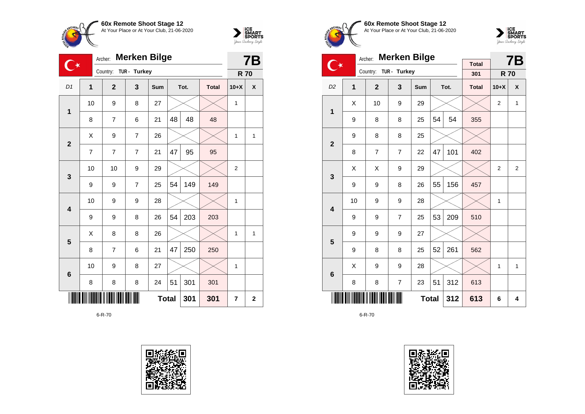



| <b>Merken Bilge</b><br>Archer:<br>ή, |                |                |                |            |              |      |              |                | <b>7B</b>    |  |
|--------------------------------------|----------------|----------------|----------------|------------|--------------|------|--------------|----------------|--------------|--|
|                                      |                | Country:       | TUR - Turkey   |            |              |      |              | <b>R70</b>     |              |  |
| D1                                   | 1              | $\mathbf{2}$   | 3              | <b>Sum</b> |              | Tot. | <b>Total</b> | $10+X$         | X            |  |
| 1                                    | 10             | 9              | 8              | 27         |              |      |              | 1              |              |  |
|                                      | 8              | 7              | 6              | 21         | 48           | 48   | 48           |                |              |  |
| $\overline{2}$                       | X              | 9              | $\overline{7}$ | 26         |              |      |              | 1              | $\mathbf{1}$ |  |
|                                      | $\overline{7}$ | $\overline{7}$ | 7              | 21         | 47           | 95   | 95           |                |              |  |
| 3                                    | 10             | 10             | 9              | 29         |              |      |              | $\overline{2}$ |              |  |
|                                      | 9              | 9              | 7              | 25         | 54           | 149  | 149          |                |              |  |
| $\overline{\mathbf{4}}$              | 10             | 9              | 9              | 28         |              |      |              | 1              |              |  |
|                                      | 9              | 9              | 8              | 26         | 54           | 203  | 203          |                |              |  |
| 5                                    | X              | 8              | 8              | 26         |              |      |              | 1              | $\mathbf{1}$ |  |
|                                      | 8              | 7              | 6              | 21         | 47           | 250  | 250          |                |              |  |
| $6\phantom{1}6$                      | 10             | 9              | 8              | 27         |              |      |              | 1              |              |  |
|                                      | 8              | 8              | 8              | 24         | 51           | 301  | 301          |                |              |  |
|                                      |                |                |                |            | <b>Total</b> | 301  | 301          | $\overline{7}$ | $\mathbf{2}$ |  |









|                         |                     | <b>Merken Bilge</b><br>Archer: |                |     |    | <b>7B</b> |                     |                |              |
|-------------------------|---------------------|--------------------------------|----------------|-----|----|-----------|---------------------|----------------|--------------|
| O                       |                     | Country:                       | TUR - Turkey   |     |    |           | <b>Total</b><br>301 | <b>R70</b>     |              |
| D <sub>2</sub>          | 1                   | $\overline{2}$                 | 3              | Sum |    | Tot.      | <b>Total</b>        | $10+X$         | X            |
| 1                       | Χ                   | 10                             | 9              | 29  |    |           |                     | $\overline{2}$ | 1            |
|                         | 9                   | 8                              | 8              | 25  | 54 | 54        | 355                 |                |              |
| $\overline{\mathbf{2}}$ | 9                   | 8                              | 8              | 25  |    |           |                     |                |              |
|                         | 8                   | $\overline{7}$                 | $\overline{7}$ | 22  | 47 | 101       | 402                 |                |              |
| 3                       | X                   | X                              | 9              | 29  |    |           |                     | $\overline{2}$ | 2            |
|                         | 9                   | 9                              | 8              | 26  | 55 | 156       | 457                 |                |              |
| $\overline{\mathbf{4}}$ | 10                  | 9                              | 9              | 28  |    |           |                     | 1              |              |
|                         | 9                   | 9                              | $\overline{7}$ | 25  | 53 | 209       | 510                 |                |              |
| 5                       | 9                   | 9                              | 9              | 27  |    |           |                     |                |              |
|                         | 9                   | 8                              | 8              | 25  | 52 | 261       | 562                 |                |              |
| 6                       | X                   | 9                              | 9              | 28  |    |           |                     | $\mathbf{1}$   | $\mathbf{1}$ |
|                         | 8                   | 8                              | $\overline{7}$ | 23  | 51 | 312       | 613                 |                |              |
|                         | <b>Total</b><br>312 |                                |                |     |    |           |                     | 6              | 4            |

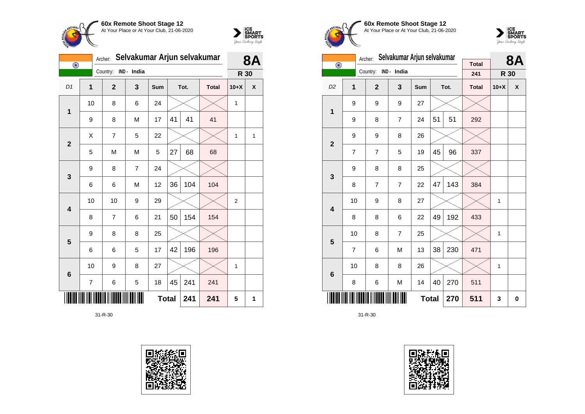



| $\overline{\odot}$ | Archer:        | Selvakumar Arjun selvakumar | <b>8A</b>   |     |              |      |              |                |   |
|--------------------|----------------|-----------------------------|-------------|-----|--------------|------|--------------|----------------|---|
|                    |                | Country:                    | IND - India |     |              |      |              | R 30           |   |
| D <sub>1</sub>     | $\overline{1}$ | $\overline{2}$              | 3           | Sum |              | Tot. | <b>Total</b> | $10+X$         | X |
| 1                  | 10             | 8                           | 6           | 24  |              |      |              | 1              |   |
|                    | 9              | 8                           | M           | 17  | 41           | 41   | 41           |                |   |
| $\overline{2}$     | X              | 7                           | 5           | 22  |              |      |              | 1              | 1 |
|                    | 5              | M                           | M           | 5   | 27           | 68   | 68           |                |   |
| 3                  | 9              | 8                           | 7           | 24  |              |      |              |                |   |
|                    | 6              | 6                           | M           | 12  | 36           | 104  | 104          |                |   |
| 4                  | 10             | 10                          | 9           | 29  |              |      |              | $\overline{2}$ |   |
|                    | 8              | 7                           | 6           | 21  | 50           | 154  | 154          |                |   |
| 5                  | 9              | 8                           | 8           | 25  |              |      |              |                |   |
|                    | 6              | 6                           | 5           | 17  | 42           | 196  | 196          |                |   |
| 6                  | 10             | 9                           | 8           | 27  |              |      |              | 1              |   |
|                    | $\overline{7}$ | 6                           | 5           | 18  | 45           | 241  | 241          |                |   |
|                    |                |                             |             |     | <b>Total</b> | 241  | 241          | 5              | 1 |





**60x Remote Shoot Stage 12** At Your Place or At Your Club, 21-06-2020



|                         |                | Archer:        | Selvakumar Arjun selvakumar |              |    | <b>8A</b> |                     |        |   |
|-------------------------|----------------|----------------|-----------------------------|--------------|----|-----------|---------------------|--------|---|
| $\overline{\odot}$      |                | Country:       | IND - India                 |              |    |           | <b>Total</b><br>241 | R 30   |   |
| D <sub>2</sub>          | 1              | $\overline{2}$ | 3                           | <b>Sum</b>   |    | Tot.      | <b>Total</b>        | $10+X$ | X |
| 1                       | 9              | 9              | 9                           | 27           |    |           |                     |        |   |
|                         | 9              | 8              | $\overline{7}$              | 24           | 51 | 51        | 292                 |        |   |
| $\overline{\mathbf{2}}$ | 9              | 9              | 8                           | 26           |    |           |                     |        |   |
|                         | 7              | 7              | 5                           | 19           | 45 | 96        | 337                 |        |   |
| 3                       | 9              | 8              | 8                           | 25           |    |           |                     |        |   |
|                         | 8              | 7              | $\overline{7}$              | 22           | 47 | 143       | 384                 |        |   |
| $\overline{\mathbf{4}}$ | 10             | 9              | 8                           | 27           |    |           |                     | 1      |   |
|                         | 8              | 8              | 6                           | 22           | 49 | 192       | 433                 |        |   |
| 5                       | 10             | 8              | $\overline{7}$              | 25           |    |           |                     | 1      |   |
|                         | $\overline{7}$ | 6              | M                           | 13           | 38 | 230       | 471                 |        |   |
| $6\phantom{1}6$         | 10             | 8              | 8                           | 26           |    |           |                     | 1      |   |
|                         | 8              | 6              | M                           | 14           | 40 | 270       | 511                 |        |   |
|                         |                |                |                             | <b>Total</b> |    | 270       | 511                 | 3      | 0 |

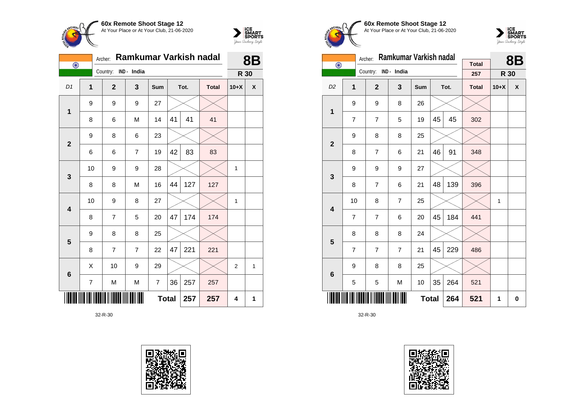



| $\overline{\odot}$ |                | Archer: | Ramkumar Varkish nadal | 8B             |     |              |      |              |                |   |
|--------------------|----------------|---------|------------------------|----------------|-----|--------------|------|--------------|----------------|---|
|                    |                |         | Country:               | IND - India    |     |              |      |              | R 30           |   |
| D1                 | $\mathbf{1}$   |         | $\overline{2}$         | 3              | Sum |              | Tot. | <b>Total</b> | $10+X$         | X |
| $\mathbf 1$        | 9              |         | 9                      | 9              | 27  |              |      |              |                |   |
|                    | 8              |         | 6                      | M              | 14  | 41           | 41   | 41           |                |   |
| $\overline{2}$     | 9              |         | 8                      | 6              | 23  |              |      |              |                |   |
|                    | 6              |         | 6                      | $\overline{7}$ | 19  | 42           | 83   | 83           |                |   |
| $\mathbf{3}$       | 10             |         | 9                      | 9              | 28  |              |      |              | $\mathbf{1}$   |   |
|                    | 8              |         | 8                      | M              | 16  | 44           | 127  | 127          |                |   |
| 4                  | 10             |         | 9                      | 8              | 27  |              |      |              | $\mathbf 1$    |   |
|                    | 8              |         | $\overline{7}$         | 5              | 20  | 47           | 174  | 174          |                |   |
| 5                  | 9              |         | 8                      | 8              | 25  |              |      |              |                |   |
|                    | 8              |         | $\overline{7}$         | $\overline{7}$ | 22  | 47           | 221  | 221          |                |   |
| $\bf 6$            | X              |         | 10                     | 9              | 29  |              |      |              | $\overline{2}$ | 1 |
|                    | $\overline{7}$ |         | M                      | M              | 7   | 36           | 257  | 257          |                |   |
|                    |                |         |                        |                |     | <b>Total</b> | 257  | 257          | 4              | 1 |





**60x Remote Shoot Stage 12** At Your Place or At Your Club, 21-06-2020



|                         | Ramkumar Varkish nadal<br>Archer: |                |                |              |    |      |                     |        | <b>8B</b> |
|-------------------------|-----------------------------------|----------------|----------------|--------------|----|------|---------------------|--------|-----------|
| $\bigodot$              |                                   | Country:       | IND - India    |              |    |      | <b>Total</b><br>257 | R 30   |           |
| D <sub>2</sub>          | 1                                 | $\overline{2}$ | 3              | Sum          |    | Tot. | <b>Total</b>        | $10+X$ | X         |
| $\mathbf 1$             | 9                                 | 9              | 8              | 26           |    |      |                     |        |           |
|                         | 7                                 | $\overline{7}$ | 5              | 19           | 45 | 45   | 302                 |        |           |
| $\overline{2}$          | 9                                 | 8              | 8              | 25           |    |      |                     |        |           |
|                         | 8                                 | $\overline{7}$ | 6              | 21           | 46 | 91   | 348                 |        |           |
| 3                       | 9                                 | 9              | 9              | 27           |    |      |                     |        |           |
|                         | 8                                 | $\overline{7}$ | 6              | 21           | 48 | 139  | 396                 |        |           |
| $\overline{\mathbf{4}}$ | 10                                | 8              | $\overline{7}$ | 25           |    |      |                     | 1      |           |
|                         | $\overline{7}$                    | $\overline{7}$ | 6              | 20           | 45 | 184  | 441                 |        |           |
| 5                       | 8                                 | 8              | 8              | 24           |    |      |                     |        |           |
|                         | $\overline{7}$                    | $\overline{7}$ | $\overline{7}$ | 21           | 45 | 229  | 486                 |        |           |
| $6\phantom{1}6$         | 9                                 | 8              | 8              | 25           |    |      |                     |        |           |
|                         | 5                                 | 5              | M              | 10           | 35 | 264  | 521                 |        |           |
|                         |                                   |                |                | <b>Total</b> |    | 264  | 521                 | 1      | 0         |

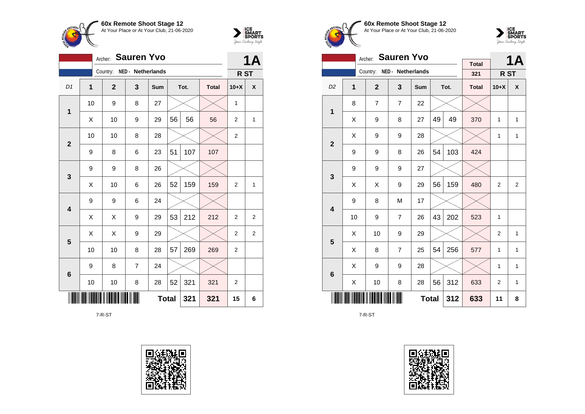



|                | <b>1A</b>                  |              |                   |     |    |      |              |                  |                |
|----------------|----------------------------|--------------|-------------------|-----|----|------|--------------|------------------|----------------|
|                |                            | Country:     | NED - Netherlands |     |    |      |              | R <sub>ST</sub>  |                |
| D1             | $\mathbf{1}$               | $\mathbf{2}$ | 3                 | Sum |    | Tot. | <b>Total</b> | $10+X$           | χ              |
| $\mathbf{1}$   | 10                         | 9            | 8                 | 27  |    |      |              | $\mathbf{1}$     |                |
|                | X                          | 10           | 9                 | 29  | 56 | 56   | 56           | 2                | 1              |
| $\overline{2}$ | 10                         | 10           | 8                 | 28  |    |      |              | $\boldsymbol{2}$ |                |
|                | 9                          | 8            | 6                 | 23  | 51 | 107  | 107          |                  |                |
|                | 9                          | 9            | 8                 | 26  |    |      |              |                  |                |
| 3              | X                          | 10           | 6                 | 26  | 52 | 159  | 159          | 2                | 1              |
| 4              | 9                          | 9            | 6                 | 24  |    |      |              |                  |                |
|                | X                          | X            | 9                 | 29  | 53 | 212  | 212          | $\overline{2}$   | $\overline{2}$ |
| 5              | X                          | Χ            | 9                 | 29  |    |      |              | $\overline{2}$   | $\overline{2}$ |
|                | 10                         | 10           | 8                 | 28  | 57 | 269  | 269          | $\overline{2}$   |                |
| 6              | 9                          | 8            | $\overline{7}$    | 24  |    |      |              |                  |                |
|                | 10                         | 10           | 8                 | 28  | 52 | 321  | 321          | $\overline{c}$   |                |
|                | <b>Total</b><br>321<br>321 |              |                   |     |    |      |              |                  |                |

7-R-ST





**60x Remote Shoot Stage 12** At Your Place or At Your Club, 21-06-2020



|                         |                                 | <b>Sauren Yvo</b><br>Archer: |                   |              |    | <b>1A</b> |                     |                         |                |
|-------------------------|---------------------------------|------------------------------|-------------------|--------------|----|-----------|---------------------|-------------------------|----------------|
|                         |                                 | Country:                     | NED - Netherlands |              |    |           | <b>Total</b><br>321 | R <sub>ST</sub>         |                |
|                         |                                 |                              |                   |              |    |           |                     |                         |                |
| D <sub>2</sub>          | 1                               | $\overline{2}$               | 3                 | Sum          |    | Tot.      | <b>Total</b>        | $10+X$                  | X              |
| 1                       | 8                               | $\overline{7}$               | $\overline{7}$    | 22           |    |           |                     |                         |                |
|                         | X                               | 9                            | 8                 | 27           | 49 | 49        | 370                 | 1                       | 1              |
| $\overline{2}$          | X                               | 9                            | 9                 | 28           |    |           |                     | 1                       | 1              |
|                         | 9                               | 9                            | 8                 | 26           | 54 | 103       | 424                 |                         |                |
| 3                       | 9                               | 9                            | 9                 | 27           |    |           |                     |                         |                |
|                         | Χ                               | Χ                            | 9                 | 29           | 56 | 159       | 480                 | $\overline{2}$          | $\overline{2}$ |
| $\overline{\mathbf{4}}$ | 9                               | 8                            | M                 | 17           |    |           |                     |                         |                |
|                         | 10                              | 9                            | 7                 | 26           | 43 | 202       | 523                 | 1                       |                |
| 5                       | X                               | 10                           | 9                 | 29           |    |           |                     | $\overline{2}$          | 1              |
|                         | X                               | 8                            | 7                 | 25           | 54 | 256       | 577                 | 1                       | 1              |
| 6                       | Χ                               | 9                            | 9                 | 28           |    |           |                     | 1                       | 1              |
|                         | 56<br>312<br>X<br>10<br>8<br>28 |                              |                   |              |    |           |                     | $\overline{\mathbf{c}}$ | 1              |
|                         |                                 |                              |                   | <b>Total</b> |    | 312       | 633                 | 11                      | 8              |

7-R-ST

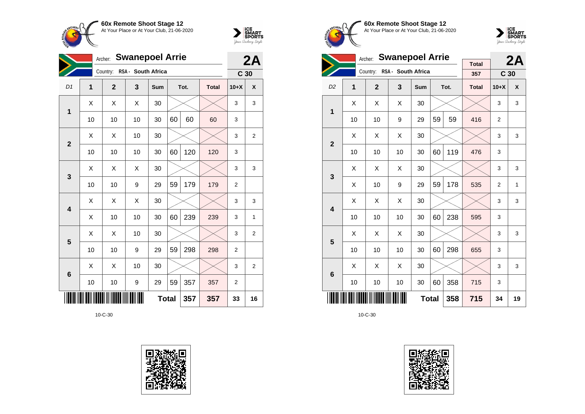



|                 | <b>Swanepoel Arrie</b><br>Archer: |                |                    |              |     |      |              |                 |                |
|-----------------|-----------------------------------|----------------|--------------------|--------------|-----|------|--------------|-----------------|----------------|
|                 |                                   | Country:       | RSA - South Africa |              |     |      |              | C <sub>30</sub> |                |
| D <sub>1</sub>  | $\overline{1}$                    | $\overline{2}$ | 3                  | Sum          |     | Tot. | <b>Total</b> | $10+X$          | X              |
| 1               | X                                 | X              | X                  | 30           |     |      |              | 3               | 3              |
|                 | 10                                | 10             | 10                 | 30           | 60  | 60   | 60           | 3               |                |
| $\overline{2}$  | X                                 | X              | 10                 | 30           |     |      |              | 3               | 2              |
|                 | 10                                | 10             | 10                 | 30           | 60  | 120  | 120          | 3               |                |
| 3               | X                                 | X              | X                  | 30           |     |      |              | 3               | 3              |
|                 | 10                                | 10             | 9                  | 29           | 59  | 179  | 179          | $\overline{2}$  |                |
| 4               | X                                 | X              | Χ                  | 30           |     |      |              | 3               | 3              |
|                 | Χ                                 | 10             | 10                 | 30           | 60  | 239  | 239          | 3               | 1              |
| 5               | X                                 | X              | 10                 | 30           |     |      |              | 3               | 2              |
|                 | 10                                | 10             | 9                  | 29           | 59  | 298  | 298          | $\overline{2}$  |                |
| $6\phantom{1}6$ | X                                 | X              | 10                 | 30           |     |      |              | 3               | $\overline{2}$ |
|                 | 10                                | 10             | 9                  | 29           | 59  | 357  | 357          | 2               |                |
|                 |                                   |                |                    | <b>Total</b> | 357 | 357  | 33           | 16              |                |





**60x Remote Shoot Stage 12** At Your Place or At Your Club, 21-06-2020



|                         |                            | <b>Swanepoel Arrie</b><br>Archer: |                    |              |    | 2A   |                     |                 |    |
|-------------------------|----------------------------|-----------------------------------|--------------------|--------------|----|------|---------------------|-----------------|----|
|                         |                            | Country:                          | RSA - South Africa |              |    |      | <b>Total</b><br>357 | C <sub>30</sub> |    |
| D <sub>2</sub>          | 1                          | $\overline{2}$                    | 3                  | <b>Sum</b>   |    | Tot. | <b>Total</b>        | $10+X$          | X  |
| 1                       | Χ                          | X                                 | X                  | 30           |    |      |                     | 3               | 3  |
|                         | 10                         | 10                                | 9                  | 29           | 59 | 59   | 416                 | $\overline{2}$  |    |
| $\overline{\mathbf{2}}$ | X                          | X                                 | X                  | 30           |    |      |                     | 3               | 3  |
|                         | 10                         | 10                                | 10                 | 30           | 60 | 119  | 476                 | 3               |    |
| 3                       | X                          | X                                 | X                  | 30           |    |      |                     | 3               | 3  |
|                         | Χ                          | 10                                | 9                  | 29           | 59 | 178  | 535                 | $\overline{2}$  | 1  |
| $\overline{\mathbf{4}}$ | Χ                          | Χ                                 | X                  | 30           |    |      |                     | 3               | 3  |
|                         | 10                         | 10                                | 10                 | 30           | 60 | 238  | 595                 | 3               |    |
| 5                       | Χ                          | Χ                                 | X                  | 30           |    |      |                     | 3               | 3  |
|                         | 10                         | 10                                | 10                 | 30           | 60 | 298  | 655                 | 3               |    |
| $6\phantom{1}6$         | X                          | X                                 | X                  | 30           |    |      |                     | 3               | 3  |
|                         | 60<br>10<br>10<br>10<br>30 |                                   |                    |              |    |      | 715                 | 3               |    |
|                         |                            |                                   |                    | <b>Total</b> |    | 358  | 715                 | 34              | 19 |

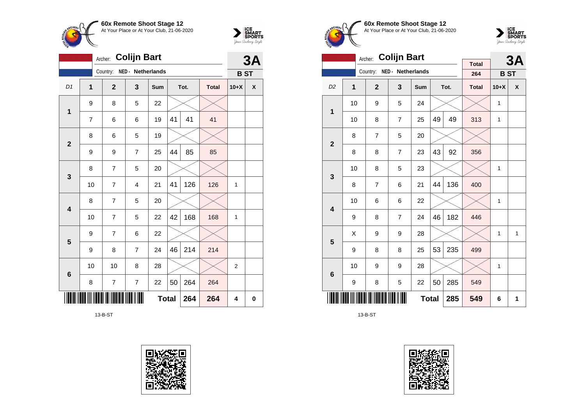



|                         | <b>Colijn Bart</b><br>Archer: |                |                          |              |    |      |              |                |    |
|-------------------------|-------------------------------|----------------|--------------------------|--------------|----|------|--------------|----------------|----|
|                         |                               | Country:       | NED - Netherlands        |              |    |      |              | <b>BST</b>     | 3A |
| D1                      | $\overline{1}$                | $\overline{2}$ | 3                        | Sum          |    | Tot. | <b>Total</b> | $10+X$         | χ  |
| $\mathbf 1$             | 9                             | 8              | 5                        | 22           |    |      |              |                |    |
|                         | $\overline{7}$                | 6              | 6                        | 19           | 41 | 41   | 41           |                |    |
| $\overline{2}$          | 8                             | 6              | 5                        | 19           |    |      |              |                |    |
|                         | 9                             | 9              | $\overline{7}$           | 25           | 44 | 85   | 85           |                |    |
| $\mathbf{3}$            | 8                             | $\overline{7}$ | 5                        | 20           |    |      |              |                |    |
|                         | 10                            | 7              | $\overline{4}$           | 21           | 41 | 126  | 126          | 1              |    |
| $\overline{\mathbf{4}}$ | 8                             | 7              | 5                        | 20           |    |      |              |                |    |
|                         | 10                            | $\overline{7}$ | 5                        | 22           | 42 | 168  | 168          | 1              |    |
|                         | 9                             | $\overline{7}$ | 6                        | 22           |    |      |              |                |    |
| 5                       | 9                             | 8              | 7                        | 24           | 46 | 214  | 214          |                |    |
| $6\phantom{1}6$         | 10                            | 10             | 8                        | 28           |    |      |              | $\overline{2}$ |    |
|                         | 8                             | 7              | $\overline{\mathcal{I}}$ | 22           | 50 | 264  | 264          |                |    |
|                         |                               |                |                          | <b>Total</b> |    | 264  | 264          | 4              | 0  |

13-B-ST









|                         |    | <b>Colijn Bart</b><br>Archer: |                   |              |    | 3A   |              |              |              |
|-------------------------|----|-------------------------------|-------------------|--------------|----|------|--------------|--------------|--------------|
|                         |    | Country:                      | NED - Netherlands |              |    |      | <b>Total</b> |              |              |
|                         |    |                               |                   |              |    |      | 264          | <b>BST</b>   |              |
| D <sub>2</sub>          | 1  | $\overline{2}$                | 3                 | Sum          |    | Tot. | <b>Total</b> | $10+X$       | X            |
| 1                       | 10 | 9                             | 5                 | 24           |    |      |              | $\mathbf{1}$ |              |
|                         | 10 | 8                             | $\overline{7}$    | 25           | 49 | 49   | 313          | $\mathbf{1}$ |              |
| $\overline{2}$          | 8  | $\overline{7}$                | 5                 | 20           |    |      |              |              |              |
|                         | 8  | 8                             | $\overline{7}$    | 23           | 43 | 92   | 356          |              |              |
| 3                       | 10 | 8                             | 5                 | 23           |    |      |              | $\mathbf{1}$ |              |
|                         | 8  | 7                             | 6                 | 21           | 44 | 136  | 400          |              |              |
| $\overline{\mathbf{4}}$ | 10 | 6                             | 6                 | 22           |    |      |              | $\mathbf{1}$ |              |
|                         | 9  | 8                             | $\overline{7}$    | 24           | 46 | 182  | 446          |              |              |
| 5                       | X  | 9                             | 9                 | 28           |    |      |              | 1            | $\mathbf{1}$ |
|                         | 9  | 8                             | 8                 | 25           | 53 | 235  | 499          |              |              |
| 6                       | 10 | 9                             | 9                 | 28           |    |      |              | $\mathbf{1}$ |              |
|                         | 9  | 8                             | 5                 | 22           | 50 | 285  | 549          |              |              |
|                         |    |                               |                   | <b>Total</b> |    | 285  | 549          | 6            | 1            |

13-B-ST

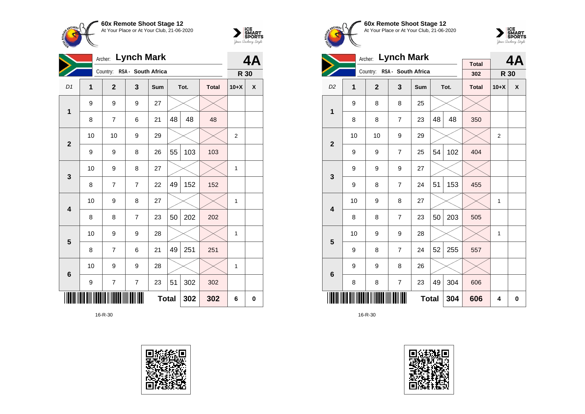



|                         |                |                | Archer: Lynch Mark          |              |    |      |              |                | 4Α |
|-------------------------|----------------|----------------|-----------------------------|--------------|----|------|--------------|----------------|----|
|                         |                |                | Country: RSA - South Africa |              |    |      |              | R 30           |    |
| D <sub>1</sub>          | $\overline{1}$ | $\overline{2}$ | 3                           | Sum          |    | Tot. | <b>Total</b> | $10+X$         | X  |
| 1                       | 9              | 9              | 9                           | 27           |    |      |              |                |    |
|                         | 8              | $\overline{7}$ | 6                           | 21           | 48 | 48   | 48           |                |    |
| $\overline{2}$          | 10             | 10             | 9                           | 29           |    |      |              | $\overline{2}$ |    |
|                         | 9              | 9              | 8                           | 26           | 55 | 103  | 103          |                |    |
| 3                       | 10             | 9              | 8                           | 27           |    |      |              | 1              |    |
|                         | 8              | $\overline{7}$ | $\overline{7}$              | 22           | 49 | 152  | 152          |                |    |
| $\overline{\mathbf{4}}$ | 10             | 9              | 8                           | 27           |    |      |              | 1              |    |
|                         | 8              | 8              | $\overline{7}$              | 23           | 50 | 202  | 202          |                |    |
| 5                       | 10             | 9              | 9                           | 28           |    |      |              | 1              |    |
|                         | 8              | $\overline{7}$ | 6                           | 21           | 49 | 251  | 251          |                |    |
| 6                       | 10             | 9              | 9                           | 28           |    |      |              | 1              |    |
|                         | 9              | $\overline{7}$ | $\overline{7}$              | 23           | 51 | 302  | 302          |                |    |
|                         |                |                |                             | <b>Total</b> |    | 302  | 302          | 6              | 0  |









|                         |    | <b>Lynch Mark</b><br>Archer: |                             |     |    | 4A   |                     |                |   |
|-------------------------|----|------------------------------|-----------------------------|-----|----|------|---------------------|----------------|---|
|                         |    |                              | Country: RSA - South Africa |     |    |      | <b>Total</b><br>302 | R 30           |   |
| D <sub>2</sub>          | 1  | $\overline{2}$               | $\mathbf{3}$                | Sum |    | Tot. | <b>Total</b>        | $10+X$         | X |
| $\overline{1}$          | 9  | 8                            | 8                           | 25  |    |      |                     |                |   |
|                         | 8  | 8                            | 7                           | 23  | 48 | 48   | 350                 |                |   |
| $\mathbf{2}$            | 10 | 10                           | 9                           | 29  |    |      |                     | $\overline{2}$ |   |
|                         | 9  | 9                            | 7                           | 25  | 54 | 102  | 404                 |                |   |
| 3                       | 9  | 9                            | 9                           | 27  |    |      |                     |                |   |
|                         | 9  | 8                            | $\overline{7}$              | 24  | 51 | 153  | 455                 |                |   |
| $\overline{\mathbf{4}}$ | 10 | 9                            | 8                           | 27  |    |      |                     | $\mathbf{1}$   |   |
|                         | 8  | 8                            | $\overline{7}$              | 23  | 50 | 203  | 505                 |                |   |
| 5                       | 10 | 9                            | 9                           | 28  |    |      |                     | 1              |   |
|                         | 9  | 8                            | $\overline{7}$              | 24  | 52 | 255  | 557                 |                |   |
| 6                       | 9  | 9                            | 8                           | 26  |    |      |                     |                |   |
|                         | 8  | 8                            | $\overline{7}$              | 23  | 49 | 304  | 606                 |                |   |
|                         |    |                              | 606                         | 4   | 0  |      |                     |                |   |

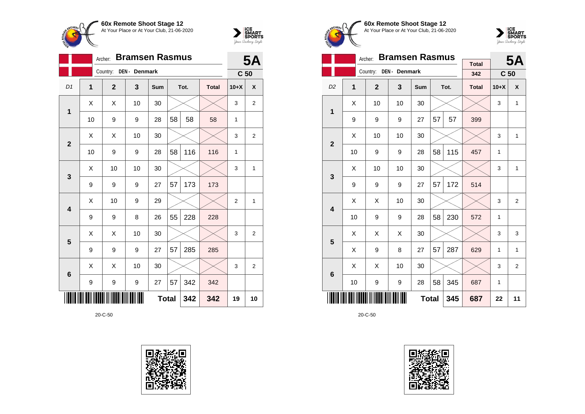



|                         | <b>Bramsen Rasmus</b><br>Archer: |                |               |              |    |      |              |                 |                |
|-------------------------|----------------------------------|----------------|---------------|--------------|----|------|--------------|-----------------|----------------|
|                         |                                  | Country:       | DEN - Denmark |              |    |      |              | C <sub>50</sub> |                |
| D1                      | $\overline{1}$                   | $\overline{2}$ | 3             | Sum          |    | Tot. | <b>Total</b> | $10+X$          | X              |
| 1                       | Χ                                | X              | 10            | 30           |    |      |              | 3               | 2              |
|                         | 10                               | 9              | 9             | 28           | 58 | 58   | 58           | 1               |                |
| $\mathbf{2}$            | X                                | X              | 10            | 30           |    |      |              | 3               | $\overline{2}$ |
|                         | 10                               | 9              | 9             | 28           | 58 | 116  | 116          | 1               |                |
| 3                       | X                                | 10             | 10            | 30           |    |      |              | 3               | $\mathbf{1}$   |
|                         | 9                                | 9              | 9             | 27           | 57 | 173  | 173          |                 |                |
| $\overline{\mathbf{4}}$ | Χ                                | 10             | 9             | 29           |    |      |              | $\overline{2}$  | 1              |
|                         | 9                                | 9              | 8             | 26           | 55 | 228  | 228          |                 |                |
|                         | Χ                                | Χ              | 10            | 30           |    |      |              | 3               | $\overline{2}$ |
| 5                       | 9                                | 9              | 9             | 27           | 57 | 285  | 285          |                 |                |
| $6\phantom{1}6$         | X                                | X              | 10            | 30           |    |      |              | 3               | $\overline{2}$ |
|                         | 9                                | 9              | 9             | 27           | 57 | 342  | 342          |                 |                |
|                         |                                  |                |               | <b>Total</b> |    | 342  | 342          | 19              | 10             |









|                         |                                 | Archer:        | <b>Bramsen Rasmus</b> |              |    | <b>5A</b> |                     |                 |                |
|-------------------------|---------------------------------|----------------|-----------------------|--------------|----|-----------|---------------------|-----------------|----------------|
|                         |                                 | Country:       | DEN - Denmark         |              |    |           | <b>Total</b><br>342 | C <sub>50</sub> |                |
| D <sub>2</sub>          | 1                               | $\overline{2}$ | 3                     | Sum          |    | Tot.      | <b>Total</b>        | $10+X$          | X              |
| 1                       | X                               | 10             | 10                    | 30           |    |           |                     | 3               | 1              |
|                         | 9                               | 9              | 9                     | 27           | 57 | 57        | 399                 |                 |                |
| $\mathbf{2}$            | Χ                               | 10             | 10                    | 30           |    |           |                     | 3               | 1              |
|                         | 10                              | 9              | 9                     | 28           | 58 | 115       | 457                 | 1               |                |
| 3                       | X                               | 10             | 10                    | 30           |    |           |                     | 3               | 1              |
|                         | 9                               | 9              | 9                     | 27           | 57 | 172       | 514                 |                 |                |
| $\overline{\mathbf{4}}$ | X                               | Χ              | 10                    | 30           |    |           |                     | 3               | 2              |
|                         | 10                              | 9              | 9                     | 28           | 58 | 230       | 572                 | 1               |                |
| 5                       | X                               | X              | Χ                     | 30           |    |           |                     | 3               | 3              |
|                         | X                               | 9              | 8                     | 27           | 57 | 287       | 629                 | 1               | 1              |
| 6                       | X                               | Χ              | 10                    | 30           |    |           |                     | 3               | $\overline{2}$ |
|                         | 58<br>345<br>10<br>9<br>9<br>28 |                |                       |              |    |           |                     | 1               |                |
|                         |                                 |                |                       | <b>Total</b> |    | 345       | 687                 | 22              | 11             |

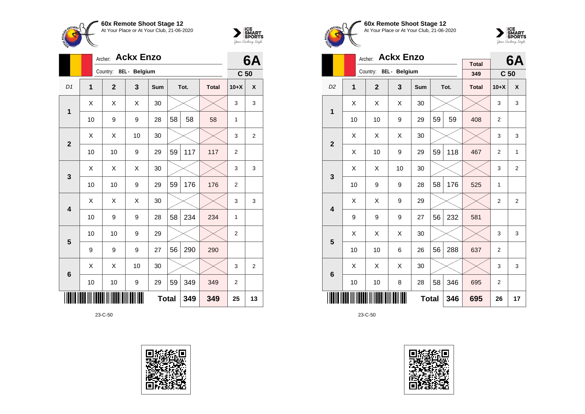



|                 | Archer: |                |                      | 6A           |    |      |              |                 |                |
|-----------------|---------|----------------|----------------------|--------------|----|------|--------------|-----------------|----------------|
|                 |         | Country:       | <b>BEL</b> - Belgium |              |    |      |              | C <sub>50</sub> |                |
| D <sub>1</sub>  | 1       | $\overline{2}$ | 3                    | <b>Sum</b>   |    | Tot. | <b>Total</b> | $10+X$          | X              |
| $\mathbf 1$     | X       | X              | X                    | 30           |    |      |              | 3               | 3              |
|                 | 10      | 9              | 9                    | 28           | 58 | 58   | 58           | 1               |                |
| $\overline{2}$  | X       | Χ              | 10                   | 30           |    |      |              | 3               | $\overline{2}$ |
|                 | 10      | 10             | 9                    | 29           | 59 | 117  | 117          | $\overline{2}$  |                |
| 3               | X       | X              | X                    | 30           |    |      |              | 3               | 3              |
|                 | 10      | 10             | 9                    | 29           | 59 | 176  | 176          | $\overline{2}$  |                |
| 4               | X       | X              | Χ                    | 30           |    |      |              | 3               | 3              |
|                 | 10      | 9              | 9                    | 28           | 58 | 234  | 234          | 1               |                |
| 5               | 10      | 10             | 9                    | 29           |    |      |              | $\overline{2}$  |                |
|                 | 9       | 9              | 9                    | 27           | 56 | 290  | 290          |                 |                |
| $6\phantom{1}6$ | X       | Χ              | 10                   | 30           |    |      |              | 3               | $\overline{2}$ |
|                 | 10      | 10             | 9                    | 29           | 59 | 349  | 349          | $\overline{2}$  |                |
|                 |         |                |                      | <b>Total</b> |    | 349  | 349          | 25              | 13             |









|                |    | Archer:                | <b>Ackx Enzo</b> |              |     |                | 6A                  |                 |                |
|----------------|----|------------------------|------------------|--------------|-----|----------------|---------------------|-----------------|----------------|
|                |    | Country: BEL - Belgium |                  |              |     |                | <b>Total</b><br>349 | C <sub>50</sub> |                |
| D <sub>2</sub> | 1  | $\overline{2}$         | 3                | <b>Sum</b>   |     | Tot.           | <b>Total</b>        | $10+X$          | X              |
| $\mathbf{1}$   | Χ  | X                      | X                | 30           |     |                |                     | 3               | 3              |
|                | 10 | 10                     | 9                | 29           | 59  | 59             | 408                 | $\overline{2}$  |                |
| $\overline{2}$ | X  | X                      | X                | 30           |     |                |                     | 3               | 3              |
|                | Χ  | 10                     | 9                | 29           | 59  | 118            | 467                 | $\overline{2}$  | 1              |
| 3              | X  | X                      | 10               | 30           |     |                |                     | 3               | $\overline{2}$ |
|                | 10 | 9                      | 9                | 28           | 58  | 176            | 525                 | 1               |                |
| 4              | Χ  | Χ                      | 9                | 29           |     |                |                     | $\overline{2}$  | $\overline{2}$ |
|                | 9  | 9                      | 9                | 27           | 56  | 232            | 581                 |                 |                |
| 5              | Χ  | Χ                      | Χ                | 30           |     |                |                     | 3               | 3              |
|                | 10 | 10                     | 6                | 26           | 56  | 288            | 637                 | $\overline{2}$  |                |
| 6              | Χ  | X                      | Χ                | 30           |     |                |                     | 3               | 3              |
|                | 10 | 10                     | 8                | 346          | 695 | $\overline{2}$ |                     |                 |                |
|                |    |                        |                  | <b>Total</b> |     | 346            | 695                 | 26              | 17             |

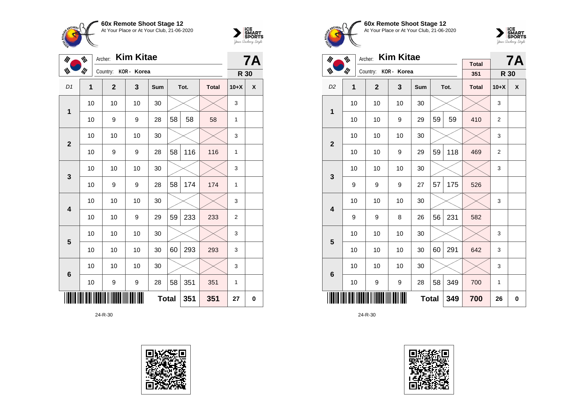



| $\mathscr{U}_I$         | ₩              | <b>Kim Kitae</b><br>Archer: |    | <b>7A</b>    |    |      |              |                |          |
|-------------------------|----------------|-----------------------------|----|--------------|----|------|--------------|----------------|----------|
| W                       | ill            | Country: KOR - Korea        |    |              |    |      |              | R 30           |          |
| D1                      | $\overline{1}$ | $\mathbf{2}$                | 3  | Sum          |    | Tot. | <b>Total</b> | $10+X$         | χ        |
| 1                       | 10             | 10                          | 10 | 30           |    |      |              | 3              |          |
|                         | 10             | 9                           | 9  | 28           | 58 | 58   | 58           | 1              |          |
| $\overline{2}$          | 10             | 10                          | 10 | 30           |    |      |              | 3              |          |
|                         | 10             | 9                           | 9  | 28           | 58 | 116  | 116          | 1              |          |
| 3                       | 10             | 10                          | 10 | 30           |    |      |              | 3              |          |
|                         | 10             | 9                           | 9  | 28           | 58 | 174  | 174          | 1              |          |
| $\overline{\mathbf{4}}$ | 10             | 10                          | 10 | 30           |    |      |              | 3              |          |
|                         | 10             | 10                          | 9  | 29           | 59 | 233  | 233          | $\overline{2}$ |          |
| 5                       | 10             | 10                          | 10 | 30           |    |      |              | 3              |          |
|                         | 10             | 10                          | 10 | 30           | 60 | 293  | 293          | 3              |          |
| $6\phantom{1}6$         | 10             | 10                          | 10 | 30           |    |      |              | 3              |          |
|                         | 10             | 9                           | 9  | 28           | 58 | 351  | 351          | $\mathbf{1}$   |          |
|                         |                |                             |    | <b>Total</b> |    | 351  | 351          | 27             | $\bf{0}$ |









| $\mathscr{U}$           | ₩   | <b>Kim Kitae</b><br>Archer: |    |              |    | <b>7A</b> |              |                |                    |
|-------------------------|-----|-----------------------------|----|--------------|----|-----------|--------------|----------------|--------------------|
| W                       | ill | Country: KOR - Korea        |    |              |    |           | <b>Total</b> |                |                    |
|                         |     |                             |    |              |    |           | 351          | R 30           |                    |
| D <sub>2</sub>          | 1   | $\mathbf{2}$                | 3  | Sum          |    | Tot.      | <b>Total</b> | $10+X$         | $\pmb{\mathsf{X}}$ |
| 1                       | 10  | 10                          | 10 | 30           |    |           |              | 3              |                    |
|                         | 10  | 10                          | 9  | 29           | 59 | 59        | 410          | $\overline{2}$ |                    |
| $\mathbf{2}$            | 10  | 10                          | 10 | 30           |    |           |              | 3              |                    |
|                         | 10  | 10                          | 9  | 29           | 59 | 118       | 469          | $\overline{2}$ |                    |
| 3                       | 10  | 10                          | 10 | 30           |    |           |              | 3              |                    |
|                         | 9   | 9                           | 9  | 27           | 57 | 175       | 526          |                |                    |
| $\overline{\mathbf{4}}$ | 10  | 10                          | 10 | 30           |    |           |              | 3              |                    |
|                         | 9   | 9                           | 8  | 26           | 56 | 231       | 582          |                |                    |
| 5                       | 10  | 10                          | 10 | 30           |    |           |              | 3              |                    |
|                         | 10  | 10                          | 10 | 30           | 60 | 291       | 642          | 3              |                    |
| $\bf 6$                 | 10  | 10                          | 10 | 30           |    |           |              | 3              |                    |
|                         | 10  | 9                           | 9  | 28           | 58 | 349       | 700          | $\mathbf{1}$   |                    |
|                         |     |                             |    | <b>Total</b> |    | 349       | 700          | 26             | 0                  |

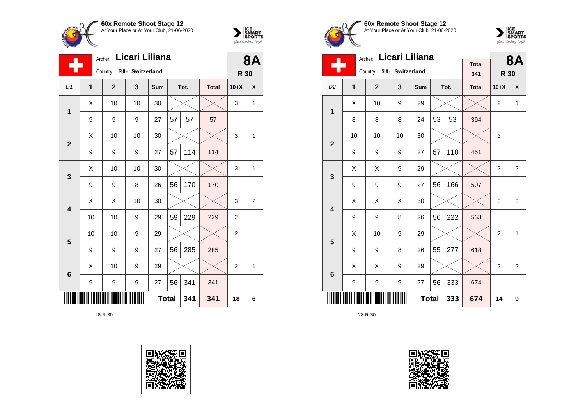



| Licari Liliana<br>Archer: |    |                            |                  |     |              |      |              | <b>8A</b>      |              |
|---------------------------|----|----------------------------|------------------|-----|--------------|------|--------------|----------------|--------------|
|                           |    | Country: SUI - Switzerland |                  |     |              |      |              | R 30           |              |
| D <sub>1</sub>            | 1  | $\overline{2}$             | 3                | Sum |              | Tot. | <b>Total</b> | $10+X$         | X            |
| 1                         | Χ  | 10                         | 10               | 30  |              |      |              | 3              | $\mathbf{1}$ |
|                           | 9  | 9                          | 9                | 27  | 57           | 57   | 57           |                |              |
| $\overline{\mathbf{2}}$   | X  | 10                         | 10               | 30  |              |      |              | 3              | 1            |
|                           | 9  | 9                          | 9                | 27  | 57           | 114  | 114          |                |              |
| 3                         | X  | 10                         | 10               | 30  |              |      |              | 3              | $\mathbf{1}$ |
|                           | 9  | 9                          | 8                | 26  | 56           | 170  | 170          |                |              |
| 4                         | X  | X                          | 10               | 30  |              |      |              | 3              | 2            |
|                           | 10 | 10                         | 9                | 29  | 59           | 229  | 229          | $\overline{2}$ |              |
| 5                         | 10 | 10                         | 9                | 29  |              |      |              | $\overline{c}$ |              |
|                           | 9  | 9                          | 9                | 27  | 56           | 285  | 285          |                |              |
| $6\phantom{1}6$           | X  | 10                         | 9                | 29  |              |      |              | $\overline{2}$ | $\mathbf{1}$ |
|                           | 9  | 9                          | $\boldsymbol{9}$ | 27  | 56           | 341  | 341          |                |              |
|                           |    |                            |                  |     | <b>Total</b> | 341  | 341          | 18             | 6            |









|                         |    | Licari Liliana<br>Archer:  |    |              |    | 8Α   |              |                |                |
|-------------------------|----|----------------------------|----|--------------|----|------|--------------|----------------|----------------|
|                         |    | Country: SUI - Switzerland |    |              |    |      | <b>Total</b> |                |                |
|                         |    |                            |    |              |    |      | 341          | R 30           |                |
| D <sub>2</sub>          | 1  | $\mathbf{2}$               | 3  | Sum          |    | Tot. | <b>Total</b> | $10+X$         | X              |
| 1                       | X  | 10                         | 9  | 29           |    |      |              | 2              | $\mathbf{1}$   |
|                         | 8  | 8                          | 8  | 24           | 53 | 53   | 394          |                |                |
| $\overline{2}$          | 10 | 10                         | 10 | 30           |    |      |              | 3              |                |
|                         | 9  | 9                          | 9  | 27           | 57 | 110  | 451          |                |                |
| 3                       | X  | X                          | 9  | 29           |    |      |              | $\overline{2}$ | $\overline{2}$ |
|                         | 9  | 9                          | 9  | 27           | 56 | 166  | 507          |                |                |
| $\overline{\mathbf{4}}$ | X  | Χ                          | X  | 30           |    |      |              | 3              | 3              |
|                         | 9  | 9                          | 8  | 26           | 56 | 222  | 563          |                |                |
| 5                       | X  | 10                         | 9  | 29           |    |      |              | $\overline{2}$ | $\mathbf{1}$   |
|                         | 9  | 9                          | 8  | 26           | 55 | 277  | 618          |                |                |
| 6                       | X  | X                          | 9  | 29           |    |      |              | $\overline{2}$ | 2              |
|                         | 9  | 9                          | 9  | 27           | 56 | 333  | 674          |                |                |
|                         |    |                            |    | <b>Total</b> |    | 333  | 674          | 14             | 9              |

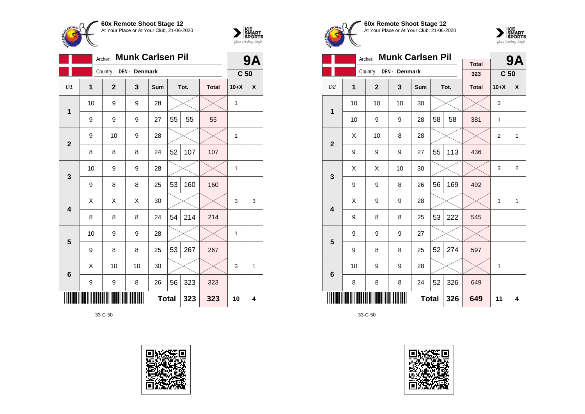



|                |                | Archer:        | <b>Munk Carlsen Pil</b> |              |    |      |              |                 | 9Α |
|----------------|----------------|----------------|-------------------------|--------------|----|------|--------------|-----------------|----|
|                |                | Country:       | DEN - Denmark           |              |    |      |              | C <sub>50</sub> |    |
| D1             | $\overline{1}$ | $\overline{2}$ | 3                       | Sum          |    | Tot. | <b>Total</b> | $10+X$          | X  |
| 1              | 10             | 9              | 9                       | 28           |    |      |              | $\mathbf{1}$    |    |
|                | 9              | 9              | 9                       | 27           | 55 | 55   | 55           |                 |    |
| $\overline{2}$ | 9              | 10             | 9                       | 28           |    |      |              | $\mathbf{1}$    |    |
|                | 8              | 8              | 8                       | 24           | 52 | 107  | 107          |                 |    |
| 3              | 10             | 9              | 9                       | 28           |    |      |              | $\mathbf{1}$    |    |
|                | 9              | 8              | 8                       | 25           | 53 | 160  | 160          |                 |    |
| 4              | Χ              | X              | Χ                       | 30           |    |      |              | 3               | 3  |
|                | 8              | 8              | 8                       | 24           | 54 | 214  | 214          |                 |    |
| 5              | 10             | 9              | 9                       | 28           |    |      |              | 1               |    |
|                | 9              | 8              | 8                       | 25           | 53 | 267  | 267          |                 |    |
| 6              | X              | 10             | 10                      | 30           |    |      |              | 3               | 1  |
|                | 9              | 9              | 8                       | 26           | 56 | 323  | 323          |                 |    |
|                |                |                |                         | <b>Total</b> |    | 323  | 323          | 10              | 4  |









|                         |    | <b>Munk Carlsen Pil</b><br>Archer: |               |              |    | 9Α   |                     |                 |                    |
|-------------------------|----|------------------------------------|---------------|--------------|----|------|---------------------|-----------------|--------------------|
|                         |    | Country:                           | DEN - Denmark |              |    |      | <b>Total</b><br>323 | C <sub>50</sub> |                    |
|                         |    |                                    |               |              |    |      |                     |                 |                    |
| D <sub>2</sub>          | 1  | $\overline{2}$                     | 3             | Sum          |    | Tot. | <b>Total</b>        | $10+X$          | $\pmb{\mathsf{X}}$ |
| 1                       | 10 | 10                                 | 10            | 30           |    |      |                     | 3               |                    |
|                         | 10 | 9                                  | 9             | 28           | 58 | 58   | 381                 | $\mathbf{1}$    |                    |
| $\overline{2}$          | X  | 10                                 | 8             | 28           |    |      |                     | $\overline{2}$  | $\mathbf{1}$       |
|                         | 9  | 9                                  | 9             | 27           | 55 | 113  | 436                 |                 |                    |
| 3                       | X  | X                                  | 10            | 30           |    |      |                     | 3               | 2                  |
|                         | 9  | 9                                  | 8             | 26           | 56 | 169  | 492                 |                 |                    |
| $\overline{\mathbf{4}}$ | X  | 9                                  | 9             | 28           |    |      |                     | $\mathbf{1}$    | 1                  |
|                         | 9  | 8                                  | 8             | 25           | 53 | 222  | 545                 |                 |                    |
| 5                       | 9  | 9                                  | 9             | 27           |    |      |                     |                 |                    |
|                         | 9  | 8                                  | 8             | 25           | 52 | 274  | 597                 |                 |                    |
| 6                       | 10 | 9                                  | 9             | 28           |    |      |                     | $\mathbf{1}$    |                    |
|                         | 8  | 8                                  | 8             | 24           | 52 | 326  | 649                 |                 |                    |
|                         |    |                                    |               | <b>Total</b> |    | 326  | 649                 | 11              | 4                  |

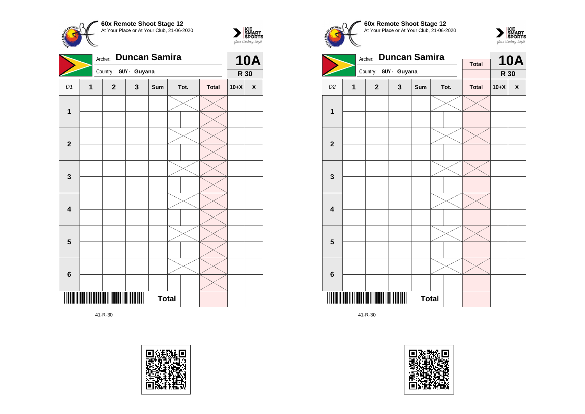



|                         |   | Archer:               | <b>Duncan Samira</b> |              |      |  | <b>10A</b>   |        |   |
|-------------------------|---|-----------------------|----------------------|--------------|------|--|--------------|--------|---|
|                         |   | Country: GUY - Guyana |                      |              |      |  |              | R 30   |   |
| D1                      | 1 | $\mathbf{2}$          | $\mathbf{3}$         | Sum          | Tot. |  | <b>Total</b> | $10+X$ | X |
|                         |   |                       |                      |              |      |  |              |        |   |
| 1                       |   |                       |                      |              |      |  |              |        |   |
|                         |   |                       |                      |              |      |  |              |        |   |
| $\mathbf{2}$            |   |                       |                      |              |      |  |              |        |   |
|                         |   |                       |                      |              |      |  |              |        |   |
| $\mathbf{3}$            |   |                       |                      |              |      |  |              |        |   |
|                         |   |                       |                      |              |      |  |              |        |   |
| 4                       |   |                       |                      |              |      |  |              |        |   |
|                         |   |                       |                      |              |      |  |              |        |   |
| $\overline{\mathbf{5}}$ |   |                       |                      |              |      |  |              |        |   |
|                         |   |                       |                      |              |      |  |              |        |   |
| $\bf 6$                 |   |                       |                      |              |      |  |              |        |   |
|                         |   |                       |                      | <b>Total</b> |      |  |              |        |   |









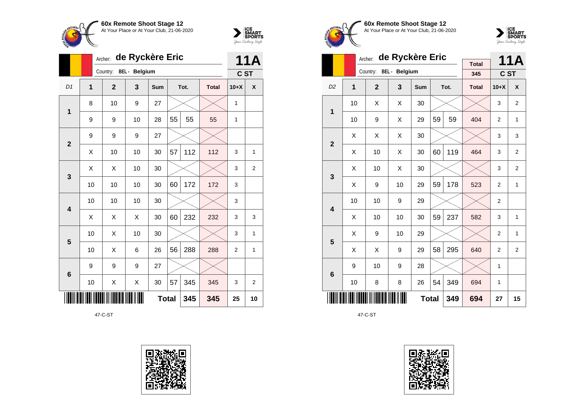



|                         | de Ryckère Eric<br>Archer: |                        |    |              |    |      |              |                | <b>11A</b>     |
|-------------------------|----------------------------|------------------------|----|--------------|----|------|--------------|----------------|----------------|
|                         |                            | Country: BEL - Belgium |    |              |    |      |              | C ST           |                |
| D <sub>1</sub>          | 1                          | $\overline{2}$         | 3  | <b>Sum</b>   |    | Tot. | <b>Total</b> | $10+X$         | X              |
| 1                       | 8                          | 10                     | 9  | 27           |    |      |              | 1              |                |
|                         | 9                          | 9                      | 10 | 28           | 55 | 55   | 55           | 1              |                |
| $\overline{2}$          | 9                          | 9                      | 9  | 27           |    |      |              |                |                |
|                         | Χ                          | 10                     | 10 | 30           | 57 | 112  | 112          | 3              | 1              |
| 3                       | X                          | X                      | 10 | 30           |    |      |              | 3              | $\overline{2}$ |
|                         | 10                         | 10                     | 10 | 30           | 60 | 172  | 172          | 3              |                |
| $\overline{\mathbf{4}}$ | 10                         | 10                     | 10 | 30           |    |      |              | 3              |                |
|                         | X                          | X                      | X  | 30           | 60 | 232  | 232          | 3              | 3              |
| 5                       | 10                         | X                      | 10 | 30           |    |      |              | 3              | 1              |
|                         | 10                         | X                      | 6  | 26           | 56 | 288  | 288          | $\overline{2}$ | 1              |
| $6\phantom{1}6$         | 9                          | 9                      | 9  | 27           |    |      |              |                |                |
|                         | 10                         | Χ                      | X  | 30           | 57 | 345  | 345          | 3              | $\overline{2}$ |
|                         |                            |                        |    | <b>Total</b> |    | 345  | 345          | 25             | 10             |

47-C-ST









|                         |    | Archer:        | de Ryckère Eric |              |    |      | <b>11A</b>          |                |                |
|-------------------------|----|----------------|-----------------|--------------|----|------|---------------------|----------------|----------------|
|                         |    | Country:       | BEL - Belgium   |              |    |      | <b>Total</b><br>345 | C ST           |                |
| D <sub>2</sub>          | 1  | $\overline{2}$ | 3               | Sum          |    | Tot. | <b>Total</b>        | $10+X$         | X              |
| 1                       | 10 | Χ              | Χ               | 30           |    |      |                     | 3              | $\overline{2}$ |
|                         | 10 | 9              | Χ               | 29           | 59 | 59   | 404                 | $\overline{2}$ | $\mathbf{1}$   |
| $\overline{2}$          | X  | X              | X               | 30           |    |      |                     | 3              | 3              |
|                         | Χ  | 10             | Χ               | 30           | 60 | 119  | 464                 | 3              | $\overline{2}$ |
| 3                       | X  | 10             | Χ               | 30           |    |      |                     | 3              | 2              |
|                         | Χ  | 9              | 10              | 29           | 59 | 178  | 523                 | $\overline{2}$ | 1              |
| $\overline{\mathbf{4}}$ | 10 | 10             | 9               | 29           |    |      |                     | $\overline{2}$ |                |
|                         | X  | 10             | 10              | 30           | 59 | 237  | 582                 | 3              | 1              |
| 5                       | X  | 9              | 10              | 29           |    |      |                     | 2              | $\mathbf{1}$   |
|                         | Χ  | X              | 9               | 29           | 58 | 295  | 640                 | $\overline{2}$ | $\overline{2}$ |
| 6                       | 9  | 10             | 9               | 28           |    |      |                     | 1              |                |
|                         | 10 | 8              | 8               | 26           | 54 | 349  | 694                 | 1              |                |
|                         |    |                |                 | <b>Total</b> |    | 349  | 694                 | 27             | 15             |

47-C-ST

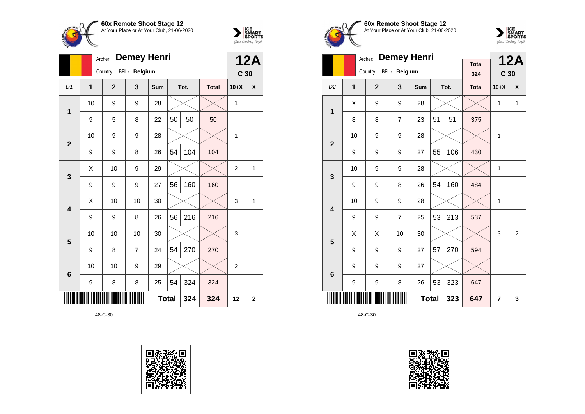



|                 |    | <b>Demey Henri</b><br>Archer: |                      |              |    |      |              |                 |                |  |
|-----------------|----|-------------------------------|----------------------|--------------|----|------|--------------|-----------------|----------------|--|
|                 |    | Country:                      | <b>BEL</b> - Belgium |              |    |      |              | C <sub>30</sub> | <b>12A</b>     |  |
| D <sub>1</sub>  | 1  | $\overline{2}$                | 3                    | <b>Sum</b>   |    | Tot. | <b>Total</b> | $10+X$          | X              |  |
| $\mathbf 1$     | 10 | 9                             | 9                    | 28           |    |      |              | 1               |                |  |
|                 | 9  | 5                             | 8                    | 22           | 50 | 50   | 50           |                 |                |  |
| $\overline{2}$  | 10 | 9                             | 9                    | 28           |    |      |              | $\mathbf{1}$    |                |  |
|                 | 9  | 9                             | 8                    | 26           | 54 | 104  | 104          |                 |                |  |
| 3               | X  | 10                            | 9                    | 29           |    |      |              | $\overline{2}$  | 1              |  |
|                 | 9  | 9                             | 9                    | 27           | 56 | 160  | 160          |                 |                |  |
| 4               | X  | 10                            | 10                   | 30           |    |      |              | 3               | 1              |  |
|                 | 9  | 9                             | 8                    | 26           | 56 | 216  | 216          |                 |                |  |
| 5               | 10 | 10                            | 10                   | 30           |    |      |              | 3               |                |  |
|                 | 9  | 8                             | 7                    | 24           | 54 | 270  | 270          |                 |                |  |
| $6\phantom{1}6$ | 10 | 10                            | 9                    | 29           |    |      |              | $\overline{2}$  |                |  |
|                 | 9  | 8                             | 8                    | 25           | 54 | 324  | 324          |                 |                |  |
|                 |    |                               |                      | <b>Total</b> |    | 324  | 324          | 12              | $\overline{2}$ |  |









|                                |                | <b>Demey Henri</b><br>Archer: |                |            |    | <b>12A</b> |                     |                 |              |
|--------------------------------|----------------|-------------------------------|----------------|------------|----|------------|---------------------|-----------------|--------------|
|                                |                | Country:                      | BEL - Belgium  |            |    |            | <b>Total</b><br>324 | C <sub>30</sub> |              |
| D <sub>2</sub>                 | $\overline{1}$ | $\overline{2}$                | $\mathbf{3}$   | <b>Sum</b> |    | Tot.       | <b>Total</b>        | $10+X$          | X            |
| 1                              | X              | 9                             | 9              | 28         |    |            |                     | 1               | $\mathbf{1}$ |
|                                | 8              | 8                             | $\overline{7}$ | 23         | 51 | 51         | 375                 |                 |              |
| $\overline{2}$                 | 10             | 9                             | 9              | 28         |    |            |                     | $\mathbf{1}$    |              |
|                                | 9              | 9                             | 9              | 27         | 55 | 106        | 430                 |                 |              |
| 3                              | 10             | 9                             | 9              | 28         |    |            |                     | 1               |              |
|                                | 9              | 9                             | 8              | 26         | 54 | 160        | 484                 |                 |              |
| $\overline{\mathbf{4}}$        | 10             | 9                             | 9              | 28         |    |            |                     | 1               |              |
|                                | 9              | 9                             | $\overline{7}$ | 25         | 53 | 213        | 537                 |                 |              |
| 5                              | X              | Χ                             | 10             | 30         |    |            |                     | 3               | 2            |
|                                | 9              | 9                             | 9              | 27         | 57 | 270        | 594                 |                 |              |
| $6\phantom{1}$                 | 9              | 9                             | 9              | 27         |    |            |                     |                 |              |
| 53<br>323<br>9<br>8<br>9<br>26 |                |                               |                |            |    |            | 647                 |                 |              |
|                                |                | 647                           | 7              | 3          |    |            |                     |                 |              |

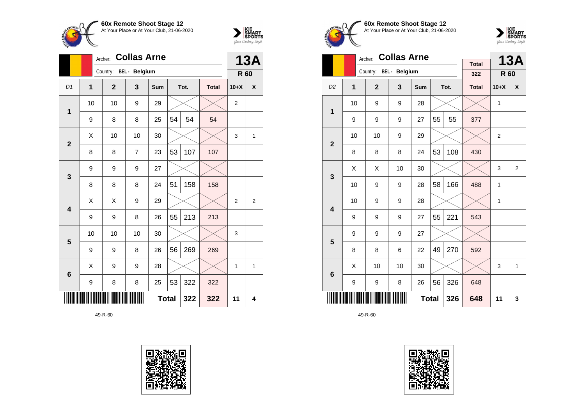



|                         |    | <b>Collas Arne</b><br>Archer: |                | <b>13A</b>   |    |      |              |                |   |
|-------------------------|----|-------------------------------|----------------|--------------|----|------|--------------|----------------|---|
|                         |    | Country: BEL - Belgium        |                |              |    |      |              | R 60           |   |
| D <sub>1</sub>          | 1  | $\mathbf{2}$                  | 3              | Sum          |    | Tot. | <b>Total</b> | $10+X$         | X |
| 1                       | 10 | 10                            | 9              | 29           |    |      |              | $\overline{2}$ |   |
|                         | 9  | 8                             | 8              | 25           | 54 | 54   | 54           |                |   |
| $\overline{2}$          | X  | 10                            | 10             | 30           |    |      |              | 3              | 1 |
|                         | 8  | 8                             | $\overline{7}$ | 23           | 53 | 107  | 107          |                |   |
| 3                       | 9  | 9                             | 9              | 27           |    |      |              |                |   |
|                         | 8  | 8                             | 8              | 24           | 51 | 158  | 158          |                |   |
| $\overline{\mathbf{4}}$ | X  | Χ                             | 9              | 29           |    |      |              | 2              | 2 |
|                         | 9  | 9                             | 8              | 26           | 55 | 213  | 213          |                |   |
| 5                       | 10 | 10                            | 10             | 30           |    |      |              | 3              |   |
|                         | 9  | 9                             | 8              | 26           | 56 | 269  | 269          |                |   |
| $6\phantom{1}6$         | X  | 9                             | 9              | 28           |    |      |              | 1              | 1 |
|                         | 9  | 8                             | 8              | 25           | 53 | 322  | 322          |                |   |
|                         |    |                               |                | <b>Total</b> |    | 322  | 322          | 11             | 4 |









|                         |                | Archer:                | <b>Collas Arne</b> |              |    |      | <b>13A</b>   |              |                |
|-------------------------|----------------|------------------------|--------------------|--------------|----|------|--------------|--------------|----------------|
|                         |                | Country: BEL - Belgium |                    |              |    |      | <b>Total</b> |              |                |
|                         |                |                        |                    |              |    |      | 322          | R 60         |                |
| D <sub>2</sub>          | $\overline{1}$ | $\overline{2}$         | 3                  | <b>Sum</b>   |    | Tot. | <b>Total</b> | $10+X$       | X              |
| 1                       | 10             | 9                      | 9                  | 28           |    |      |              | $\mathbf{1}$ |                |
|                         | 9              | 9                      | 9                  | 27           | 55 | 55   | 377          |              |                |
| $\overline{2}$          | 10             | 10                     | 9                  | 29           |    |      |              | 2            |                |
|                         | 8              | 8                      | 8                  | 24           | 53 | 108  | 430          |              |                |
| 3                       | X              | X                      | 10                 | 30           |    |      |              | 3            | $\overline{2}$ |
|                         | 10             | 9                      | 9                  | 28           | 58 | 166  | 488          | 1            |                |
| $\overline{\mathbf{4}}$ | 10             | 9                      | 9                  | 28           |    |      |              | 1            |                |
|                         | 9              | 9                      | 9                  | 27           | 55 | 221  | 543          |              |                |
| 5                       | 9              | 9                      | 9                  | 27           |    |      |              |              |                |
|                         | 8              | 8                      | 6                  | 22           | 49 | 270  | 592          |              |                |
| $6\phantom{1}6$         | X              | 10                     | 10                 | 30           |    |      |              | 3            | 1              |
|                         | 9              | 9                      | 326                | 648          |    |      |              |              |                |
|                         |                |                        |                    | <b>Total</b> |    | 326  | 648          | 11           | 3              |

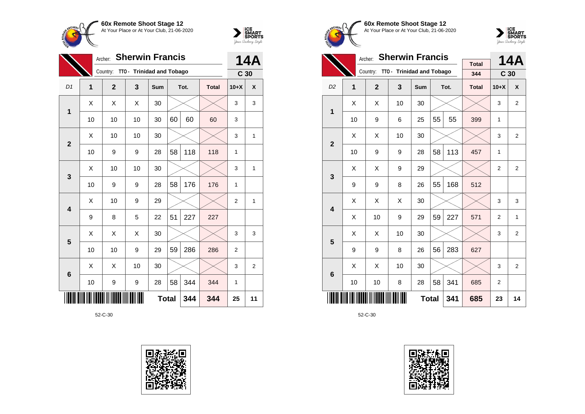



|                 | Archer:        |                |                           | <b>14A</b>   |    |      |              |                 |              |
|-----------------|----------------|----------------|---------------------------|--------------|----|------|--------------|-----------------|--------------|
|                 |                | Country:       | TTO - Trinidad and Tobago |              |    |      |              | C <sub>30</sub> |              |
| D1              | $\overline{1}$ | $\overline{2}$ | 3                         | Sum          |    | Tot. | <b>Total</b> | $10+X$          | $\mathsf{x}$ |
| 1               | X              | X              | X                         | 30           |    |      |              | 3               | 3            |
|                 | 10             | 10             | 10                        | 30           | 60 | 60   | 60           | 3               |              |
| $\overline{2}$  | Χ              | 10             | 10                        | 30           |    |      |              | 3               | 1            |
|                 | 10             | 9              | 9                         | 28           | 58 | 118  | 118          | 1               |              |
| $\mathbf{3}$    | Χ              | 10             | 10                        | 30           |    |      |              | 3               | 1            |
|                 | 10             | 9              | 9                         | 28           | 58 | 176  | 176          | 1               |              |
| 4               | X              | 10             | 9                         | 29           |    |      |              | 2               | 1            |
|                 | 9              | 8              | 5                         | 22           | 51 | 227  | 227          |                 |              |
| 5               | Χ              | X              | X                         | 30           |    |      |              | 3               | 3            |
|                 | 10             | 10             | 9                         | 29           | 59 | 286  | 286          | $\overline{2}$  |              |
| $6\phantom{1}6$ | X              | X              | 10                        | 30           |    |      |              | 3               | 2            |
|                 | 10             | 9              | 9                         | 28           | 58 | 344  | 344          | 1               |              |
|                 |                |                |                           | <b>Total</b> |    | 344  | 344          | 25              | 11           |









|                         |    | <b>Sherwin Francis</b><br>Archer:  |    |              | 14A |      |              |                 |                    |
|-------------------------|----|------------------------------------|----|--------------|-----|------|--------------|-----------------|--------------------|
|                         |    | Country: TTO - Trinidad and Tobago |    |              |     |      | <b>Total</b> |                 |                    |
|                         |    |                                    |    |              |     |      | 344          | C <sub>30</sub> |                    |
| D <sub>2</sub>          | 1  | $\overline{2}$                     | 3  | Sum          |     | Tot. | <b>Total</b> | $10+X$          | $\pmb{\mathsf{X}}$ |
| 1                       | Χ  | X                                  | 10 | 30           |     |      |              | 3               | 2                  |
|                         | 10 | 9                                  | 6  | 25           | 55  | 55   | 399          | 1               |                    |
| $\overline{2}$          | X  | X                                  | 10 | 30           |     |      |              | 3               | 2                  |
|                         | 10 | 9                                  | 9  | 28           | 58  | 113  | 457          | 1               |                    |
| 3                       | X  | X                                  | 9  | 29           |     |      |              | $\overline{2}$  | $\overline{2}$     |
|                         | 9  | 9                                  | 8  | 26           | 55  | 168  | 512          |                 |                    |
| $\overline{\mathbf{4}}$ | Χ  | X                                  | X  | 30           |     |      |              | 3               | 3                  |
|                         | X  | 10                                 | 9  | 29           | 59  | 227  | 571          | $\overline{2}$  | 1                  |
| 5                       | X  | X                                  | 10 | 30           |     |      |              | 3               | 2                  |
|                         | 9  | 9                                  | 8  | 26           | 56  | 283  | 627          |                 |                    |
| 6                       | Χ  | X                                  | 10 | 30           |     |      |              | 3               | $\overline{2}$     |
|                         | 10 | 10                                 | 8  | 28           | 58  | 341  | 685          | 2               |                    |
|                         |    |                                    |    | <b>Total</b> |     | 341  | 685          | 23              | 14                 |

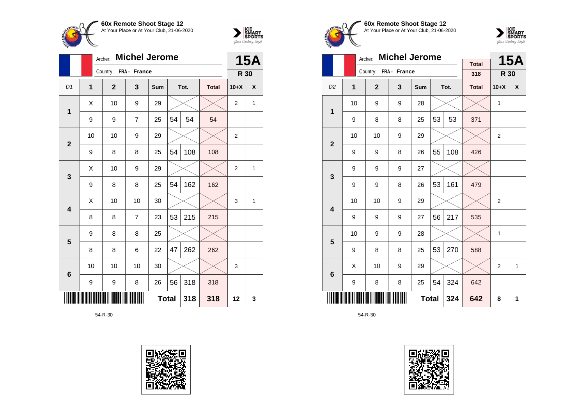



|                         |              | <b>Michel Jerome</b><br>Archer: |                |              | <b>15A</b> |      |              |                |   |
|-------------------------|--------------|---------------------------------|----------------|--------------|------------|------|--------------|----------------|---|
|                         |              | Country: FRA - France           |                |              |            |      |              | R 30           |   |
| D <sub>1</sub>          | $\mathbf{1}$ | $\overline{2}$                  | 3              | Sum          |            | Tot. | <b>Total</b> | $10+X$         | X |
|                         | X            | 10                              | 9              | 29           |            |      |              | $\overline{2}$ | 1 |
| 1                       | 9            | 9                               | $\overline{7}$ | 25           | 54         | 54   | 54           |                |   |
| $\overline{2}$          | 10           | 10                              | 9              | 29           |            |      |              | 2              |   |
|                         | 9            | 8                               | 8              | 25           | 54         | 108  | 108          |                |   |
| 3                       | X            | 10                              | 9              | 29           |            |      |              | $\overline{2}$ | 1 |
|                         | 9            | 8                               | 8              | 25           | 54         | 162  | 162          |                |   |
| $\overline{\mathbf{4}}$ | Χ            | 10                              | 10             | 30           |            |      |              | 3              | 1 |
|                         | 8            | 8                               | $\overline{7}$ | 23           | 53         | 215  | 215          |                |   |
| 5                       | 9            | 8                               | 8              | 25           |            |      |              |                |   |
|                         | 8            | 8                               | 6              | 22           | 47         | 262  | 262          |                |   |
| 6                       | 10           | 10                              | 10             | 30           |            |      |              | 3              |   |
|                         | 9            | 9                               | 8              | 26           | 56         | 318  | 318          |                |   |
|                         |              |                                 |                | <b>Total</b> |            | 318  | 318          | 12             | 3 |









|                         |    | Archer:               | <b>Michel Jerome</b> |              |    |      | <b>15A</b>          |                |   |
|-------------------------|----|-----------------------|----------------------|--------------|----|------|---------------------|----------------|---|
|                         |    | Country: FRA - France |                      |              |    |      | <b>Total</b><br>318 | R 30           |   |
|                         |    |                       |                      |              |    |      |                     |                |   |
| D <sub>2</sub>          | 1  | $\overline{2}$        | 3                    | Sum          |    | Tot. | <b>Total</b>        | $10+X$         | X |
| 1                       | 10 | 9                     | 9                    | 28           |    |      |                     | 1              |   |
|                         | 9  | 8                     | 8                    | 25           | 53 | 53   | 371                 |                |   |
| $\boldsymbol{2}$        | 10 | 10                    | 9                    | 29           |    |      |                     | $\overline{2}$ |   |
|                         | 9  | 9                     | 8                    | 26           | 55 | 108  | 426                 |                |   |
| 3                       | 9  | 9                     | 9                    | 27           |    |      |                     |                |   |
|                         | 9  | 9                     | 8                    | 26           | 53 | 161  | 479                 |                |   |
| $\overline{\mathbf{4}}$ | 10 | 10                    | 9                    | 29           |    |      |                     | $\overline{2}$ |   |
|                         | 9  | 9                     | 9                    | 27           | 56 | 217  | 535                 |                |   |
| 5                       | 10 | 9                     | 9                    | 28           |    |      |                     | 1              |   |
|                         | 9  | 8                     | 8                    | 25           | 53 | 270  | 588                 |                |   |
| $6\phantom{1}6$         | X  | 10                    | 9                    | 29           |    |      |                     | $\overline{2}$ | 1 |
|                         | 9  | 8                     | 8                    | 25           | 54 | 324  | 642                 |                |   |
|                         |    |                       |                      | <b>Total</b> |    | 324  | 642                 | 8              | 1 |

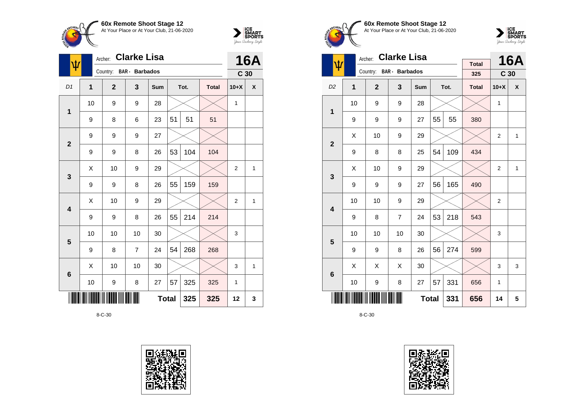



| $\pmb{\psi}$            | Archer: |                | <b>16A</b>            |              |    |      |              |                 |              |
|-------------------------|---------|----------------|-----------------------|--------------|----|------|--------------|-----------------|--------------|
|                         |         | Country:       | <b>BAR</b> - Barbados |              |    |      |              | C <sub>30</sub> |              |
| D <sub>1</sub>          | 1       | $\overline{2}$ | 3                     | Sum          |    | Tot. | <b>Total</b> | $10+X$          | X            |
| $\mathbf 1$             | 10      | 9              | 9                     | 28           |    |      |              | 1               |              |
|                         | 9       | 8              | 6                     | 23           | 51 | 51   | 51           |                 |              |
| $\overline{2}$          | 9       | 9              | 9                     | 27           |    |      |              |                 |              |
|                         | 9       | 9              | 8                     | 26           | 53 | 104  | 104          |                 |              |
| 3                       | X       | 10             | 9                     | 29           |    |      |              | $\overline{2}$  | $\mathbf{1}$ |
|                         | 9       | 9              | 8                     | 26           | 55 | 159  | 159          |                 |              |
| $\overline{\mathbf{4}}$ | Χ       | 10             | 9                     | 29           |    |      |              | $\overline{2}$  | 1            |
|                         | 9       | 9              | 8                     | 26           | 55 | 214  | 214          |                 |              |
| 5                       | 10      | 10             | 10                    | 30           |    |      |              | 3               |              |
|                         | 9       | 8              | $\overline{7}$        | 24           | 54 | 268  | 268          |                 |              |
| $6\phantom{1}6$         | Χ       | 10             | 10                    | 30           |    |      |              | 3               | 1            |
|                         | 10      | 9              | 8                     | 27           | 57 | 325  | 325          | 1               |              |
|                         |         |                |                       | <b>Total</b> |    | 325  | 325          | 12              | 3            |







|                         | <b>Clarke Lisa</b><br>Archer: |              |                       |              |    |      |                     |                 | <b>16A</b>   |
|-------------------------|-------------------------------|--------------|-----------------------|--------------|----|------|---------------------|-----------------|--------------|
| ψ                       |                               | Country:     | <b>BAR</b> - Barbados |              |    |      | <b>Total</b><br>325 | C <sub>30</sub> |              |
| D <sub>2</sub>          | 1                             | $\mathbf{2}$ | 3                     | Sum          |    | Tot. | <b>Total</b>        | $10+X$          | X            |
|                         | 10                            | 9            | 9                     | 28           |    |      |                     | 1               |              |
| 1                       | 9                             | 9            | 9                     | 27           | 55 | 55   | 380                 |                 |              |
| $\overline{2}$          | X                             | 10           | 9                     | 29           |    |      |                     | $\overline{2}$  | $\mathbf{1}$ |
|                         | 9                             | 8            | 8                     | 25           | 54 | 109  | 434                 |                 |              |
| 3                       | Χ                             | 10           | 9                     | 29           |    |      |                     | $\overline{2}$  | $\mathbf{1}$ |
|                         | 9                             | 9            | 9                     | 27           | 56 | 165  | 490                 |                 |              |
| $\overline{\mathbf{4}}$ | 10                            | 10           | 9                     | 29           |    |      |                     | 2               |              |
|                         | 9                             | 8            | $\overline{7}$        | 24           | 53 | 218  | 543                 |                 |              |
| 5                       | 10                            | 10           | 10                    | 30           |    |      |                     | 3               |              |
|                         | 9                             | 9            | 8                     | 26           | 56 | 274  | 599                 |                 |              |
| 6                       | X                             | X            | Χ                     | 30           |    |      |                     | 3               | 3            |
|                         | 10                            | 9            | 8                     | 27           | 57 | 331  | 656                 | 1               |              |
|                         |                               |              |                       | <b>Total</b> |    | 331  | 656                 | 14              | 5            |

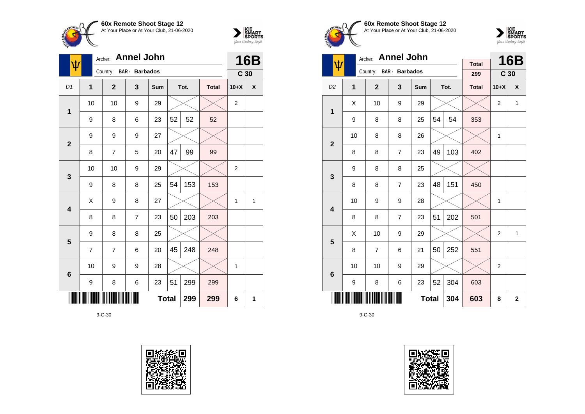



| ψ                       |                | <b>Annel John</b><br>Archer: |                |              | 16B |      |              |                 |   |
|-------------------------|----------------|------------------------------|----------------|--------------|-----|------|--------------|-----------------|---|
|                         |                | Country: BAR - Barbados      |                |              |     |      |              | C <sub>30</sub> |   |
| D <sub>1</sub>          | 1              | $\mathbf{2}$                 | 3              | Sum          |     | Tot. | <b>Total</b> | $10+X$          | X |
| 1                       | 10             | 10                           | 9              | 29           |     |      |              | 2               |   |
|                         | 9              | 8                            | 6              | 23           | 52  | 52   | 52           |                 |   |
| $\overline{2}$          | 9              | 9                            | 9              | 27           |     |      |              |                 |   |
|                         | 8              | 7                            | 5              | 20           | 47  | 99   | 99           |                 |   |
| 3                       | 10             | 10                           | 9              | 29           |     |      |              | $\overline{2}$  |   |
|                         | 9              | 8                            | 8              | 25           | 54  | 153  | 153          |                 |   |
| $\overline{\mathbf{4}}$ | X              | 9                            | 8              | 27           |     |      |              | $\mathbf{1}$    | 1 |
|                         | 8              | 8                            | $\overline{7}$ | 23           | 50  | 203  | 203          |                 |   |
| 5                       | 9              | 8                            | 8              | 25           |     |      |              |                 |   |
|                         | $\overline{7}$ | 7                            | 6              | 20           | 45  | 248  | 248          |                 |   |
| 6                       | 10             | 9                            | 9              | 28           |     |      |              | $\mathbf{1}$    |   |
|                         | 9              | 8                            | 6              | 23           | 51  | 299  | 299          |                 |   |
|                         |                |                              |                | <b>Total</b> |     | 299  | 299          | 6               | 1 |









|                         |    | <b>Annel John</b><br>Archer: |                |              |    | 16B  |                     |                 |                  |
|-------------------------|----|------------------------------|----------------|--------------|----|------|---------------------|-----------------|------------------|
| ψ                       |    | Country: BAR - Barbados      |                |              |    |      | <b>Total</b><br>299 | C <sub>30</sub> |                  |
|                         |    |                              |                |              |    |      |                     |                 |                  |
| D <sub>2</sub>          | 1  | $\mathbf{2}$                 | 3              | Sum          |    | Tot. | <b>Total</b>        | $10+X$          | $\boldsymbol{x}$ |
| 1                       | Χ  | 10                           | 9              | 29           |    |      |                     | $\overline{2}$  | $\mathbf{1}$     |
|                         | 9  | 8                            | 8              | 25           | 54 | 54   | 353                 |                 |                  |
| $\mathbf{2}$            | 10 | 8                            | 8              | 26           |    |      |                     | 1               |                  |
|                         | 8  | 8                            | $\overline{7}$ | 23           | 49 | 103  | 402                 |                 |                  |
| 3                       | 9  | 8                            | 8              | 25           |    |      |                     |                 |                  |
|                         | 8  | 8                            | $\overline{7}$ | 23           | 48 | 151  | 450                 |                 |                  |
| $\overline{\mathbf{4}}$ | 10 | 9                            | 9              | 28           |    |      |                     | 1               |                  |
|                         | 8  | 8                            | $\overline{7}$ | 23           | 51 | 202  | 501                 |                 |                  |
| 5                       | Χ  | 10                           | 9              | 29           |    |      |                     | $\overline{2}$  | $\mathbf{1}$     |
|                         | 8  | $\overline{7}$               | 6              | 21           | 50 | 252  | 551                 |                 |                  |
| $6\phantom{1}6$         | 10 | 10                           | 9              | 29           |    |      |                     | $\overline{2}$  |                  |
|                         | 9  | 8                            | 6              | 23           | 52 | 304  | 603                 |                 |                  |
|                         |    |                              |                | <b>Total</b> |    | 304  | 603                 | 8               | $\overline{2}$   |

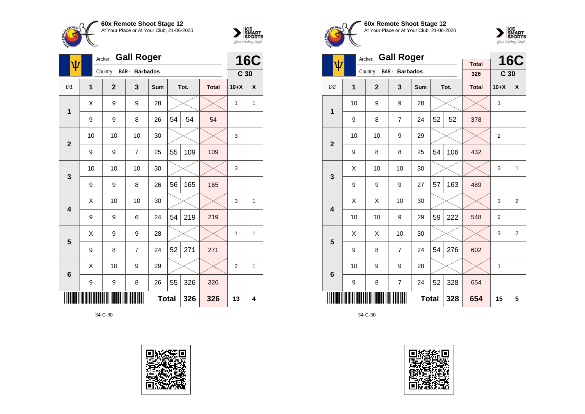



|                         | <b>Gall Roger</b><br>Archer:<br>ψ |                |                       |              |    |      |              |                 |            |
|-------------------------|-----------------------------------|----------------|-----------------------|--------------|----|------|--------------|-----------------|------------|
|                         |                                   | Country:       | <b>BAR</b> - Barbados |              |    |      |              | C <sub>30</sub> | <b>16C</b> |
| D1                      | 1                                 | $\overline{2}$ | 3                     | Sum          |    | Tot. | <b>Total</b> | $10+X$          | X          |
| 1                       | Χ                                 | 9              | 9                     | 28           |    |      |              | 1               | 1          |
|                         | 9                                 | 9              | 8                     | 26           | 54 | 54   | 54           |                 |            |
| $\overline{\mathbf{2}}$ | 10                                | 10             | 10                    | 30           |    |      |              | 3               |            |
|                         | 9                                 | 9              | $\overline{7}$        | 25           | 55 | 109  | 109          |                 |            |
| 3                       | 10                                | 10             | 10                    | 30           |    |      |              | 3               |            |
|                         | 9                                 | 9              | 8                     | 26           | 56 | 165  | 165          |                 |            |
| 4                       | X                                 | 10             | 10                    | 30           |    |      |              | 3               | 1          |
|                         | 9                                 | 9              | 6                     | 24           | 54 | 219  | 219          |                 |            |
| 5                       | Χ                                 | 9              | 9                     | 28           |    |      |              | 1               | 1          |
|                         | 9                                 | 8              | $\overline{7}$        | 24           | 52 | 271  | 271          |                 |            |
| $6\phantom{1}6$         | X                                 | 10             | 9                     | 29           |    |      |              | $\overline{2}$  | 1          |
|                         | 9                                 | 9              | 8                     | 26           | 55 | 326  | 326          |                 |            |
|                         |                                   |                |                       | <b>Total</b> |    | 326  | 326          | 13              | 4          |









|                         |                | <b>Gall Roger</b><br>Archer: |                       |              |    | <b>16C</b> |              |                 |                  |
|-------------------------|----------------|------------------------------|-----------------------|--------------|----|------------|--------------|-----------------|------------------|
| $\pmb{\psi}$            |                | Country:                     | <b>BAR</b> - Barbados |              |    |            | <b>Total</b> |                 |                  |
|                         |                |                              |                       |              |    |            | 326          | C <sub>30</sub> |                  |
| D <sub>2</sub>          | $\overline{1}$ | $\overline{2}$               | 3                     | <b>Sum</b>   |    | Tot.       | <b>Total</b> | $10+X$          | $\boldsymbol{x}$ |
| 1                       | 10             | 9                            | 9                     | 28           |    |            |              | 1               |                  |
|                         | 9              | 8                            | 7                     | 24           | 52 | 52         | 378          |                 |                  |
| $\overline{2}$          | 10             | 10                           | 9                     | 29           |    |            |              | $\overline{2}$  |                  |
|                         | 9              | 8                            | 8                     | 25           | 54 | 106        | 432          |                 |                  |
| 3                       | Χ              | 10                           | 10                    | 30           |    |            |              | 3               | $\mathbf{1}$     |
|                         | 9              | 9                            | 9                     | 27           | 57 | 163        | 489          |                 |                  |
| $\overline{\mathbf{4}}$ | Χ              | Χ                            | 10                    | 30           |    |            |              | 3               | $\overline{2}$   |
|                         | 10             | 10                           | 9                     | 29           | 59 | 222        | 548          | $\overline{2}$  |                  |
| 5                       | X              | Χ                            | 10                    | 30           |    |            |              | 3               | $\overline{2}$   |
|                         | 9              | 8                            | $\overline{7}$        | 24           | 54 | 276        | 602          |                 |                  |
| 6                       | 10             | 9                            | 9                     | 28           |    |            |              | 1               |                  |
|                         | 9              | 8                            | $\overline{7}$        | 24           | 52 | 328        | 654          |                 |                  |
|                         |                |                              |                       | <b>Total</b> |    | 328        | 654          | 15              | 5                |

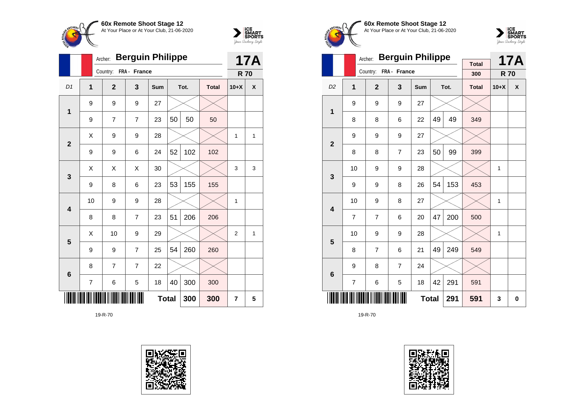



|                | Archer:        |                |                | <b>17A</b> |    |      |              |                |              |
|----------------|----------------|----------------|----------------|------------|----|------|--------------|----------------|--------------|
|                |                | Country:       | FRA - France   |            |    |      |              | <b>R70</b>     |              |
| D <sub>1</sub> | 1              | $\overline{2}$ | 3              | Sum        |    | Tot. | <b>Total</b> | $10+X$         | X            |
| 1              | 9              | 9              | 9              | 27         |    |      |              |                |              |
|                | 9              | 7              | $\overline{7}$ | 23         | 50 | 50   | 50           |                |              |
| $\overline{2}$ | X              | 9              | 9              | 28         |    |      |              | 1              | $\mathbf{1}$ |
|                | 9              | 9              | 6              | 24         | 52 | 102  | 102          |                |              |
| 3              | X              | X              | X              | 30         |    |      |              | 3              | 3            |
|                | 9              | 8              | 6              | 23         | 53 | 155  | 155          |                |              |
| 4              | 10             | 9              | 9              | 28         |    |      |              | 1              |              |
|                | 8              | 8              | $\overline{7}$ | 23         | 51 | 206  | 206          |                |              |
| 5              | Χ              | 10             | 9              | 29         |    |      |              | $\overline{2}$ | 1            |
|                | 9              | 9              | $\overline{7}$ | 25         | 54 | 260  | 260          |                |              |
| 6              | 8              | 7              | 7              | 22         |    |      |              |                |              |
|                | $\overline{7}$ | 6              | 5              | 18         | 40 | 300  | 300          |                |              |
|                |                | 300            | 7              | 5          |    |      |              |                |              |









|                         |                | Archer:        | <b>Berguin Philippe</b> |            | <b>Total</b> |      | <b>17A</b>   |            |   |
|-------------------------|----------------|----------------|-------------------------|------------|--------------|------|--------------|------------|---|
|                         |                | Country:       | FRA - France            |            |              |      | 300          | <b>R70</b> |   |
| D <sub>2</sub>          | 1              | $\overline{2}$ | 3                       | <b>Sum</b> |              | Tot. | <b>Total</b> | $10+X$     | X |
| 1                       | 9              | 9              | 9                       | 27         |              |      |              |            |   |
|                         | 8              | 8              | 6                       | 22         | 49           | 49   | 349          |            |   |
| $\overline{2}$          | 9              | 9              | 9                       | 27         |              |      |              |            |   |
|                         | 8              | 8              | 7                       | 23         | 50           | 99   | 399          |            |   |
| 3                       | 10             | 9              | 9                       | 28         |              |      |              | 1          |   |
|                         | 9              | 9              | 8                       | 26         | 54           | 153  | 453          |            |   |
| $\overline{\mathbf{4}}$ | 10             | 9              | 8                       | 27         |              |      |              | 1          |   |
|                         | $\overline{7}$ | 7              | 6                       | 20         | 47           | 200  | 500          |            |   |
| 5                       | 10             | 9              | 9                       | 28         |              |      |              | 1          |   |
|                         | 8              | $\overline{7}$ | 6                       | 21         | 49           | 249  | 549          |            |   |
| 6                       | 9              | 8              | $\overline{7}$          | 24         |              |      |              |            |   |
|                         | $\overline{7}$ | 6              | 291                     | 591        |              |      |              |            |   |
|                         |                |                | 291                     | 591        | 3            | 0    |              |            |   |

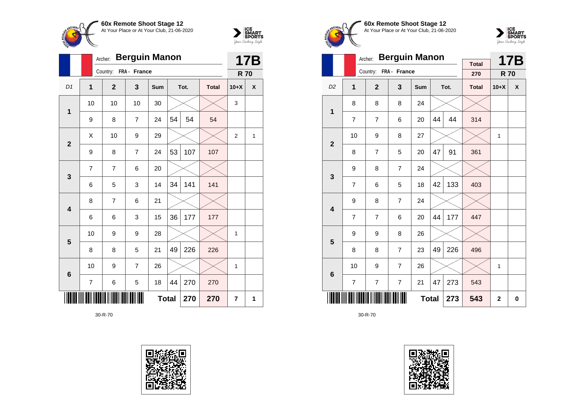



|                 |                | Archer: | <b>Berguin Manon</b> |                |              | <b>17B</b> |      |              |                |   |
|-----------------|----------------|---------|----------------------|----------------|--------------|------------|------|--------------|----------------|---|
|                 |                |         | Country:             | FRA - France   |              |            |      |              | <b>R70</b>     |   |
| D <sub>1</sub>  | $\mathbf{1}$   |         | $\overline{2}$       | 3              | Sum          |            | Tot. | <b>Total</b> | $10+X$         | X |
| 1               | 10             |         | 10                   | 10             | 30           |            |      |              | 3              |   |
|                 | 9              |         | 8                    | 7              | 24           | 54         | 54   | 54           |                |   |
| $\mathbf{2}$    | X              |         | 10                   | 9              | 29           |            |      |              | $\overline{2}$ | 1 |
|                 | 9              |         | 8                    | $\overline{7}$ | 24           | 53         | 107  | 107          |                |   |
| $\mathbf{3}$    | $\overline{7}$ |         | $\overline{7}$       | 6              | 20           |            |      |              |                |   |
|                 | 6              |         | 5                    | 3              | 14           | 34         | 141  | 141          |                |   |
| 4               | 8              |         | 7                    | 6              | 21           |            |      |              |                |   |
|                 | 6              |         | 6                    | 3              | 15           | 36         | 177  | 177          |                |   |
| $5\phantom{1}$  | 10             |         | 9                    | 9              | 28           |            |      |              | 1              |   |
|                 | 8              |         | 8                    | 5              | 21           | 49         | 226  | 226          |                |   |
| $6\phantom{1}6$ | 10             |         | 9                    | $\overline{7}$ | 26           |            |      |              | 1              |   |
|                 | $\overline{7}$ |         | 6                    | 5              | 18           | 44         | 270  | 270          |                |   |
|                 |                |         |                      |                | <b>Total</b> |            | 270  | 270          | $\overline{7}$ | 1 |









|                 |                | Archer:               | <b>Berguin Manon</b> |              |    |      | <b>17B</b>          |              |   |
|-----------------|----------------|-----------------------|----------------------|--------------|----|------|---------------------|--------------|---|
|                 |                | Country: FRA - France |                      |              |    |      | <b>Total</b><br>270 | <b>R70</b>   |   |
| D <sub>2</sub>  | 1              | $\overline{2}$        | 3                    | <b>Sum</b>   |    | Tot. | <b>Total</b>        | $10+X$       | X |
| 1               | 8              | 8                     | 8                    | 24           |    |      |                     |              |   |
|                 | $\overline{7}$ | $\overline{7}$        | 6                    | 20           | 44 | 44   | 314                 |              |   |
| $\overline{2}$  | 10             | 9                     | 8                    | 27           |    |      |                     | 1            |   |
|                 | 8              | 7                     | 5                    | 20           | 47 | 91   | 361                 |              |   |
| 3               | 9              | 8                     | $\overline{7}$       | 24           |    |      |                     |              |   |
|                 | $\overline{7}$ | 6                     | 5                    | 18           | 42 | 133  | 403                 |              |   |
| 4               | 9              | 8                     | $\overline{7}$       | 24           |    |      |                     |              |   |
|                 | $\overline{7}$ | 7                     | 6                    | 20           | 44 | 177  | 447                 |              |   |
| 5               | 9              | 9                     | 8                    | 26           |    |      |                     |              |   |
|                 | 8              | 8                     | $\overline{7}$       | 23           | 49 | 226  | 496                 |              |   |
| $6\phantom{1}6$ | 10             | 9                     | $\overline{7}$       | 26           |    |      |                     | 1            |   |
|                 | $\overline{7}$ | $\overline{7}$        | $\overline{7}$       | 21           | 47 | 273  | 543                 |              |   |
|                 |                |                       |                      | <b>Total</b> |    | 273  | 543                 | $\mathbf{2}$ | 0 |

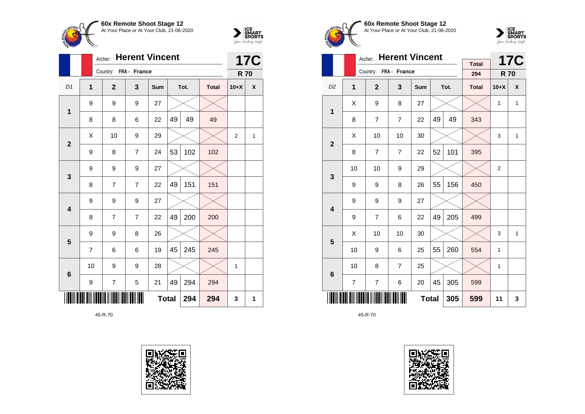



|                         |                | <b>Herent Vincent</b><br>Archer: |                |              |    |      |              |                |            |  |
|-------------------------|----------------|----------------------------------|----------------|--------------|----|------|--------------|----------------|------------|--|
|                         |                | Country: FRA - France            |                |              |    |      |              | <b>R70</b>     | <b>17C</b> |  |
| D <sub>1</sub>          | 1              | $\overline{2}$                   | 3              | Sum          |    | Tot. | <b>Total</b> | $10+X$         | X          |  |
| 1                       | 9              | 9                                | 9              | 27           |    |      |              |                |            |  |
|                         | 8              | 8                                | 6              | 22           | 49 | 49   | 49           |                |            |  |
| $\mathbf{2}$            | X              | 10                               | 9              | 29           |    |      |              | $\overline{2}$ | 1          |  |
|                         | 9              | 8                                | $\overline{7}$ | 24           | 53 | 102  | 102          |                |            |  |
| 3                       | 9              | 9                                | 9              | 27           |    |      |              |                |            |  |
|                         | 8              | 7                                | $\overline{7}$ | 22           | 49 | 151  | 151          |                |            |  |
| $\overline{\mathbf{4}}$ | 9              | 9                                | 9              | 27           |    |      |              |                |            |  |
|                         | 8              | 7                                | $\overline{7}$ | 22           | 49 | 200  | 200          |                |            |  |
| 5                       | 9              | 9                                | 8              | 26           |    |      |              |                |            |  |
|                         | $\overline{7}$ | 6                                | 6              | 19           | 45 | 245  | 245          |                |            |  |
| $6\phantom{1}6$         | 10             | 9                                | 9              | 28           |    |      |              | 1              |            |  |
|                         | 9              | 7                                | 5              | 21           | 49 | 294  | 294          |                |            |  |
|                         |                |                                  |                | <b>Total</b> |    | 294  | 294          | 3              | 1          |  |









|                         |    | Archer:        | <b>Herent Vincent</b> |              |    |      | <b>17C</b>          |              |   |
|-------------------------|----|----------------|-----------------------|--------------|----|------|---------------------|--------------|---|
|                         |    | Country:       | FRA - France          |              |    |      | <b>Total</b><br>294 | <b>R70</b>   |   |
| D <sub>2</sub>          | 1  | $\overline{2}$ | 3                     | Sum          |    | Tot. | <b>Total</b>        | $10+X$       | X |
| 1                       | Χ  | 9              | 8                     | 27           |    |      |                     | 1            | 1 |
|                         | 8  | $\overline{7}$ | $\overline{7}$        | 22           | 49 | 49   | 343                 |              |   |
| $\overline{2}$          | X  | 10             | 10                    | 30           |    |      |                     | 3            | 1 |
|                         | 8  | $\overline{7}$ | $\overline{7}$        | 22           | 52 | 101  | 395                 |              |   |
| 3                       | 10 | 10             | 9                     | 29           |    |      |                     | 2            |   |
|                         | 9  | 9              | 8                     | 26           | 55 | 156  | 450                 |              |   |
| $\overline{\mathbf{4}}$ | 9  | 9              | 9                     | 27           |    |      |                     |              |   |
|                         | 9  | $\overline{7}$ | 6                     | 22           | 49 | 205  | 499                 |              |   |
| 5                       | Χ  | 10             | 10                    | 30           |    |      |                     | 3            | 1 |
|                         | 10 | 9              | 6                     | 25           | 55 | 260  | 554                 | $\mathbf{1}$ |   |
| 6                       | 10 | 8              | $\overline{7}$        | 25           |    |      |                     | 1            |   |
|                         | 7  | 7              | 6                     | 20           | 45 | 305  | 599                 |              |   |
|                         |    |                |                       | <b>Total</b> |    | 305  | 599                 | 11           | 3 |

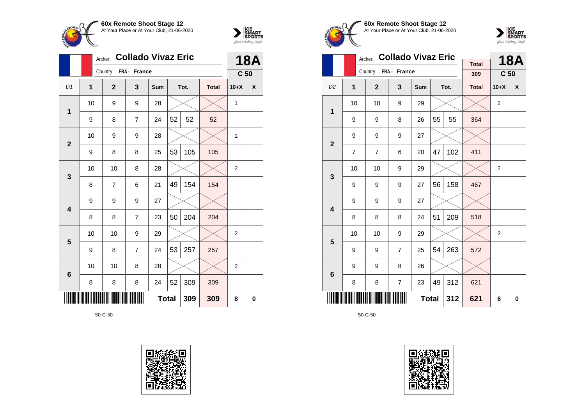



|                 |                | <b>Collado Vivaz Eric</b><br>Archer: |                |              | <b>18A</b> |      |              |                 |   |
|-----------------|----------------|--------------------------------------|----------------|--------------|------------|------|--------------|-----------------|---|
|                 |                | Country: FRA - France                |                |              |            |      |              | C <sub>50</sub> |   |
| D <sub>1</sub>  | $\overline{1}$ | $\overline{2}$                       | 3              | Sum          |            | Tot. | <b>Total</b> | $10+X$          | X |
| 1               | 10             | 9                                    | 9              | 28           |            |      |              | 1               |   |
|                 | 9              | 8                                    | $\overline{7}$ | 24           | 52         | 52   | 52           |                 |   |
| $\overline{2}$  | 10             | 9                                    | 9              | 28           |            |      |              | 1               |   |
|                 | 9              | 8                                    | 8              | 25           | 53         | 105  | 105          |                 |   |
| 3               | 10             | 10                                   | 8              | 28           |            |      |              | $\overline{2}$  |   |
|                 | 8              | 7                                    | 6              | 21           | 49         | 154  | 154          |                 |   |
| 4               | 9              | 9                                    | 9              | 27           |            |      |              |                 |   |
|                 | 8              | 8                                    | $\overline{7}$ | 23           | 50         | 204  | 204          |                 |   |
| 5               | 10             | 10                                   | 9              | 29           |            |      |              | 2               |   |
|                 | 9              | 8                                    | $\overline{7}$ | 24           | 53         | 257  | 257          |                 |   |
| $6\phantom{1}6$ | 10             | 10                                   | 8              | 28           |            |      |              | 2               |   |
|                 | 8              | 8                                    | 8              | 24           | 52         | 309  | 309          |                 |   |
|                 |                |                                      |                | <b>Total</b> |            | 309  | 309          | 8               | 0 |









|                         |              | Archer:               | <b>Collado Vivaz Eric</b> |              |    |      | <b>18A</b>   |                         |   |
|-------------------------|--------------|-----------------------|---------------------------|--------------|----|------|--------------|-------------------------|---|
|                         |              | Country: FRA - France |                           |              |    |      | <b>Total</b> |                         |   |
|                         |              |                       |                           |              |    |      | 309          | C <sub>50</sub>         |   |
| D <sub>2</sub>          | $\mathbf{1}$ | $\mathbf{2}$          | 3                         | Sum          |    | Tot. | <b>Total</b> | $10+X$                  | X |
| 1                       | 10           | 10                    | 9                         | 29           |    |      |              | $\overline{2}$          |   |
|                         | 9            | 9                     | 8                         | 26           | 55 | 55   | 364          |                         |   |
| $\overline{2}$          | 9            | 9                     | 9                         | 27           |    |      |              |                         |   |
|                         | 7            | $\overline{7}$        | 6                         | 20           | 47 | 102  | 411          |                         |   |
| 3                       | 10           | 10                    | 9                         | 29           |    |      |              | $\overline{2}$          |   |
|                         | 9            | 9                     | 9                         | 27           | 56 | 158  | 467          |                         |   |
| $\overline{\mathbf{4}}$ | 9            | 9                     | 9                         | 27           |    |      |              |                         |   |
|                         | 8            | 8                     | 8                         | 24           | 51 | 209  | 518          |                         |   |
| 5                       | 10           | 10                    | 9                         | 29           |    |      |              | $\overline{\mathbf{c}}$ |   |
|                         | 9            | 9                     | $\overline{7}$            | 25           | 54 | 263  | 572          |                         |   |
| 6                       | 9            | 9                     | 8                         | 26           |    |      |              |                         |   |
|                         | 8            | 8                     | $\overline{7}$            | 23           | 49 | 312  | 621          |                         |   |
|                         |              |                       |                           | <b>Total</b> |    | 312  | 621          | 6                       | 0 |

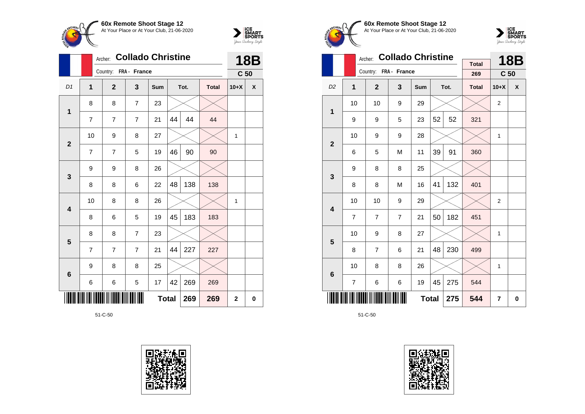



|                         |                | <b>Collado Christine</b><br>Archer: |                |     | <b>18B</b>   |      |              |                 |          |
|-------------------------|----------------|-------------------------------------|----------------|-----|--------------|------|--------------|-----------------|----------|
|                         |                | Country: FRA - France               |                |     |              |      |              | C <sub>50</sub> |          |
| D <sub>1</sub>          | 1              | $\overline{2}$                      | 3              | Sum |              | Tot. | <b>Total</b> | $10+X$          | X        |
| 1                       | 8              | 8                                   | $\overline{7}$ | 23  |              |      |              |                 |          |
|                         | $\overline{7}$ | $\overline{7}$                      | $\overline{7}$ | 21  | 44           | 44   | 44           |                 |          |
| $\overline{2}$          | 10             | 9                                   | 8              | 27  |              |      |              | $\mathbf{1}$    |          |
|                         | $\overline{7}$ | 7                                   | 5              | 19  | 46           | 90   | 90           |                 |          |
| 3                       | 9              | 9                                   | 8              | 26  |              |      |              |                 |          |
|                         | 8              | 8                                   | 6              | 22  | 48           | 138  | 138          |                 |          |
| $\overline{\mathbf{4}}$ | 10             | 8                                   | 8              | 26  |              |      |              | $\mathbf{1}$    |          |
|                         | 8              | 6                                   | 5              | 19  | 45           | 183  | 183          |                 |          |
| 5                       | 8              | 8                                   | $\overline{7}$ | 23  |              |      |              |                 |          |
|                         | $\overline{7}$ | $\overline{7}$                      | $\overline{7}$ | 21  | 44           | 227  | 227          |                 |          |
| $6\phantom{1}6$         | 9              | 8                                   | 8              | 25  |              |      |              |                 |          |
|                         | 6              | 6                                   | 5              | 17  | 42           | 269  | 269          |                 |          |
|                         |                |                                     |                |     | <b>Total</b> | 269  | 269          | $\mathbf{2}$    | $\bf{0}$ |









|                         |                | Archer:               | <b>Collado Christine</b> |     |              |      |                     | <b>18B</b>              |   |
|-------------------------|----------------|-----------------------|--------------------------|-----|--------------|------|---------------------|-------------------------|---|
|                         |                | Country: FRA - France |                          |     |              |      | <b>Total</b><br>269 | C <sub>50</sub>         |   |
|                         |                |                       |                          |     |              |      |                     |                         |   |
| D <sub>2</sub>          | 1              | $\mathbf{2}$          | 3                        | Sum |              | Tot. | <b>Total</b>        | $10+X$                  | X |
| 1                       | 10             | 10                    | 9                        | 29  |              |      |                     | $\overline{\mathbf{c}}$ |   |
|                         | 9              | 9                     | 5                        | 23  | 52           | 52   | 321                 |                         |   |
| $\overline{2}$          | 10             | 9                     | 9                        | 28  |              |      |                     | 1                       |   |
|                         | 6              | 5                     | M                        | 11  | 39           | 91   | 360                 |                         |   |
| 3                       | 9              | 8                     | 8                        | 25  |              |      |                     |                         |   |
|                         | 8              | 8                     | M                        | 16  | 41           | 132  | 401                 |                         |   |
| $\overline{\mathbf{4}}$ | 10             | 10                    | 9                        | 29  |              |      |                     | 2                       |   |
|                         | $\overline{7}$ | $\overline{7}$        | $\overline{7}$           | 21  | 50           | 182  | 451                 |                         |   |
| 5                       | 10             | 9                     | 8                        | 27  |              |      |                     | 1                       |   |
|                         | 8              | $\overline{7}$        | 6                        | 21  | 48           | 230  | 499                 |                         |   |
| 6                       | 10             | 8                     | 8                        | 26  |              |      |                     | 1                       |   |
|                         | $\overline{7}$ | 6                     | $\,6$                    | 19  | 45           | 275  | 544                 |                         |   |
|                         |                |                       |                          |     | <b>Total</b> | 275  | 544                 | 7                       | 0 |

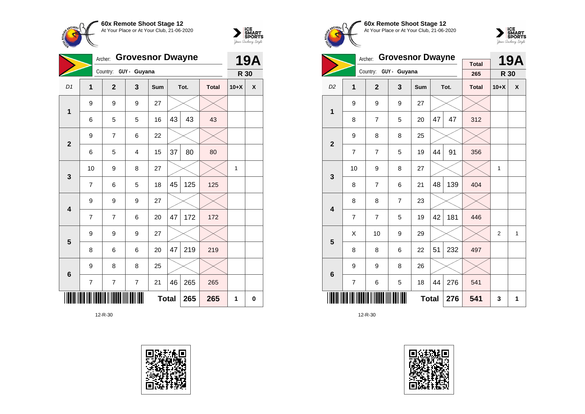



|                         | <b>Grovesnor Dwayne</b><br>Archer: |                       |                |              |    |      |              |        | <b>19A</b> |
|-------------------------|------------------------------------|-----------------------|----------------|--------------|----|------|--------------|--------|------------|
|                         |                                    | Country: GUY - Guyana |                |              |    |      |              | R 30   |            |
| D <sub>1</sub>          | $\mathbf{1}$                       | $\overline{2}$        | 3              | Sum          |    | Tot. | <b>Total</b> | $10+X$ | X          |
| $\mathbf{1}$            | 9                                  | 9                     | 9              | 27           |    |      |              |        |            |
|                         | 6                                  | 5                     | 5              | 16           | 43 | 43   | 43           |        |            |
| $\overline{2}$          | 9                                  | 7                     | 6              | 22           |    |      |              |        |            |
|                         | 6                                  | 5                     | 4              | 15           | 37 | 80   | 80           |        |            |
| 3                       | 10                                 | 9                     | 8              | 27           |    |      |              | 1      |            |
|                         | 7                                  | 6                     | 5              | 18           | 45 | 125  | 125          |        |            |
| $\overline{\mathbf{4}}$ | 9                                  | 9                     | 9              | 27           |    |      |              |        |            |
|                         | 7                                  | 7                     | 6              | 20           | 47 | 172  | 172          |        |            |
| 5                       | 9                                  | 9                     | 9              | 27           |    |      |              |        |            |
|                         | 8                                  | 6                     | 6              | 20           | 47 | 219  | 219          |        |            |
| 6                       | 9                                  | 8                     | 8              | 25           |    |      |              |        |            |
|                         | 7                                  | $\overline{7}$        | $\overline{7}$ | 21           | 46 | 265  | 265          |        |            |
|                         |                                    |                       |                | <b>Total</b> |    | 265  | 265          | 1      | 0          |









|                         | <b>Grovesnor Dwayne</b><br>Archer: |                |                |              |    |      |                     |        | 19A |
|-------------------------|------------------------------------|----------------|----------------|--------------|----|------|---------------------|--------|-----|
|                         |                                    | Country:       | GUY - Guyana   |              |    |      | <b>Total</b><br>265 | R 30   |     |
| D <sub>2</sub>          | 1                                  | $\overline{2}$ | 3              | <b>Sum</b>   |    | Tot. | <b>Total</b>        | $10+X$ | X   |
| $\mathbf 1$             | 9                                  | 9              | 9              | 27           |    |      |                     |        |     |
|                         | 8                                  | $\overline{7}$ | 5              | 20           | 47 | 47   | 312                 |        |     |
| $\overline{2}$          | 9                                  | 8              | 8              | 25           |    |      |                     |        |     |
|                         | 7                                  | $\overline{7}$ | 5              | 19           | 44 | 91   | 356                 |        |     |
| 3                       | 10                                 | 9              | 8              | 27           |    |      |                     | 1      |     |
|                         | 8                                  | $\overline{7}$ | 6              | 21           | 48 | 139  | 404                 |        |     |
| $\overline{\mathbf{4}}$ | 8                                  | 8              | $\overline{7}$ | 23           |    |      |                     |        |     |
|                         | 7                                  | $\overline{7}$ | 5              | 19           | 42 | 181  | 446                 |        |     |
| 5                       | X                                  | 10             | 9              | 29           |    |      |                     | 2      | 1   |
|                         | 8                                  | 8              | 6              | 22           | 51 | 232  | 497                 |        |     |
| $6\phantom{1}$          | 9                                  | 9              | 8              | 26           |    |      |                     |        |     |
|                         | 7                                  | 6              | 5              | 18           | 44 | 276  | 541                 |        |     |
|                         |                                    |                |                | <b>Total</b> |    | 276  | 541                 | 3      | 1   |

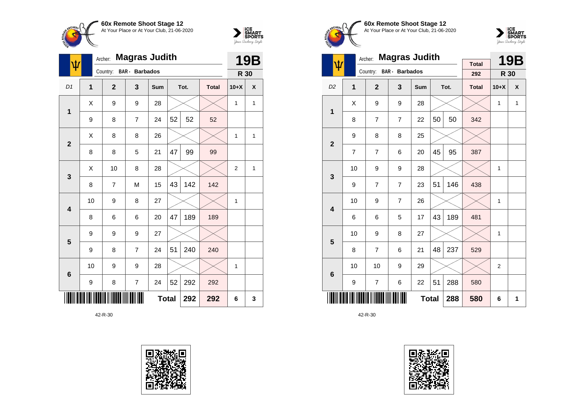



| ψ               |    | <b>Magras Judith</b><br>Archer: |                |              |    |      |              |                |   |  |
|-----------------|----|---------------------------------|----------------|--------------|----|------|--------------|----------------|---|--|
|                 |    | Country: BAR - Barbados         |                |              |    |      |              | R 30           |   |  |
| D <sub>1</sub>  | 1  | $\mathbf{2}$                    | 3              | <b>Sum</b>   |    | Tot. | <b>Total</b> | $10+X$         | X |  |
| 1               | X  | 9                               | 9              | 28           |    |      |              | 1              | 1 |  |
|                 | 9  | 8                               | 7              | 24           | 52 | 52   | 52           |                |   |  |
| $\overline{2}$  | X  | 8                               | 8              | 26           |    |      |              | 1              | 1 |  |
|                 | 8  | 8                               | 5              | 21           | 47 | 99   | 99           |                |   |  |
| 3               | Χ  | 10                              | 8              | 28           |    |      |              | $\overline{2}$ | 1 |  |
|                 | 8  | 7                               | M              | 15           | 43 | 142  | 142          |                |   |  |
| 4               | 10 | 9                               | 8              | 27           |    |      |              | 1              |   |  |
|                 | 8  | 6                               | 6              | 20           | 47 | 189  | 189          |                |   |  |
| 5               | 9  | 9                               | 9              | 27           |    |      |              |                |   |  |
|                 | 9  | 8                               | $\overline{7}$ | 24           | 51 | 240  | 240          |                |   |  |
| $6\phantom{1}6$ | 10 | 9                               | 9              | 28           |    |      |              | 1              |   |  |
|                 | 9  | 8                               | $\overline{7}$ | 24           | 52 | 292  | 292          |                |   |  |
|                 |    |                                 |                | <b>Total</b> |    | 292  | 292          | 6              | 3 |  |





**60x Remote Shoot Stage 12** At Your Place or At Your Club, 21-06-2020



|                         |    | Archer:        | <b>Magras Judith</b> |              |    |      | <b>19B</b>   |                |              |
|-------------------------|----|----------------|----------------------|--------------|----|------|--------------|----------------|--------------|
| Ψ                       |    | Country:       | BAR - Barbados       |              |    |      | <b>Total</b> |                |              |
|                         |    |                |                      |              |    |      | 292          | R 30           |              |
| D <sub>2</sub>          | 1  | $\overline{2}$ | 3                    | Sum          |    | Tot. | <b>Total</b> | $10+X$         | X            |
| 1                       | X  | 9              | 9                    | 28           |    |      |              | $\mathbf{1}$   | $\mathbf{1}$ |
|                         | 8  | 7              | $\overline{7}$       | 22           | 50 | 50   | 342          |                |              |
| $\overline{2}$          | 9  | 8              | 8                    | 25           |    |      |              |                |              |
|                         | 7  | 7              | 6                    | 20           | 45 | 95   | 387          |                |              |
| 3                       | 10 | 9              | 9                    | 28           |    |      |              | 1              |              |
|                         | 9  | 7              | $\overline{7}$       | 23           | 51 | 146  | 438          |                |              |
| $\overline{\mathbf{4}}$ | 10 | 9              | $\overline{7}$       | 26           |    |      |              | 1              |              |
|                         | 6  | 6              | 5                    | 17           | 43 | 189  | 481          |                |              |
| 5                       | 10 | 9              | 8                    | 27           |    |      |              | 1              |              |
|                         | 8  | 7              | 6                    | 21           | 48 | 237  | 529          |                |              |
| 6                       | 10 | 10             | 9                    | 29           |    |      |              | $\overline{2}$ |              |
|                         | 9  | 7              | 6                    | 22           | 51 | 288  | 580          |                |              |
|                         |    |                |                      | <b>Total</b> |    | 288  | 580          | 6              | 1            |

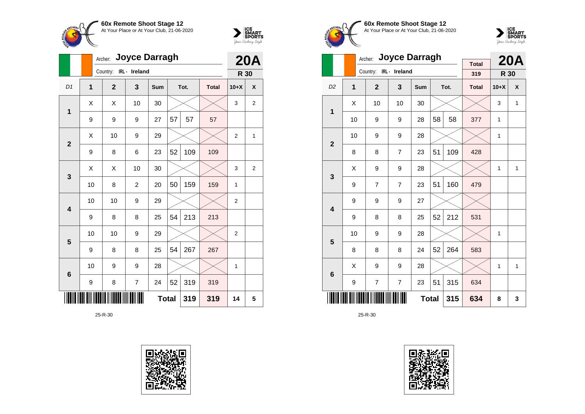



|                         |              | Archer: Joyce Darragh  |                |     | <b>20A</b>   |      |              |                |                |
|-------------------------|--------------|------------------------|----------------|-----|--------------|------|--------------|----------------|----------------|
|                         |              | Country: IRL - Ireland |                |     |              |      |              | R 30           |                |
| D <sub>1</sub>          | $\mathbf{1}$ | $\mathbf{2}$           | 3              | Sum |              | Tot. | <b>Total</b> | $10+X$         | X              |
| $\mathbf 1$             | X            | X                      | 10             | 30  |              |      |              | 3              | $\overline{2}$ |
|                         | 9            | 9                      | 9              | 27  | 57           | 57   | 57           |                |                |
| $\overline{2}$          | Χ            | 10                     | 9              | 29  |              |      |              | $\overline{2}$ | 1              |
|                         | 9            | 8                      | 6              | 23  | 52           | 109  | 109          |                |                |
| 3                       | Χ            | Χ                      | 10             | 30  |              |      |              | 3              | $\overline{2}$ |
|                         | 10           | 8                      | $\overline{c}$ | 20  | 50           | 159  | 159          | 1              |                |
| $\overline{\mathbf{4}}$ | 10           | 10                     | 9              | 29  |              |      |              | $\overline{2}$ |                |
|                         | 9            | 8                      | 8              | 25  | 54           | 213  | 213          |                |                |
| 5                       | 10           | 10                     | 9              | 29  |              |      |              | $\overline{2}$ |                |
|                         | 9            | 8                      | 8              | 25  | 54           | 267  | 267          |                |                |
| $6\phantom{1}6$         | 10           | 9                      | 9              | 28  |              |      |              | 1              |                |
|                         | 9            | 8                      | $\overline{7}$ | 24  | 52           | 319  | 319          |                |                |
|                         |              |                        |                |     | <b>Total</b> | 319  | 319          | 14             | 5              |









|                         |    | Archer:                | <b>Joyce Darragh</b> |              |    |      | <b>20A</b>          |              |              |
|-------------------------|----|------------------------|----------------------|--------------|----|------|---------------------|--------------|--------------|
|                         |    | Country: IRL - Ireland |                      |              |    |      | <b>Total</b><br>319 | R 30         |              |
|                         |    |                        |                      |              |    |      |                     |              | X            |
| D <sub>2</sub>          | 1  | $\overline{2}$         | 3                    | Sum          |    | Tot. | <b>Total</b>        | $10+X$       |              |
| 1                       | Χ  | 10                     | 10                   | 30           |    |      |                     | 3            | $\mathbf{1}$ |
|                         | 10 | 9                      | 9                    | 28           | 58 | 58   | 377                 | 1            |              |
|                         | 10 | 9                      | 9                    | 28           |    |      |                     | 1            |              |
| $\overline{2}$          | 8  | 8                      | $\overline{7}$       | 23           | 51 | 109  | 428                 |              |              |
|                         | X  | 9                      | 9                    | 28           |    |      |                     | 1            | 1            |
| 3                       | 9  | $\overline{7}$         | $\overline{7}$       | 23           | 51 | 160  | 479                 |              |              |
| $\overline{\mathbf{4}}$ | 9  | 9                      | 9                    | 27           |    |      |                     |              |              |
|                         | 9  | 8                      | 8                    | 25           | 52 | 212  | 531                 |              |              |
| 5                       | 10 | 9                      | 9                    | 28           |    |      |                     | 1            |              |
|                         | 8  | 8                      | 8                    | 24           | 52 | 264  | 583                 |              |              |
| 6                       | Χ  | 9                      | 9                    | 28           |    |      |                     | $\mathbf{1}$ | $\mathbf{1}$ |
|                         | 9  | 7                      | $\overline{7}$       | 23           | 51 | 315  | 634                 |              |              |
|                         |    |                        |                      | <b>Total</b> |    | 315  | 634                 | 8            | 3            |

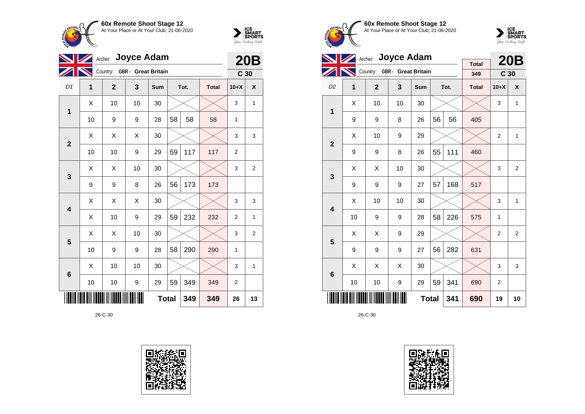



|                         | $\blacksquare$ | Archer: Joyce Adam           |                  |              |    |      |              |                 | <b>20B</b>     |
|-------------------------|----------------|------------------------------|------------------|--------------|----|------|--------------|-----------------|----------------|
|                         | N              | Country: GBR - Great Britain |                  |              |    |      |              | C <sub>30</sub> |                |
| D1                      | 1              | $\overline{2}$               | 3                | Sum          |    | Tot. | <b>Total</b> | $10+X$          | X              |
| 1                       | X              | 10                           | 10               | 30           |    |      |              | 3               | 1              |
|                         | 10             | 9                            | 9                | 28           | 58 | 58   | 58           | 1               |                |
| $\overline{2}$          | X              | X                            | X                | 30           |    |      |              | 3               | 3              |
|                         | 10             | 10                           | 9                | 29           | 59 | 117  | 117          | $\overline{2}$  |                |
| 3                       | X              | X                            | 10               | 30           |    |      |              | 3               | $\overline{2}$ |
|                         | 9              | 9                            | 8                | 26           | 56 | 173  | 173          |                 |                |
| $\overline{\mathbf{4}}$ | X              | X                            | X                | 30           |    |      |              | 3               | 3              |
|                         | X              | 10                           | 9                | 29           | 59 | 232  | 232          | $\overline{2}$  | 1              |
| 5                       | X              | X                            | 10               | 30           |    |      |              | 3               | 2              |
|                         | 10             | 9                            | 9                | 28           | 58 | 290  | 290          | 1               |                |
| $\bf 6$                 | X              | 10                           | 10               | 30           |    |      |              | 3               | 1              |
|                         | 10             | 10                           | $\boldsymbol{9}$ | 29           | 59 | 349  | 349          | 2               |                |
|                         |                |                              |                  | <b>Total</b> |    | 349  | 349          | 26              | 13             |









|                         |    | Archer: Joyce Adam           |    |              |    | <b>20B</b> |                     |                 |                |
|-------------------------|----|------------------------------|----|--------------|----|------------|---------------------|-----------------|----------------|
|                         |    | Country: GBR - Great Britain |    |              |    |            | <b>Total</b><br>349 | C <sub>30</sub> |                |
| D <sub>2</sub>          | 1  | $\overline{2}$               | 3  | Sum          |    | Tot.       | <b>Total</b>        | $10+X$          | X              |
| 1                       | X  | 10                           | 10 | 30           |    |            |                     | 3               | 1              |
|                         | 9  | 9                            | 8  | 26           | 56 | 56         | 405                 |                 |                |
| $\overline{2}$          | Χ  | 10                           | 9  | 29           |    |            |                     | $\overline{2}$  | 1              |
|                         | 9  | 9                            | 8  | 26           | 55 | 111        | 460                 |                 |                |
| 3                       | X  | X                            | 10 | 30           |    |            |                     | 3               | $\overline{2}$ |
|                         | 9  | 9                            | 9  | 27           | 57 | 168        | 517                 |                 |                |
| $\overline{\mathbf{4}}$ | Χ  | 10                           | 10 | 30           |    |            |                     | 3               | 1              |
|                         | 10 | 9                            | 9  | 28           | 58 | 226        | 575                 | 1               |                |
| 5                       | X  | Χ                            | 9  | 29           |    |            |                     | 2               | 2              |
|                         | 9  | 9                            | 9  | 27           | 56 | 282        | 631                 |                 |                |
| $6\phantom{1}6$         | Χ  | Χ                            | X  | 30           |    |            |                     | 3               | 3              |
|                         | 10 | 10                           | 9  | 29           | 59 | 341        | 690                 | 2               |                |
|                         |    |                              |    | <b>Total</b> |    | 341        | 690                 | 19              | 10             |

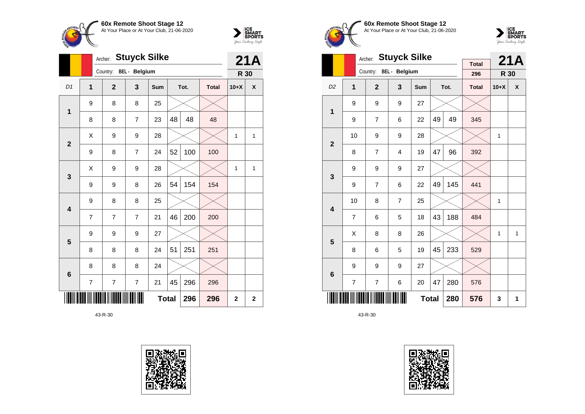



|                         |                | <b>Stuyck Silke</b><br>Archer: |                         |              | 21A |      |              |                |                         |
|-------------------------|----------------|--------------------------------|-------------------------|--------------|-----|------|--------------|----------------|-------------------------|
|                         |                | Country:                       | BEL - Belgium           |              |     |      |              | R 30           |                         |
| D <sub>1</sub>          | $\overline{1}$ | $\mathbf{2}$                   | $\overline{\mathbf{3}}$ | <b>Sum</b>   |     | Tot. | <b>Total</b> | $10+X$         | X                       |
| $\mathbf 1$             | 9              | 8                              | 8                       | 25           |     |      |              |                |                         |
|                         | 8              | 8                              | $\overline{7}$          | 23           | 48  | 48   | 48           |                |                         |
| $\overline{2}$          | X              | 9                              | 9                       | 28           |     |      |              | 1              | $\mathbf{1}$            |
|                         | 9              | 8                              | $\overline{7}$          | 24           | 52  | 100  | 100          |                |                         |
| $\mathbf{3}$            | X              | 9                              | 9                       | 28           |     |      |              | 1              | 1                       |
|                         | 9              | 9                              | 8                       | 26           | 54  | 154  | 154          |                |                         |
| $\overline{\mathbf{4}}$ | 9              | 8                              | 8                       | 25           |     |      |              |                |                         |
|                         | $\overline{7}$ | $\overline{7}$                 | 7                       | 21           | 46  | 200  | 200          |                |                         |
| 5                       | 9              | 9                              | 9                       | 27           |     |      |              |                |                         |
|                         | 8              | 8                              | 8                       | 24           | 51  | 251  | 251          |                |                         |
| $6\phantom{1}6$         | 8              | 8                              | 8                       | 24           |     |      |              |                |                         |
|                         | 7              | 7                              | 7                       | 21           | 45  | 296  | 296          |                |                         |
|                         |                |                                |                         | <b>Total</b> |     | 296  | 296          | $\overline{2}$ | $\overline{\mathbf{2}}$ |









|                         |                | <b>Stuyck Silke</b><br>Archer: |                |              |    | 21A  |                     |        |              |
|-------------------------|----------------|--------------------------------|----------------|--------------|----|------|---------------------|--------|--------------|
|                         |                | Country: BEL - Belgium         |                |              |    |      | <b>Total</b><br>296 | R 30   |              |
| D <sub>2</sub>          | $\overline{1}$ | $\overline{2}$                 | 3              | <b>Sum</b>   |    | Tot. | <b>Total</b>        | $10+X$ | X            |
| 1                       | 9              | 9                              | 9              | 27           |    |      |                     |        |              |
|                         | 9              | 7                              | 6              | 22           | 49 | 49   | 345                 |        |              |
| $\overline{2}$          | 10             | 9                              | 9              | 28           |    |      |                     | 1      |              |
|                         | 8              | $\overline{7}$                 | $\overline{4}$ | 19           | 47 | 96   | 392                 |        |              |
| 3                       | 9              | 9                              | 9              | 27           |    |      |                     |        |              |
|                         | 9              | $\overline{7}$                 | 6              | 22           | 49 | 145  | 441                 |        |              |
| $\overline{\mathbf{4}}$ | 10             | 8                              | $\overline{7}$ | 25           |    |      |                     | 1      |              |
|                         | $\overline{7}$ | 6                              | 5              | 18           | 43 | 188  | 484                 |        |              |
| 5                       | X              | 8                              | 8              | 26           |    |      |                     | 1      | $\mathbf{1}$ |
|                         | 8              | 6                              | 5              | 19           | 45 | 233  | 529                 |        |              |
| 6                       | 9              | 9                              | 9              | 27           |    |      |                     |        |              |
|                         | $\overline{7}$ | 7                              | 6              | 20           | 47 | 280  | 576                 |        |              |
|                         |                |                                |                | <b>Total</b> |    | 280  | 576                 | 3      | 1            |

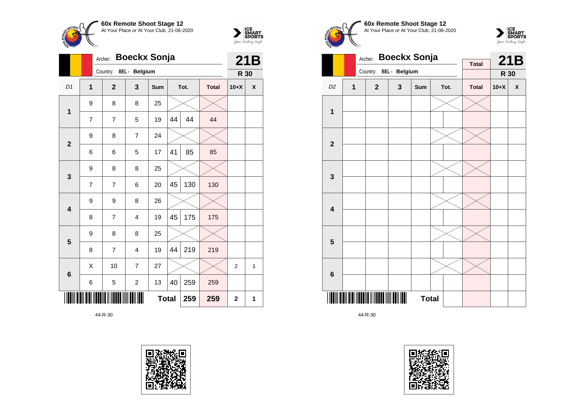



|                         |                | <b>Boeckx Sonja</b><br>Archer: |                      |              | 21B |      |              |                |   |
|-------------------------|----------------|--------------------------------|----------------------|--------------|-----|------|--------------|----------------|---|
|                         |                | Country:                       | <b>BEL</b> - Belgium |              |     |      |              | R 30           |   |
| D <sub>1</sub>          | 1              | $\overline{2}$                 | 3                    | <b>Sum</b>   |     | Tot. | <b>Total</b> | $10+X$         | X |
| 1                       | 9              | 8                              | 8                    | 25           |     |      |              |                |   |
|                         | $\overline{7}$ | $\overline{7}$                 | 5                    | 19           | 44  | 44   | 44           |                |   |
| $\overline{2}$          | 9              | 8                              | $\overline{7}$       | 24           |     |      |              |                |   |
|                         | 6              | 6                              | 5                    | 17           | 41  | 85   | 85           |                |   |
| 3                       | 9              | 8                              | 8                    | 25           |     |      |              |                |   |
|                         | 7              | 7                              | 6                    | 20           | 45  | 130  | 130          |                |   |
| $\overline{\mathbf{4}}$ | 9              | 9                              | 8                    | 26           |     |      |              |                |   |
|                         | 8              | 7                              | $\overline{4}$       | 19           | 45  | 175  | 175          |                |   |
| 5                       | 9              | 8                              | 8                    | 25           |     |      |              |                |   |
|                         | 8              | $\overline{7}$                 | $\overline{4}$       | 19           | 44  | 219  | 219          |                |   |
| $6\phantom{1}6$         | X              | 10                             | $\overline{7}$       | 27           |     |      |              | $\overline{2}$ | 1 |
|                         | 6              | 5                              | $\mathbf 2$          | 13           | 40  | 259  | 259          |                |   |
|                         |                |                                |                      | <b>Total</b> |     | 259  | 259          | $\mathbf{2}$   | 1 |

44-R-30







|                         |                | <b>Boeckx Sonja</b><br>Archer: |   | <b>Total</b> |  | 21B  |              |        |   |
|-------------------------|----------------|--------------------------------|---|--------------|--|------|--------------|--------|---|
|                         |                | Country: BEL - Belgium         |   |              |  |      |              | R 30   |   |
| D <sub>2</sub>          | $\overline{1}$ | $\overline{2}$                 | 3 | Sum          |  | Tot. | <b>Total</b> | $10+X$ | X |
|                         |                |                                |   |              |  |      |              |        |   |
| $\mathbf{1}$            |                |                                |   |              |  |      |              |        |   |
|                         |                |                                |   |              |  |      |              |        |   |
| $\overline{\mathbf{2}}$ |                |                                |   |              |  |      |              |        |   |
|                         |                |                                |   |              |  |      |              |        |   |
| 3                       |                |                                |   |              |  |      |              |        |   |
|                         |                |                                |   |              |  |      |              |        |   |
| $\overline{\mathbf{4}}$ |                |                                |   |              |  |      |              |        |   |
|                         |                |                                |   |              |  |      |              |        |   |
| 5                       |                |                                |   |              |  |      |              |        |   |
|                         |                |                                |   |              |  |      |              |        |   |
| $\bf 6$                 |                |                                |   |              |  |      |              |        |   |
| ║                       |                |                                |   | <b>Total</b> |  |      |              |        |   |

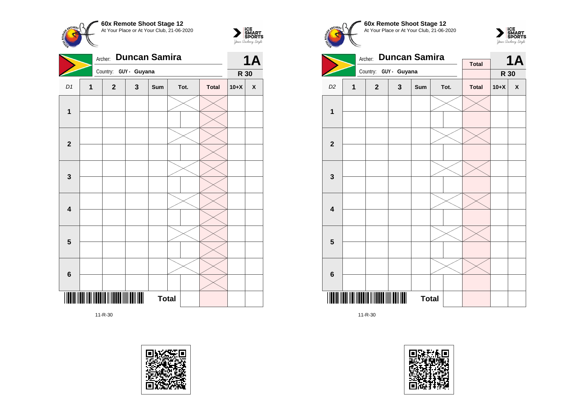

Archer: **Duncan Samira**



|                         |              |              | Country: GUY - Guyana |     |              |      |              | R 30   | $\mathbf{r}$       |
|-------------------------|--------------|--------------|-----------------------|-----|--------------|------|--------------|--------|--------------------|
|                         |              |              |                       |     |              |      |              |        |                    |
| D1                      | $\mathbf{1}$ | $\mathbf{2}$ | $\mathbf{3}$          | Sum |              | Tot. | <b>Total</b> | $10+X$ | $\pmb{\mathsf{X}}$ |
|                         |              |              |                       |     |              |      |              |        |                    |
| $\mathbf{1}$            |              |              |                       |     |              |      |              |        |                    |
|                         |              |              |                       |     |              |      |              |        |                    |
|                         |              |              |                       |     |              |      |              |        |                    |
| $\mathbf 2$             |              |              |                       |     |              |      |              |        |                    |
|                         |              |              |                       |     |              |      |              |        |                    |
|                         |              |              |                       |     |              |      |              |        |                    |
| $\mathbf{3}$            |              |              |                       |     |              |      |              |        |                    |
|                         |              |              |                       |     |              |      |              |        |                    |
|                         |              |              |                       |     |              |      |              |        |                    |
| $\overline{\mathbf{4}}$ |              |              |                       |     |              |      |              |        |                    |
|                         |              |              |                       |     |              |      |              |        |                    |
|                         |              |              |                       |     |              |      |              |        |                    |
| $\overline{\mathbf{5}}$ |              |              |                       |     |              |      |              |        |                    |
|                         |              |              |                       |     |              |      |              |        |                    |
|                         |              |              |                       |     |              |      |              |        |                    |
| $\bf 6$                 |              |              |                       |     |              |      |              |        |                    |
|                         |              |              |                       |     |              |      |              |        |                    |
| $\parallel$             |              |              |                       |     | <b>Total</b> |      |              |        |                    |
|                         |              |              |                       |     |              |      |              |        |                    |

11-R-30









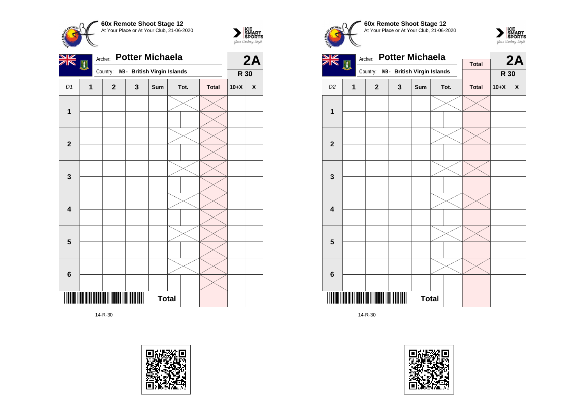



| <u>NK</u>               | 网 | <b>Potter Michaela</b><br>Archer: |                              |              | 2A   |              |        |              |
|-------------------------|---|-----------------------------------|------------------------------|--------------|------|--------------|--------|--------------|
|                         |   | Country:                          | IVB - British Virgin Islands |              |      |              | R 30   |              |
| D1                      | 1 | $\mathbf{2}$                      | $\mathbf{3}$                 | Sum          | Tot. | <b>Total</b> | $10+X$ | $\pmb{\chi}$ |
|                         |   |                                   |                              |              |      |              |        |              |
| $\mathbf{1}$            |   |                                   |                              |              |      |              |        |              |
|                         |   |                                   |                              |              |      |              |        |              |
| $\mathbf{2}$            |   |                                   |                              |              |      |              |        |              |
|                         |   |                                   |                              |              |      |              |        |              |
| $\mathbf 3$             |   |                                   |                              |              |      |              |        |              |
|                         |   |                                   |                              |              |      |              |        |              |
| $\overline{\mathbf{4}}$ |   |                                   |                              |              |      |              |        |              |
|                         |   |                                   |                              |              |      |              |        |              |
| $\overline{\mathbf{5}}$ |   |                                   |                              |              |      |              |        |              |
|                         |   |                                   |                              |              |      |              |        |              |
|                         |   |                                   |                              |              |      |              |        |              |
| $\bf 6$                 |   |                                   |                              |              |      |              |        |              |
|                         |   |                                   |                              | <b>Total</b> |      |              |        |              |
|                         |   |                                   |                              |              |      |              |        |              |









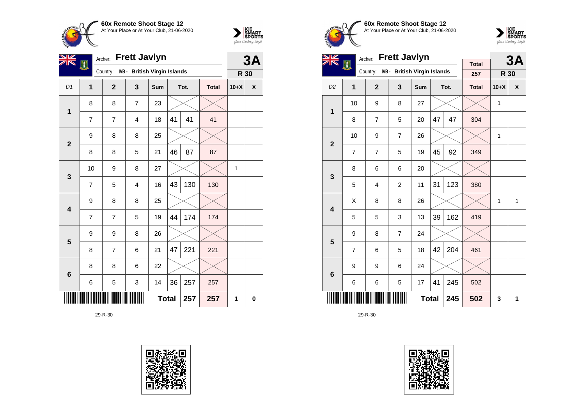



| V                       | EN,            | <b>Frett Javlyn</b><br>Archer:        |                | 3A           |    |      |              |              |   |
|-------------------------|----------------|---------------------------------------|----------------|--------------|----|------|--------------|--------------|---|
|                         |                | Country: IVB - British Virgin Islands |                |              |    |      |              | R 30         |   |
| D1                      | $\mathbf{1}$   | $\overline{2}$                        | $\mathbf{3}$   | Sum          |    | Tot. | <b>Total</b> | $10+X$       | X |
| 1                       | 8              | 8                                     | $\overline{7}$ | 23           |    |      |              |              |   |
|                         | 7              | 7                                     | 4              | 18           | 41 | 41   | 41           |              |   |
| $\overline{2}$          | 9              | 8                                     | 8              | 25           |    |      |              |              |   |
|                         | 8              | 8                                     | 5              | 21           | 46 | 87   | 87           |              |   |
| $\mathbf{3}$            | 10             | 9                                     | 8              | 27           |    |      |              | $\mathbf{1}$ |   |
|                         | $\overline{7}$ | 5                                     | $\overline{4}$ | 16           | 43 | 130  | 130          |              |   |
| $\overline{\mathbf{4}}$ | 9              | 8                                     | 8              | 25           |    |      |              |              |   |
|                         | 7              | $\overline{7}$                        | 5              | 19           | 44 | 174  | 174          |              |   |
| 5                       | 9              | 9                                     | 8              | 26           |    |      |              |              |   |
|                         | 8              | 7                                     | 6              | 21           | 47 | 221  | 221          |              |   |
| $6\phantom{1}6$         | 8              | 8                                     | 6              | 22           |    |      |              |              |   |
|                         | 6              | 5                                     | 3              | 14           | 36 | 257  | 257          |              |   |
|                         |                |                                       |                | <b>Total</b> |    | 257  | 257          | 1            | 0 |

29-R-30









| <b>NZ</b>               |                | Archer:        | <b>Frett Javlyn</b>          |              |    |      | 3A                  |        |   |
|-------------------------|----------------|----------------|------------------------------|--------------|----|------|---------------------|--------|---|
|                         | 困              | Country:       | IVB - British Virgin Islands |              |    |      | <b>Total</b><br>257 | R 30   |   |
| D <sub>2</sub>          | 1              | $\overline{2}$ | 3                            | Sum          |    | Tot. | <b>Total</b>        | $10+X$ | X |
| 1                       | 10             | 9              | 8                            | 27           |    |      |                     | 1      |   |
|                         | 8              | $\overline{7}$ | 5                            | 20           | 47 | 47   | 304                 |        |   |
| $\mathbf{2}$            | 10             | 9              | $\overline{7}$               | 26           |    |      |                     | 1      |   |
|                         | $\overline{7}$ | $\overline{7}$ | 5                            | 19           | 45 | 92   | 349                 |        |   |
| 3                       | 8              | 6              | 6                            | 20           |    |      |                     |        |   |
|                         | 5              | 4              | $\overline{2}$               | 11           | 31 | 123  | 380                 |        |   |
| $\overline{\mathbf{4}}$ | X              | 8              | 8                            | 26           |    |      |                     | 1      | 1 |
|                         | 5              | 5              | 3                            | 13           | 39 | 162  | 419                 |        |   |
| 5                       | 9              | 8              | $\overline{7}$               | 24           |    |      |                     |        |   |
|                         | $\overline{7}$ | 6              | 5                            | 18           | 42 | 204  | 461                 |        |   |
| $\bf 6$                 | 9              | 9              | 6                            | 24           |    |      |                     |        |   |
|                         | 6              | 6              | 5                            | 17           | 41 | 245  | 502                 |        |   |
|                         |                |                |                              | <b>Total</b> |    | 245  | 502                 | 3      | 1 |

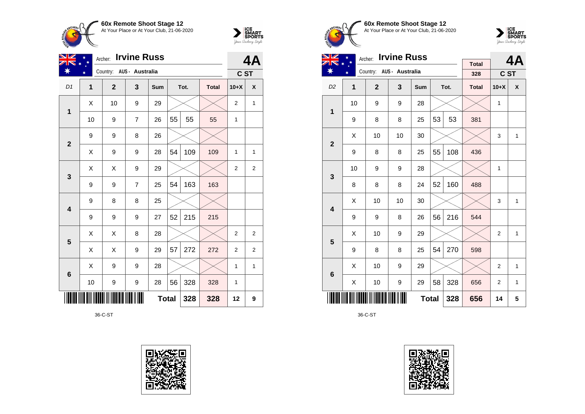



| VZ                      |                         | <b>Irvine Russ</b><br>Archer: |                |              |    |      |              |                |                |  |
|-------------------------|-------------------------|-------------------------------|----------------|--------------|----|------|--------------|----------------|----------------|--|
|                         | ¥                       | Country: AUS - Australia      |                |              |    |      |              | C ST           |                |  |
| D1                      | $\overline{\mathbf{1}}$ | $\overline{2}$                | 3              | Sum          |    | Tot. | <b>Total</b> | $10+X$         | X              |  |
| 1                       | Χ                       | 10                            | 9              | 29           |    |      |              | $\overline{2}$ | $\mathbf{1}$   |  |
|                         | 10                      | 9                             | $\overline{7}$ | 26           | 55 | 55   | 55           | 1              |                |  |
| $\mathbf{2}$            | 9                       | 9                             | 8              | 26           |    |      |              |                |                |  |
|                         | Χ                       | 9                             | 9              | 28           | 54 | 109  | 109          | 1              | 1              |  |
| 3                       | X                       | X                             | 9              | 29           |    |      |              | $\overline{2}$ | 2              |  |
|                         | 9                       | 9                             | $\overline{7}$ | 25           | 54 | 163  | 163          |                |                |  |
| $\overline{\mathbf{4}}$ | 9                       | 8                             | 8              | 25           |    |      |              |                |                |  |
|                         | 9                       | 9                             | 9              | 27           | 52 | 215  | 215          |                |                |  |
| 5                       | X                       | Χ                             | 8              | 28           |    |      |              | $\overline{2}$ | $\overline{2}$ |  |
|                         | Χ                       | X                             | 9              | 29           | 57 | 272  | 272          | $\overline{c}$ | $\overline{2}$ |  |
| $6\phantom{1}6$         | Χ                       | 9                             | 9              | 28           |    |      |              | 1              | $\mathbf{1}$   |  |
|                         | 10                      | 9                             | 9              | 28           | 56 | 328  | 328          | 1              |                |  |
|                         |                         |                               |                | <b>Total</b> |    | 328  | 328          | 12             | 9              |  |

36-C-ST







 $\sum_{\text{your }\text{Order}}\begin{matrix}\n\text{ICE} \\
\text{SDORTS} \\
\text{Jour }\text{Ordery }\text{Style}\n\end{matrix}$ 

| VZ                      |                | Archer:                  | <b>Irvine Russ</b> |              |    |      | 4A                  |                |              |
|-------------------------|----------------|--------------------------|--------------------|--------------|----|------|---------------------|----------------|--------------|
| ☀                       | ¥              | Country: AUS - Australia |                    |              |    |      | <b>Total</b><br>328 | C ST           |              |
| D <sub>2</sub>          | $\overline{1}$ | $\overline{2}$           | 3                  | Sum          |    | Tot. | <b>Total</b>        | $10+X$         | X            |
| 1                       | 10             | 9                        | 9                  | 28           |    |      |                     | 1              |              |
|                         | 9              | 8                        | 8                  | 25           | 53 | 53   | 381                 |                |              |
| $\overline{\mathbf{2}}$ | X              | 10                       | 10                 | 30           |    |      |                     | 3              | $\mathbf{1}$ |
|                         | 9              | 8                        | 8                  | 25           | 55 | 108  | 436                 |                |              |
| 3                       | 10             | 9                        | 9                  | 28           |    |      |                     | 1              |              |
|                         | 8              | 8                        | 8                  | 24           | 52 | 160  | 488                 |                |              |
| $\overline{\mathbf{4}}$ | X              | 10                       | 10                 | 30           |    |      |                     | 3              | $\mathbf{1}$ |
|                         | 9              | 9                        | 8                  | 26           | 56 | 216  | 544                 |                |              |
| 5                       | X              | 10                       | 9                  | 29           |    |      |                     | $\overline{2}$ | $\mathbf{1}$ |
|                         | 9              | 8                        | 8                  | 25           | 54 | 270  | 598                 |                |              |
| $6\phantom{1}$          | X              | 10                       | 9                  | 29           |    |      |                     | $\overline{2}$ | $\mathbf{1}$ |
|                         | X              | 10                       | 9                  | 29           | 58 | 328  | 656                 | $\overline{2}$ | 1            |
|                         |                |                          |                    | <b>Total</b> |    | 328  | 656                 | 14             | 5            |

36-C-ST

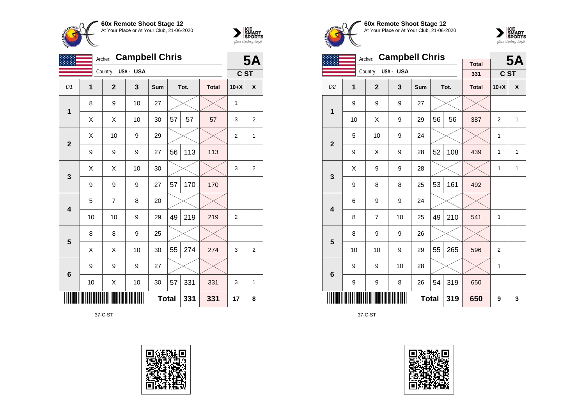



|                         | <b>Campbell Chris</b><br>Archer: |                |          |              |    |      |              |                | <b>5A</b>      |
|-------------------------|----------------------------------|----------------|----------|--------------|----|------|--------------|----------------|----------------|
|                         |                                  | Country:       | USA- USA |              |    |      |              | C ST           |                |
| D1                      | 1                                | $\overline{2}$ | 3        | Sum          |    | Tot. | <b>Total</b> | $10+X$         | X              |
| 1                       | 8                                | 9              | 10       | 27           |    |      |              | 1              |                |
|                         | X                                | X              | 10       | 30           | 57 | 57   | 57           | 3              | $\overline{2}$ |
| $\overline{2}$          | X                                | 10             | 9        | 29           |    |      |              | $\overline{2}$ | $\mathbf{1}$   |
|                         | 9                                | 9              | 9        | 27           | 56 | 113  | 113          |                |                |
| 3                       | Χ                                | X              | 10       | 30           |    |      |              | 3              | $\overline{2}$ |
|                         | 9                                | 9              | 9        | 27           | 57 | 170  | 170          |                |                |
| $\overline{\mathbf{4}}$ | 5                                | $\overline{7}$ | 8        | 20           |    |      |              |                |                |
|                         | 10                               | 10             | 9        | 29           | 49 | 219  | 219          | $\overline{2}$ |                |
| $5\phantom{1}$          | 8                                | 8              | 9        | 25           |    |      |              |                |                |
|                         | X                                | X              | 10       | 30           | 55 | 274  | 274          | 3              | 2              |
| 6                       | 9                                | 9              | 9        | 27           |    |      |              |                |                |
|                         | 10                               | X              | 10       | 30           | 57 | 331  | 331          | 3              | $\mathbf{1}$   |
|                         |                                  |                |          | <b>Total</b> |    | 331  | 331          | 17             | 8              |

37-C-ST









|                         |    | <b>Campbell Chris</b><br>Archer: |          |              |    | <b>5A</b> |                     |                |   |
|-------------------------|----|----------------------------------|----------|--------------|----|-----------|---------------------|----------------|---|
|                         |    | Country:                         | USA- USA |              |    |           | <b>Total</b><br>331 | C ST           |   |
|                         |    |                                  |          |              |    |           |                     |                |   |
| D <sub>2</sub>          | 1  | $\overline{2}$                   | 3        | Sum          |    | Tot.      | <b>Total</b>        | $10+X$         | X |
| 1                       | 9  | 9                                | 9        | 27           |    |           |                     |                |   |
|                         | 10 | X                                | 9        | 29           | 56 | 56        | 387                 | $\overline{2}$ | 1 |
| $\overline{\mathbf{2}}$ | 5  | 10                               | 9        | 24           |    |           |                     | 1              |   |
|                         | 9  | X                                | 9        | 28           | 52 | 108       | 439                 | 1              | 1 |
| 3                       | X  | 9                                | 9        | 28           |    |           |                     | 1              | 1 |
|                         | 9  | 8                                | 8        | 25           | 53 | 161       | 492                 |                |   |
| $\overline{\mathbf{4}}$ | 6  | 9                                | 9        | 24           |    |           |                     |                |   |
|                         | 8  | $\overline{7}$                   | 10       | 25           | 49 | 210       | 541                 | 1              |   |
| 5                       | 8  | 9                                | 9        | 26           |    |           |                     |                |   |
|                         | 10 | 10                               | 9        | 29           | 55 | 265       | 596                 | 2              |   |
| $6\phantom{1}$          | 9  | 9                                | 10       | 28           |    |           |                     | 1              |   |
|                         | 9  | 9                                | 8        | 26           | 54 | 319       | 650                 |                |   |
|                         |    |                                  |          | <b>Total</b> |    | 319       | 650                 | 9              | 3 |

37-C-ST

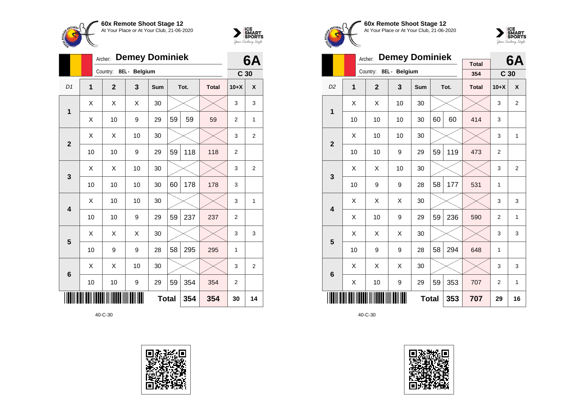



|                         |              | <b>Demey Dominiek</b><br>Archer: |               |              | 6A |      |              |                |                 |
|-------------------------|--------------|----------------------------------|---------------|--------------|----|------|--------------|----------------|-----------------|
|                         |              | Country:                         | BEL - Belgium |              |    |      |              |                | C <sub>30</sub> |
| D1                      | $\mathbf{1}$ | $\overline{2}$                   | 3             | Sum          |    | Tot. | <b>Total</b> | $10+X$         | X               |
| 1                       | X            | X                                | X             | 30           |    |      |              | 3              | 3               |
|                         | Χ            | 10                               | 9             | 29           | 59 | 59   | 59           | $\overline{2}$ | 1               |
| $\mathbf{2}$            | X            | Χ                                | 10            | 30           |    |      |              | 3              | $\overline{2}$  |
|                         | 10           | 10                               | 9             | 29           | 59 | 118  | 118          | $\overline{2}$ |                 |
| 3                       | X            | X                                | 10            | 30           |    |      |              | 3              | 2               |
|                         | 10           | 10                               | 10            | 30           | 60 | 178  | 178          | 3              |                 |
| $\overline{\mathbf{4}}$ | X            | 10                               | 10            | 30           |    |      |              | 3              | 1               |
|                         | 10           | 10                               | 9             | 29           | 59 | 237  | 237          | $\overline{2}$ |                 |
| 5                       | X            | X                                | X             | 30           |    |      |              | 3              | 3               |
|                         | 10           | 9                                | 9             | 28           | 58 | 295  | 295          | 1              |                 |
| $6\phantom{1}6$         | X            | X                                | 10            | 30           |    |      |              | 3              | $\overline{2}$  |
|                         | 10           | 10                               | 9             | 29           | 59 | 354  | 354          | 2              |                 |
|                         |              |                                  |               | <b>Total</b> |    | 354  | 354          | 30             | 14              |









|                         |                | Archer:        | <b>Demey Dominiek</b> |              |    |      | 6A                  |                 |                |
|-------------------------|----------------|----------------|-----------------------|--------------|----|------|---------------------|-----------------|----------------|
|                         |                | Country:       | BEL - Belgium         |              |    |      | <b>Total</b><br>354 | C <sub>30</sub> |                |
| D <sub>2</sub>          | $\overline{1}$ | $\overline{2}$ | 3                     | <b>Sum</b>   |    | Tot. | <b>Total</b>        | $10+X$          | X              |
| 1                       | X              | X              | 10                    | 30           |    |      |                     | 3               | $\overline{2}$ |
|                         | 10             | 10             | 10                    | 30           | 60 | 60   | 414                 | 3               |                |
| $\overline{2}$          | X              | 10             | 10                    | 30           |    |      |                     | 3               | $\mathbf{1}$   |
|                         | 10             | 10             | 9                     | 29           | 59 | 119  | 473                 | $\overline{2}$  |                |
| 3                       | X              | X              | 10                    | 30           |    |      |                     | 3               | $\overline{2}$ |
|                         | 10             | 9              | 9                     | 28           | 58 | 177  | 531                 | 1               |                |
| $\overline{\mathbf{4}}$ | X              | X              | Χ                     | 30           |    |      |                     | 3               | 3              |
|                         | Χ              | 10             | 9                     | 29           | 59 | 236  | 590                 | $\overline{2}$  | 1              |
| 5                       | Х              | X              | X                     | 30           |    |      |                     | 3               | 3              |
|                         | 10             | 9              | 9                     | 28           | 58 | 294  | 648                 | 1               |                |
| $6\phantom{1}6$         | X              | X              | X                     | 30           |    |      |                     | 3               | 3              |
|                         | Χ              | 10             | 9                     | 29           | 59 | 353  | 707                 | $\overline{2}$  | 1              |
|                         |                |                |                       | <b>Total</b> |    | 353  | 707                 | 29              | 16             |

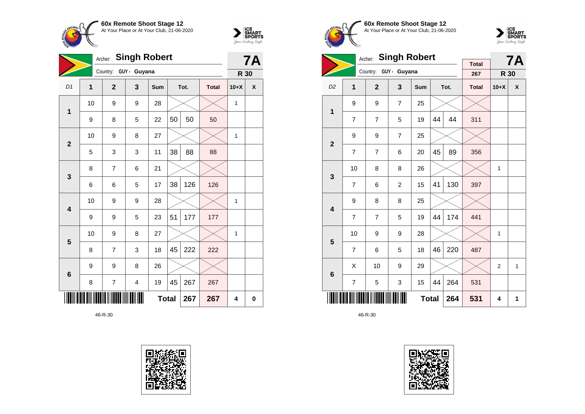



|                         | <b>Singh Robert</b><br>Archer: |                       |                         |              |    |      |              |              |   |
|-------------------------|--------------------------------|-----------------------|-------------------------|--------------|----|------|--------------|--------------|---|
|                         |                                | Country: GUY - Guyana |                         |              |    |      |              | R 30         |   |
| D1                      | $\mathbf{1}$                   | $\overline{2}$        | 3                       | Sum          |    | Tot. | <b>Total</b> | $10+X$       | X |
| 1                       | 10                             | 9                     | 9                       | 28           |    |      |              | 1            |   |
|                         | 9                              | 8                     | 5                       | 22           | 50 | 50   | 50           |              |   |
| $\overline{2}$          | 10                             | 9                     | 8                       | 27           |    |      |              | $\mathbf{1}$ |   |
|                         | 5                              | 3                     | 3                       | 11           | 38 | 88   | 88           |              |   |
| $\mathbf{3}$            | 8                              | $\overline{7}$        | 6                       | 21           |    |      |              |              |   |
|                         | 6                              | 6                     | 5                       | 17           | 38 | 126  | 126          |              |   |
| $\overline{\mathbf{4}}$ | 10                             | 9                     | 9                       | 28           |    |      |              | 1            |   |
|                         | 9                              | 9                     | 5                       | 23           | 51 | 177  | 177          |              |   |
| $\overline{\mathbf{5}}$ | 10                             | 9                     | 8                       | 27           |    |      |              | 1            |   |
|                         | 8                              | 7                     | 3                       | 18           | 45 | 222  | 222          |              |   |
| $6\phantom{1}6$         | 9                              | 9                     | 8                       | 26           |    |      |              |              |   |
|                         | 8                              | $\overline{7}$        | $\overline{\mathbf{4}}$ | 19           | 45 | 267  | 267          |              |   |
|                         |                                |                       |                         | <b>Total</b> |    | 267  | 267          | 4            | 0 |









|                         |                | <b>Singh Robert</b><br>Archer: |                       | <b>Total</b> |    | <b>7A</b> |              |             |   |
|-------------------------|----------------|--------------------------------|-----------------------|--------------|----|-----------|--------------|-------------|---|
|                         |                |                                | Country: GUY - Guyana |              |    |           | 267          | R 30        |   |
| D <sub>2</sub>          | 1              | $\overline{2}$                 | 3                     | <b>Sum</b>   |    | Tot.      | <b>Total</b> | $10+X$      | X |
| $\mathbf 1$             | 9              | 9                              | $\overline{7}$        | 25           |    |           |              |             |   |
|                         | 7              | $\overline{7}$                 | 5                     | 19           | 44 | 44        | 311          |             |   |
| $\overline{2}$          | 9              | 9                              | $\overline{7}$        | 25           |    |           |              |             |   |
|                         | $\overline{7}$ | $\overline{7}$                 | 6                     | 20           | 45 | 89        | 356          |             |   |
| 3                       | 10             | 8                              | 8                     | 26           |    |           |              | 1           |   |
|                         | $\overline{7}$ | 6                              | $\overline{2}$        | 15           | 41 | 130       | 397          |             |   |
| $\overline{\mathbf{4}}$ | 9              | 8                              | 8                     | 25           |    |           |              |             |   |
|                         | $\overline{7}$ | $\overline{7}$                 | 5                     | 19           | 44 | 174       | 441          |             |   |
| 5                       | 10             | 9                              | 9                     | 28           |    |           |              | $\mathbf 1$ |   |
|                         | $\overline{7}$ | 6                              | 5                     | 18           | 46 | 220       | 487          |             |   |
| $6\phantom{1}6$         | X              | 10                             | 9                     | 29           |    |           |              | 2           | 1 |
|                         | 7              | 5                              | 3                     | 15           | 44 | 264       | 531          |             |   |
|                         |                |                                |                       | <b>Total</b> |    | 264       | 531          | 4           | 1 |

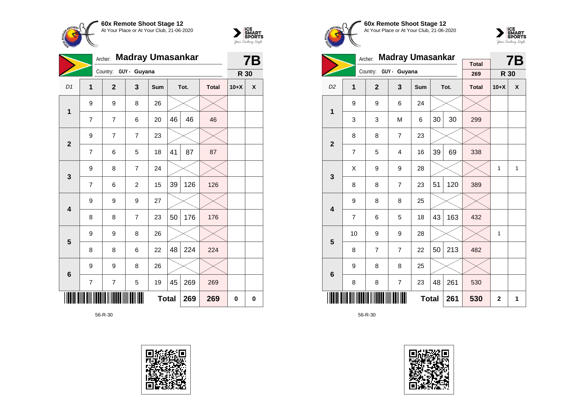



|                         |                | Archer:        | <b>Madray Umasankar</b> |              |    |      |              | <b>7B</b> |                    |
|-------------------------|----------------|----------------|-------------------------|--------------|----|------|--------------|-----------|--------------------|
|                         |                | Country:       | GUY - Guyana            |              |    |      |              | R 30      |                    |
| D1                      | $\mathbf{1}$   | $\overline{2}$ | 3                       | Sum          |    | Tot. | <b>Total</b> | $10+X$    | $\pmb{\mathsf{X}}$ |
| $\mathbf{1}$            | 9              | 9              | 8                       | 26           |    |      |              |           |                    |
|                         | 7              | 7              | 6                       | 20           | 46 | 46   | 46           |           |                    |
| $\overline{2}$          | 9              | $\overline{7}$ | $\overline{7}$          | 23           |    |      |              |           |                    |
|                         | $\overline{7}$ | 6              | 5                       | 18           | 41 | 87   | 87           |           |                    |
| $\mathbf{3}$            | 9              | 8              | $\overline{7}$          | 24           |    |      |              |           |                    |
|                         | 7              | 6              | $\overline{c}$          | 15           | 39 | 126  | 126          |           |                    |
| $\overline{\mathbf{4}}$ | 9              | 9              | 9                       | 27           |    |      |              |           |                    |
|                         | 8              | 8              | $\overline{7}$          | 23           | 50 | 176  | 176          |           |                    |
| $5\phantom{1}$          | 9              | 9              | 8                       | 26           |    |      |              |           |                    |
|                         | 8              | 8              | 6                       | 22           | 48 | 224  | 224          |           |                    |
| $6\phantom{a}$          | 9              | 9              | 8                       | 26           |    |      |              |           |                    |
|                         | $\overline{7}$ | 7              | 5                       | 19           | 45 | 269  | 269          |           |                    |
|                         |                |                |                         | <b>Total</b> |    | 269  | 269          | 0         | 0                  |





**60x Remote Shoot Stage 12** At Your Place or At Your Club, 21-06-2020



|                         |                | Archer:        | <b>Madray Umasankar</b> |              |    | <b>7B</b> |              |              |              |
|-------------------------|----------------|----------------|-------------------------|--------------|----|-----------|--------------|--------------|--------------|
|                         |                |                | Country: GUY - Guyana   |              |    |           | <b>Total</b> |              |              |
|                         |                |                |                         |              |    |           | 269          | R 30         |              |
| D <sub>2</sub>          | 1              | $\overline{2}$ | 3                       | Sum          |    | Tot.      | <b>Total</b> | $10+X$       | X            |
| $\mathbf 1$             | 9              | 9              | 6                       | 24           |    |           |              |              |              |
|                         | 3              | 3              | M                       | 6            | 30 | 30        | 299          |              |              |
| $\overline{2}$          | 8              | 8              | $\overline{7}$          | 23           |    |           |              |              |              |
|                         | 7              | 5              | 4                       | 16           | 39 | 69        | 338          |              |              |
| 3                       | X              | 9              | 9                       | 28           |    |           |              | 1            | $\mathbf{1}$ |
|                         | 8              | 8              | $\overline{7}$          | 23           | 51 | 120       | 389          |              |              |
| $\overline{\mathbf{4}}$ | 9              | 8              | 8                       | 25           |    |           |              |              |              |
|                         | $\overline{7}$ | 6              | 5                       | 18           | 43 | 163       | 432          |              |              |
| 5                       | 10             | 9              | 9                       | 28           |    |           |              | 1            |              |
|                         | 8              | $\overline{7}$ | $\overline{7}$          | 22           | 50 | 213       | 482          |              |              |
| $\bf 6$                 | 9              | 8              | 8                       | 25           |    |           |              |              |              |
|                         | 8              | 8              | 7                       | 23           | 48 | 261       | 530          |              |              |
|                         |                |                |                         | <b>Total</b> |    | 261       | 530          | $\mathbf{2}$ | 1            |

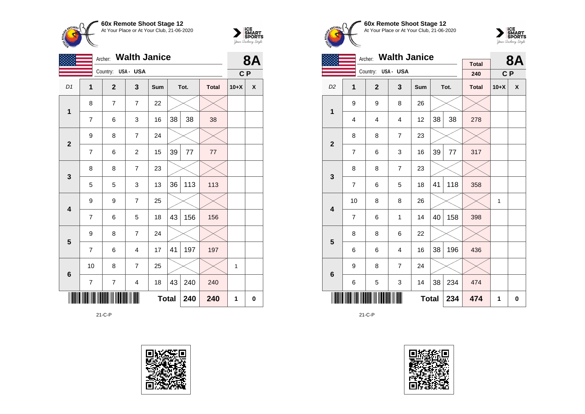



|                         | <b>Walth Janice</b><br>Archer:<br>Country: USA - USA |                |                         |              |    |      | <b>8A</b>    |              |   |
|-------------------------|------------------------------------------------------|----------------|-------------------------|--------------|----|------|--------------|--------------|---|
|                         |                                                      |                |                         |              |    |      |              | C P          |   |
| D1                      | 1                                                    | $\mathbf{2}$   | 3                       | Sum          |    | Tot. | <b>Total</b> | $10+X$       | χ |
| 1                       | 8                                                    | $\overline{7}$ | $\overline{7}$          | 22           |    |      |              |              |   |
|                         | $\overline{7}$                                       | 6              | 3                       | 16           | 38 | 38   | 38           |              |   |
| $\mathbf{2}$            | 9                                                    | 8              | $\overline{7}$          | 24           |    |      |              |              |   |
|                         | 7                                                    | 6              | $\overline{c}$          | 15           | 39 | 77   | 77           |              |   |
| $\mathbf{3}$            | 8                                                    | 8              | $\overline{7}$          | 23           |    |      |              |              |   |
|                         | 5                                                    | 5              | 3                       | 13           | 36 | 113  | 113          |              |   |
| $\overline{\mathbf{4}}$ | 9                                                    | 9              | $\overline{7}$          | 25           |    |      |              |              |   |
|                         | $\overline{7}$                                       | 6              | 5                       | 18           | 43 | 156  | 156          |              |   |
| $5\phantom{1}$          | 9                                                    | 8              | $\overline{7}$          | 24           |    |      |              |              |   |
|                         | $\overline{7}$                                       | 6              | $\overline{\mathbf{4}}$ | 17           | 41 | 197  | 197          |              |   |
| $\bf 6$                 | 10                                                   | 8              | $\overline{7}$          | 25           |    |      |              | $\mathbf{1}$ |   |
|                         | $\overline{\mathcal{I}}$                             | $\overline{7}$ | $\overline{\mathbf{4}}$ | 18           | 43 | 240  | 240          |              |   |
|                         |                                                      |                |                         | <b>Total</b> |    | 240  | 240          | 1            | 0 |

21-C-P





**60x Remote Shoot Stage 12** At Your Place or At Your Club, 21-06-2020



|                         |                                | <b>Walth Janice</b><br>Archer: |                |              |    | <b>8A</b> |                     |        |   |
|-------------------------|--------------------------------|--------------------------------|----------------|--------------|----|-----------|---------------------|--------|---|
|                         |                                | Country: USA - USA             |                |              |    |           | <b>Total</b><br>240 | C P    |   |
| D <sub>2</sub>          | 1                              | $\overline{2}$                 | $\mathbf{3}$   | <b>Sum</b>   |    | Tot.      | <b>Total</b>        | $10+X$ | X |
| 1                       | 9                              | 9                              | 8              | 26           |    |           |                     |        |   |
|                         | $\overline{\mathbf{4}}$        | 4                              | 4              | 12           | 38 | 38        | 278                 |        |   |
| $\mathbf{2}$            | 8                              | 8                              | $\overline{7}$ | 23           |    |           |                     |        |   |
|                         | $\overline{7}$                 | 6                              | 3              | 16           | 39 | $77\,$    | 317                 |        |   |
| 3                       | 8                              | 8                              | $\overline{7}$ | 23           |    |           |                     |        |   |
|                         | $\overline{7}$                 | 6                              | 5              | 18           | 41 | 118       | 358                 |        |   |
| $\overline{\mathbf{4}}$ | 10                             | 8                              | 8              | 26           |    |           |                     | 1      |   |
|                         | $\overline{7}$                 | 6                              | $\mathbf{1}$   | 14           | 40 | 158       | 398                 |        |   |
| 5                       | 8                              | 8                              | 6              | 22           |    |           |                     |        |   |
|                         | 6                              | 6                              | 4              | 16           | 38 | 196       | 436                 |        |   |
|                         | 9                              | 8                              | 7              | 24           |    |           |                     |        |   |
|                         | $6\phantom{1}6$<br>6<br>5<br>3 |                                |                |              | 38 | 234       | 474                 |        |   |
|                         |                                |                                |                | <b>Total</b> |    | 234       | 474                 | 1      | 0 |

21-C-P

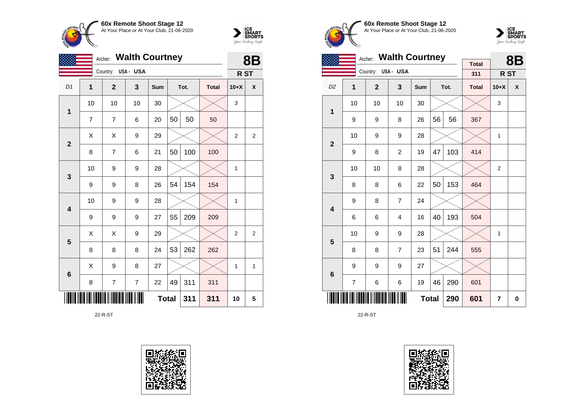



|                         | <b>Walth Courtney</b><br>Archer: |                    |                |              |    |      |              |                 |   |
|-------------------------|----------------------------------|--------------------|----------------|--------------|----|------|--------------|-----------------|---|
|                         |                                  | Country: USA - USA |                |              |    |      |              | R <sub>ST</sub> |   |
| D <sub>1</sub>          | 1                                | $\overline{2}$     | 3              | Sum          |    | Tot. | <b>Total</b> | $10+X$          | X |
| 1                       | 10                               | 10                 | 10             | 30           |    |      |              | 3               |   |
|                         | 7                                | 7                  | 6              | 20           | 50 | 50   | 50           |                 |   |
| $\overline{2}$          | Χ                                | X                  | 9              | 29           |    |      |              | $\overline{2}$  | 2 |
|                         | 8                                | $\overline{7}$     | 6              | 21           | 50 | 100  | 100          |                 |   |
|                         | 10                               | 9                  | 9              | 28           |    |      |              | 1               |   |
| 3                       | 9                                | 9                  | 8              | 26           | 54 | 154  | 154          |                 |   |
| $\overline{\mathbf{4}}$ | 10                               | 9                  | 9              | 28           |    |      |              | 1               |   |
|                         | 9                                | 9                  | 9              | 27           | 55 | 209  | 209          |                 |   |
| 5                       | Χ                                | Χ                  | 9              | 29           |    |      |              | $\overline{2}$  | 2 |
|                         | 8                                | 8                  | 8              | 24           | 53 | 262  | 262          |                 |   |
|                         | X                                | 9                  | 8              | 27           |    |      |              | 1               | 1 |
| $6\phantom{1}6$         | 8                                | 7                  | $\overline{7}$ | 22           | 49 | 311  | 311          |                 |   |
|                         |                                  |                    |                | <b>Total</b> |    | 311  | 311          | 10              | 5 |

22-R-ST





**60x Remote Shoot Stage 12** At Your Place or At Your Club, 21-06-2020



|                         | <b>Walth Courtney</b><br>Archer: |                    |                |              |    |      |                     |                | <b>8B</b> |
|-------------------------|----------------------------------|--------------------|----------------|--------------|----|------|---------------------|----------------|-----------|
|                         |                                  | Country: USA - USA |                |              |    |      | <b>Total</b><br>311 | R ST           |           |
| D <sub>2</sub>          | 1                                | $\overline{2}$     | 3              | Sum          |    | Tot. | <b>Total</b>        | $10+X$         | X         |
| 1                       | 10                               | 10                 | 10             | 30           |    |      |                     | 3              |           |
|                         | 9                                | 9                  | 8              | 26           | 56 | 56   | 367                 |                |           |
| $\mathbf{2}$            | 10                               | 9                  | 9              | 28           |    |      |                     | 1              |           |
|                         | 9                                | 8                  | $\overline{2}$ | 19           | 47 | 103  | 414                 |                |           |
|                         | 10                               | 10                 | 8              | 28           |    |      |                     | $\overline{2}$ |           |
| 3                       | 8                                | 8                  | 6              | 22           | 50 | 153  | 464                 |                |           |
| $\overline{\mathbf{4}}$ | 9                                | 8                  | $\overline{7}$ | 24           |    |      |                     |                |           |
|                         | 6                                | 6                  | 4              | 16           | 40 | 193  | 504                 |                |           |
| 5                       | 10                               | 9                  | 9              | 28           |    |      |                     | 1              |           |
|                         | 8                                | 8                  | $\overline{7}$ | 23           | 51 | 244  | 555                 |                |           |
| $\bf 6$                 | 9                                | 9                  | 9              | 27           |    |      |                     |                |           |
|                         | 7                                | 6                  | 6              | 19           | 46 | 290  | 601                 |                |           |
|                         |                                  |                    |                | <b>Total</b> |    | 290  | 601                 | 7              | 0         |

22-R-ST

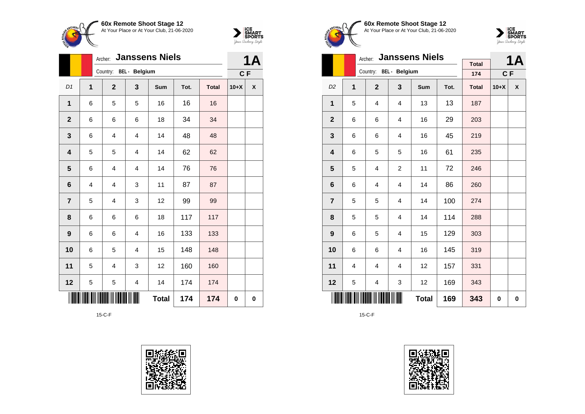



|                         |                | <b>Janssens Niels</b><br>Archer: |                         |              | <b>1A</b> |              |        |                    |
|-------------------------|----------------|----------------------------------|-------------------------|--------------|-----------|--------------|--------|--------------------|
|                         |                | Country: BEL - Belgium           |                         |              |           |              | C F    |                    |
| D1                      | $\overline{1}$ | $\overline{2}$                   | 3                       | Sum          | Tot.      | <b>Total</b> | $10+X$ | $\pmb{\mathsf{X}}$ |
| 1                       | 6              | 5                                | 5                       | 16           | 16        | 16           |        |                    |
| $\mathbf{2}$            | 6              | 6                                | 6                       | 18           | 34        | 34           |        |                    |
| $\mathbf{3}$            | 6              | $\overline{\mathbf{4}}$          | $\overline{\mathbf{4}}$ | 14           | 48        | 48           |        |                    |
| $\overline{\mathbf{4}}$ | 5              | 5                                | $\overline{4}$          | 14           | 62        | 62           |        |                    |
| $5\phantom{1}$          | 6              | $\overline{\mathbf{4}}$          | $\overline{\mathbf{4}}$ | 14           | 76        | 76           |        |                    |
| 6                       | 4              | 4                                | 3                       | 11           | 87        | 87           |        |                    |
| $\overline{7}$          | 5              | 4                                | 3                       | 12           | 99        | 99           |        |                    |
| 8                       | 6              | 6                                | 6                       | 18           | 117       | 117          |        |                    |
| $\boldsymbol{9}$        | 6              | 6                                | $\overline{\mathbf{4}}$ | 16           | 133       | 133          |        |                    |
| 10                      | 6              | 5                                | $\overline{\mathbf{4}}$ | 15           | 148       | 148          |        |                    |
| 11                      | 5              | $\overline{4}$                   | 3                       | 12           | 160       | 160          |        |                    |
| 12                      | 5              | 5                                | 4                       | 14           | 174       | 174          |        |                    |
|                         |                |                                  |                         | <b>Total</b> | 174       | 174          | 0      | $\pmb{0}$          |

15-C-F





**60x Remote Shoot Stage 12** At Your Place or At Your Club, 21-06-2020



|                         |   | <b>Janssens Niels</b><br>Archer: |                |            |      | <b>1A</b>           |        |   |
|-------------------------|---|----------------------------------|----------------|------------|------|---------------------|--------|---|
|                         |   | Country: BEL - Belgium           |                |            |      | <b>Total</b><br>174 | $C$ F  |   |
| D <sub>2</sub>          | 1 | $\mathbf{2}$                     | 3              | <b>Sum</b> | Tot. | <b>Total</b>        | $10+X$ | X |
| $\mathbf{1}$            | 5 | 4                                | 4              | 13         | 13   | 187                 |        |   |
| $\mathbf{2}$            | 6 | 6                                | 4              | 16         | 29   | 203                 |        |   |
| 3                       | 6 | 6                                | 4              | 16         | 45   | 219                 |        |   |
| $\overline{\mathbf{4}}$ | 6 | 5                                | 5              | 16         | 61   | 235                 |        |   |
| 5                       | 5 | $\overline{4}$                   | $\overline{c}$ | 11         | 72   | 246                 |        |   |
| $6\phantom{1}$          | 6 | 4                                | 4              | 14         | 86   | 260                 |        |   |
| $\overline{7}$          | 5 | 5                                | 4              | 14         | 100  | 274                 |        |   |
| 8                       | 5 | 5                                | $\overline{4}$ | 14         | 114  | 288                 |        |   |
| $\boldsymbol{9}$        | 6 | 5                                | 4              | 15         | 129  | 303                 |        |   |
| 10                      | 6 | 6                                | 4              | 16         | 145  | 319                 |        |   |
| 11                      | 4 | 4                                | 4              | 12         | 157  | 331                 |        |   |
| 12                      | 5 | 4                                | 3              | 12         | 169  | 343                 |        |   |
|                         |   |                                  | 169            | 343        | 0    | 0                   |        |   |

15-C-F

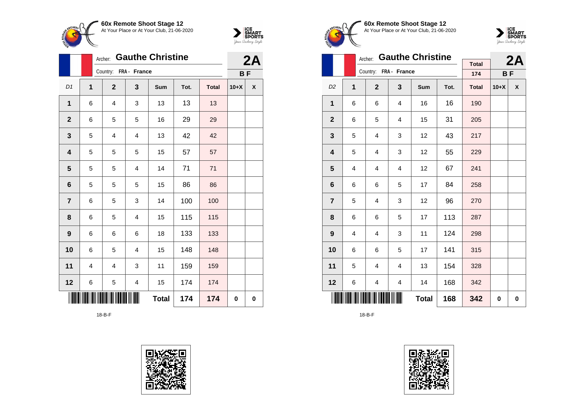



|                         |                | <b>Gauthe Christine</b><br>Archer: |                |              | 2A   |              |           |                    |
|-------------------------|----------------|------------------------------------|----------------|--------------|------|--------------|-----------|--------------------|
|                         |                | Country: FRA - France              |                |              |      |              | <b>BF</b> |                    |
| D1                      | 1              | $\overline{2}$                     | 3              | Sum          | Tot. | <b>Total</b> | $10+X$    | $\pmb{\mathsf{X}}$ |
| 1                       | 6              | 4                                  | 3              | 13           | 13   | 13           |           |                    |
| $\mathbf{2}$            | 6              | 5                                  | 5              | 16           | 29   | 29           |           |                    |
| $\mathbf{3}$            | 5              | 4                                  | $\overline{4}$ | 13           | 42   | 42           |           |                    |
| $\overline{\mathbf{4}}$ | 5              | 5                                  | 5              | 15           | 57   | 57           |           |                    |
| $\overline{\mathbf{5}}$ | 5              | 5                                  | $\overline{4}$ | 14           | 71   | 71           |           |                    |
| $6\phantom{1}$          | 5              | 5                                  | 5              | 15           | 86   | 86           |           |                    |
| $\overline{\mathbf{7}}$ | 6              | 5                                  | 3              | 14           | 100  | 100          |           |                    |
| 8                       | 6              | 5                                  | $\overline{4}$ | 15           | 115  | 115          |           |                    |
| $\boldsymbol{9}$        | 6              | 6                                  | 6              | 18           | 133  | 133          |           |                    |
| 10                      | 6              | 5                                  | 4              | 15           | 148  | 148          |           |                    |
| 11                      | $\overline{4}$ | 4                                  | 3              | 11           | 159  | 159          |           |                    |
| 12                      | 6              | 5                                  | 4              | 15           | 174  | 174          |           |                    |
|                         |                |                                    |                | <b>Total</b> | 174  | 174          | 0         | $\pmb{0}$          |

18-B-F









|                |                | Archer:        | <b>Gauthe Christine</b> |              |      | 2A                  |           |   |
|----------------|----------------|----------------|-------------------------|--------------|------|---------------------|-----------|---|
|                |                |                | Country: FRA - France   |              |      | <b>Total</b><br>174 |           |   |
|                |                |                |                         |              |      |                     | <b>BF</b> |   |
| D <sub>2</sub> | 1              | $\overline{2}$ | 3                       | Sum          | Tot. | <b>Total</b>        | $10+X$    | X |
| 1              | 6              | 6              | 4                       | 16           | 16   | 190                 |           |   |
| $\mathbf{2}$   | 6              | 5              | 4                       | 15           | 31   | 205                 |           |   |
| 3              | 5              | 4              | 3                       | 12           | 43   | 217                 |           |   |
| 4              | 5              | 4              | 3                       | 12           | 55   | 229                 |           |   |
| 5              | $\overline{4}$ | 4              | 4                       | 12           | 67   | 241                 |           |   |
| 6              | 6              | 6              | 5                       | 17           | 84   | 258                 |           |   |
| $\overline{7}$ | 5              | 4              | 3                       | 12           | 96   | 270                 |           |   |
| 8              | 6              | 6              | 5                       | 17           | 113  | 287                 |           |   |
| 9              | 4              | 4              | 3                       | 11           | 124  | 298                 |           |   |
| 10             | 6              | 6              | 5                       | 17           | 141  | 315                 |           |   |
| 11             | 5              | 4              | $\overline{4}$          | 13           | 154  | 328                 |           |   |
| 12             | 6              | 4              | 4                       | 14           | 168  | 342                 |           |   |
|                |                |                |                         | <b>Total</b> | 168  | 342                 | 0         | 0 |

18-B-F

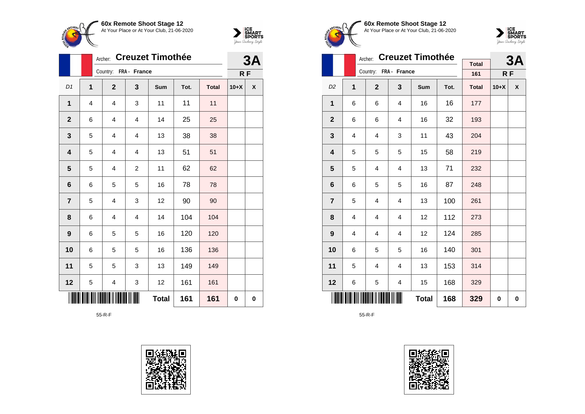



|                         |   | <b>Creuzet Timothée</b><br>Archer: |                         |              | 3A   |              |        |                    |
|-------------------------|---|------------------------------------|-------------------------|--------------|------|--------------|--------|--------------------|
|                         |   | Country: FRA - France              |                         |              |      |              | RF     |                    |
| D1                      | 1 | $\mathbf{2}$                       | 3                       | Sum          | Tot. | <b>Total</b> | $10+X$ | $\pmb{\mathsf{X}}$ |
| 1                       | 4 | $\overline{\mathbf{4}}$            | 3                       | 11           | 11   | 11           |        |                    |
| $\mathbf{2}$            | 6 | 4                                  | $\overline{\mathbf{4}}$ | 14           | 25   | 25           |        |                    |
| $\mathbf{3}$            | 5 | $\overline{4}$                     | 4                       | 13           | 38   | 38           |        |                    |
| 4                       | 5 | 4                                  | 4                       | 13           | 51   | 51           |        |                    |
| $\overline{\mathbf{5}}$ | 5 | 4                                  | $\overline{c}$          | 11           | 62   | 62           |        |                    |
| $6\phantom{1}6$         | 6 | 5                                  | 5                       | 16           | 78   | 78           |        |                    |
| $\overline{\mathbf{7}}$ | 5 | 4                                  | 3                       | 12           | 90   | 90           |        |                    |
| 8                       | 6 | 4                                  | 4                       | 14           | 104  | 104          |        |                    |
| 9                       | 6 | 5                                  | 5                       | 16           | 120  | 120          |        |                    |
| 10                      | 6 | 5                                  | 5                       | 16           | 136  | 136          |        |                    |
| 11                      | 5 | 5                                  | 3                       | 13           | 149  | 149          |        |                    |
| 12                      | 5 | 4                                  | 3                       | 12           | 161  | 161          |        |                    |
|                         |   |                                    |                         | <b>Total</b> | 161  | 161          | 0      | $\bf{0}$           |

55-R-F









|                |   | Archer:               | <b>Creuzet Timothée</b> |     |      | 3Α                  |        |   |
|----------------|---|-----------------------|-------------------------|-----|------|---------------------|--------|---|
|                |   | Country: FRA - France |                         |     |      | <b>Total</b><br>161 | RF     |   |
|                |   |                       |                         |     |      |                     |        |   |
| D <sub>2</sub> | 1 | $\mathbf{2}$          | 3                       | Sum | Tot. | <b>Total</b>        | $10+X$ | X |
| 1              | 6 | 6                     | 4                       | 16  | 16   | 177                 |        |   |
| $\overline{2}$ | 6 | 6                     | 4                       | 16  | 32   | 193                 |        |   |
| 3              | 4 | 4                     | 3                       | 11  | 43   | 204                 |        |   |
| 4              | 5 | 5                     | 5                       | 15  | 58   | 219                 |        |   |
| 5              | 5 | 4                     | $\overline{4}$          | 13  | 71   | 232                 |        |   |
| 6              | 6 | 5                     | 5                       | 16  | 87   | 248                 |        |   |
| $\overline{7}$ | 5 | 4                     | 4                       | 13  | 100  | 261                 |        |   |
| 8              | 4 | $\overline{4}$        | 4                       | 12  | 112  | 273                 |        |   |
| 9              | 4 | 4                     | 4                       | 12  | 124  | 285                 |        |   |
| 10             | 6 | 5                     | 5                       | 16  | 140  | 301                 |        |   |
| 11             | 5 | 4                     | 4                       | 13  | 153  | 314                 |        |   |
| 12             | 6 | 5                     | 4                       | 15  | 168  | 329                 |        |   |
|                |   | 329                   | 0                       | 0   |      |                     |        |   |

55-R-F

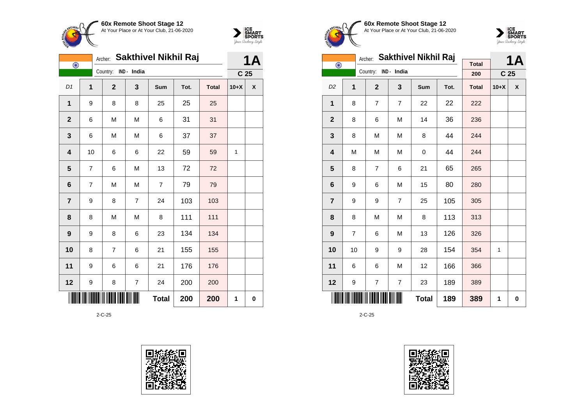



|                         | <b>Sakthivel Nikhil Raj</b><br>Archer:<br>$\bigodot$ |  |                |             |                |      |              |                 | 1Α                 |  |
|-------------------------|------------------------------------------------------|--|----------------|-------------|----------------|------|--------------|-----------------|--------------------|--|
|                         |                                                      |  | Country:       | IND - India |                |      |              | C <sub>25</sub> |                    |  |
| D1                      | 1                                                    |  | $\overline{2}$ | 3           | Sum            | Tot. | <b>Total</b> | $10+X$          | $\pmb{\mathsf{X}}$ |  |
| 1                       | 9                                                    |  | 8              | 8           | 25             | 25   | 25           |                 |                    |  |
| $\mathbf{2}$            | 6                                                    |  | M              | M           | 6              | 31   | 31           |                 |                    |  |
| $\mathbf{3}$            | 6                                                    |  | M              | M           | 6              | 37   | 37           |                 |                    |  |
| $\overline{\mathbf{4}}$ | 10                                                   |  | 6              | 6           | 22             | 59   | 59           | 1               |                    |  |
| $\overline{\mathbf{5}}$ | 7                                                    |  | 6              | M           | 13             | 72   | 72           |                 |                    |  |
| 6                       | 7                                                    |  | M              | M           | $\overline{7}$ | 79   | 79           |                 |                    |  |
| $\overline{7}$          | 9                                                    |  | 8              | 7           | 24             | 103  | 103          |                 |                    |  |
| 8                       | 8                                                    |  | M              | M           | 8              | 111  | 111          |                 |                    |  |
| $\boldsymbol{9}$        | 9                                                    |  | 8              | 6           | 23             | 134  | 134          |                 |                    |  |
| 10                      | 8                                                    |  | $\overline{7}$ | 6           | 21             | 155  | 155          |                 |                    |  |
| 11                      | 9                                                    |  | 6              | 6           | 21             | 176  | 176          |                 |                    |  |
| 12                      | 9                                                    |  | 8              | 7           | 24             | 200  | 200          |                 |                    |  |
|                         |                                                      |  |                |             | <b>Total</b>   | 200  | 200          | 1               | 0                  |  |









|                         |    | Archer:                 | Sakthivel Nikhil Raj |            |      | <b>1A</b>    |                 |   |
|-------------------------|----|-------------------------|----------------------|------------|------|--------------|-----------------|---|
| $\bigodot$              |    | Country: IND - India    |                      |            |      | <b>Total</b> |                 |   |
|                         |    |                         |                      |            |      | 200          | C <sub>25</sub> |   |
| D <sub>2</sub>          | 1  | $\overline{2}$          | 3                    | <b>Sum</b> | Tot. | <b>Total</b> | $10+X$          | X |
| 1                       | 8  | $\overline{7}$          | $\overline{7}$       | 22         | 22   | 222          |                 |   |
| $\mathbf{2}$            | 8  | 6                       | M                    | 14         | 36   | 236          |                 |   |
| 3                       | 8  | M                       | M                    | 8          | 44   | 244          |                 |   |
| $\overline{\mathbf{4}}$ | M  | M                       | M                    | 0          | 44   | 244          |                 |   |
| 5                       | 8  | $\overline{7}$          | 6                    | 21         | 65   | 265          |                 |   |
| 6                       | 9  | 6                       | M                    | 15         | 80   | 280          |                 |   |
| $\overline{7}$          | 9  | 9                       | $\overline{7}$       | 25         | 105  | 305          |                 |   |
| 8                       | 8  | M                       | M                    | 8          | 113  | 313          |                 |   |
| $\boldsymbol{9}$        | 7  | 6                       | M                    | 13         | 126  | 326          |                 |   |
| 10                      | 10 | 9                       | 9                    | 28         | 154  | 354          | 1               |   |
| 11                      | 6  | 6                       | M                    | 12         | 166  | 366          |                 |   |
| 12                      | 9  | $\overline{\mathbf{7}}$ | $\overline{7}$       | 23         | 189  | 389          |                 |   |
|                         |    | 389                     | 1                    | 0          |      |              |                 |   |